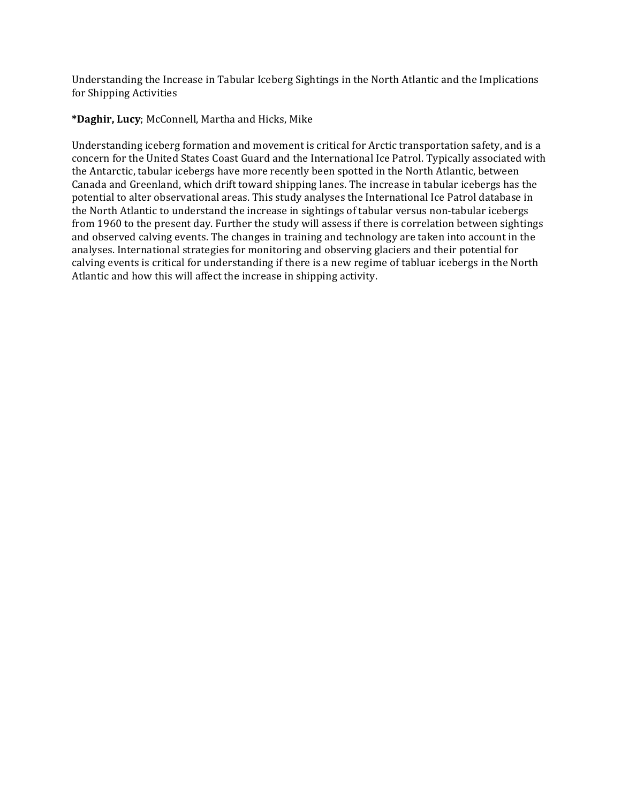Understanding the Increase in Tabular Iceberg Sightings in the North Atlantic and the Implications for Shipping Activities

**\*Daghir, Lucy**; McConnell, Martha and Hicks, Mike

Understanding iceberg formation and movement is critical for Arctic transportation safety, and is a concern for the United States Coast Guard and the International Ice Patrol. Typically associated with the Antarctic, tabular icebergs have more recently been spotted in the North Atlantic, between Canada and Greenland, which drift toward shipping lanes. The increase in tabular icebergs has the potential to alter observational areas. This study analyses the International Ice Patrol database in the North Atlantic to understand the increase in sightings of tabular versus non-tabular icebergs from 1960 to the present day. Further the study will assess if there is correlation between sightings and observed calving events. The changes in training and technology are taken into account in the analyses. International strategies for monitoring and observing glaciers and their potential for calving events is critical for understanding if there is a new regime of tabluar icebergs in the North Atlantic and how this will affect the increase in shipping activity.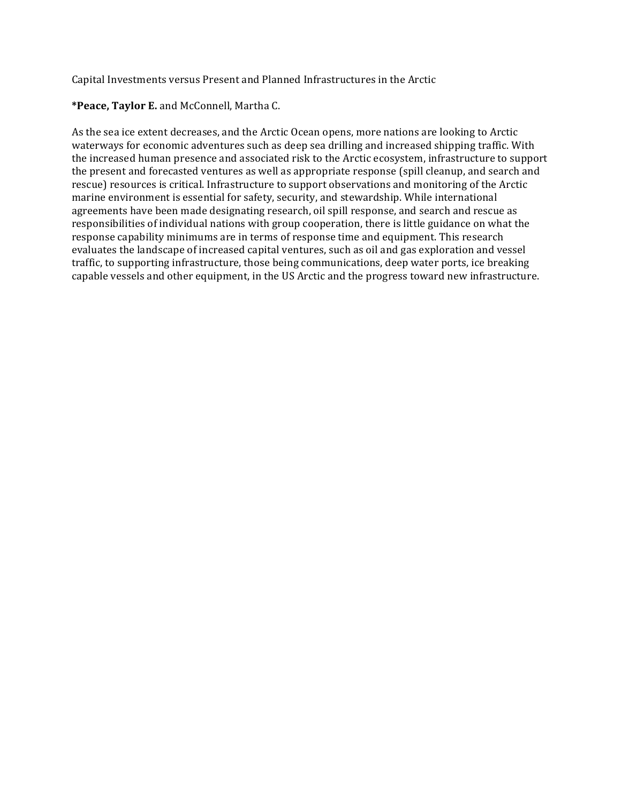Capital Investments versus Present and Planned Infrastructures in the Arctic

\*Peace, Taylor E. and McConnell, Martha C.

As the sea ice extent decreases, and the Arctic Ocean opens, more nations are looking to Arctic waterways for economic adventures such as deep sea drilling and increased shipping traffic. With the increased human presence and associated risk to the Arctic ecosystem, infrastructure to support the present and forecasted ventures as well as appropriate response (spill cleanup, and search and rescue) resources is critical. Infrastructure to support observations and monitoring of the Arctic marine environment is essential for safety, security, and stewardship. While international agreements have been made designating research, oil spill response, and search and rescue as responsibilities of individual nations with group cooperation, there is little guidance on what the response capability minimums are in terms of response time and equipment. This research evaluates the landscape of increased capital ventures, such as oil and gas exploration and vessel traffic, to supporting infrastructure, those being communications, deep water ports, ice breaking capable vessels and other equipment, in the US Arctic and the progress toward new infrastructure.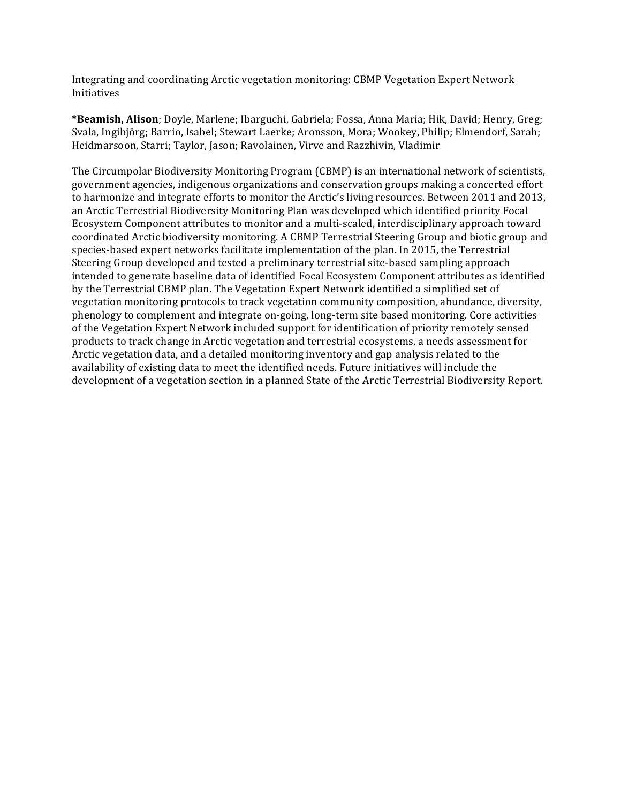Integrating and coordinating Arctic vegetation monitoring: CBMP Vegetation Expert Network Initiatives

**\*Beamish, Alison**; Doyle, Marlene; Ibarguchi, Gabriela; Fossa, Anna Maria; Hik, David; Henry, Greg; Svala, Ingibjörg; Barrio, Isabel; Stewart Laerke; Aronsson, Mora; Wookey, Philip; Elmendorf, Sarah; Heidmarsoon, Starri; Taylor, Jason; Ravolainen, Virve and Razzhivin, Vladimir

The Circumpolar Biodiversity Monitoring Program (CBMP) is an international network of scientists, government agencies, indigenous organizations and conservation groups making a concerted effort to harmonize and integrate efforts to monitor the Arctic's living resources. Between 2011 and 2013, an Arctic Terrestrial Biodiversity Monitoring Plan was developed which identified priority Focal Ecosystem Component attributes to monitor and a multi-scaled, interdisciplinary approach toward coordinated Arctic biodiversity monitoring. A CBMP Terrestrial Steering Group and biotic group and species-based expert networks facilitate implementation of the plan. In 2015, the Terrestrial Steering Group developed and tested a preliminary terrestrial site-based sampling approach intended to generate baseline data of identified Focal Ecosystem Component attributes as identified by the Terrestrial CBMP plan. The Vegetation Expert Network identified a simplified set of vegetation monitoring protocols to track vegetation community composition, abundance, diversity, phenology to complement and integrate on-going, long-term site based monitoring. Core activities of the Vegetation Expert Network included support for identification of priority remotely sensed products to track change in Arctic vegetation and terrestrial ecosystems, a needs assessment for Arctic vegetation data, and a detailed monitoring inventory and gap analysis related to the availability of existing data to meet the identified needs. Future initiatives will include the development of a vegetation section in a planned State of the Arctic Terrestrial Biodiversity Report.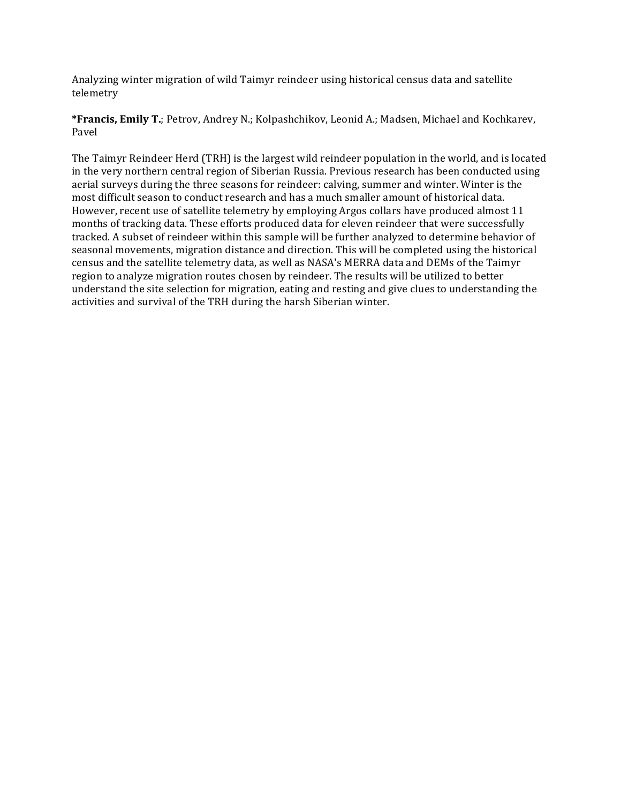Analyzing winter migration of wild Taimyr reindeer using historical census data and satellite telemetry

**\*Francis, Emily T.**; Petrov, Andrey N.; Kolpashchikov, Leonid A.; Madsen, Michael and Kochkarev, Pavel

The Taimyr Reindeer Herd (TRH) is the largest wild reindeer population in the world, and is located in the very northern central region of Siberian Russia. Previous research has been conducted using aerial surveys during the three seasons for reindeer: calving, summer and winter. Winter is the most difficult season to conduct research and has a much smaller amount of historical data. However, recent use of satellite telemetry by employing Argos collars have produced almost 11 months of tracking data. These efforts produced data for eleven reindeer that were successfully tracked. A subset of reindeer within this sample will be further analyzed to determine behavior of seasonal movements, migration distance and direction. This will be completed using the historical census and the satellite telemetry data, as well as NASA's MERRA data and DEMs of the Taimyr region to analyze migration routes chosen by reindeer. The results will be utilized to better understand the site selection for migration, eating and resting and give clues to understanding the activities and survival of the TRH during the harsh Siberian winter.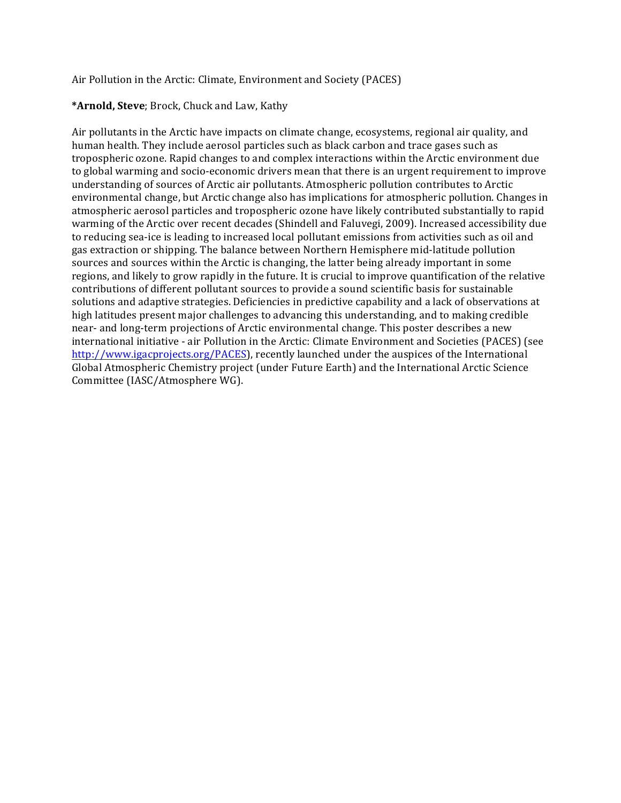Air Pollution in the Arctic: Climate, Environment and Society (PACES)

# \*Arnold, Steve; Brock, Chuck and Law, Kathy

Air pollutants in the Arctic have impacts on climate change, ecosystems, regional air quality, and human health. They include aerosol particles such as black carbon and trace gases such as tropospheric ozone. Rapid changes to and complex interactions within the Arctic environment due to global warming and socio-economic drivers mean that there is an urgent requirement to improve understanding of sources of Arctic air pollutants. Atmospheric pollution contributes to Arctic environmental change, but Arctic change also has implications for atmospheric pollution. Changes in atmospheric aerosol particles and tropospheric ozone have likely contributed substantially to rapid warming of the Arctic over recent decades (Shindell and Faluvegi, 2009). Increased accessibility due to reducing sea-ice is leading to increased local pollutant emissions from activities such as oil and gas extraction or shipping. The balance between Northern Hemisphere mid-latitude pollution sources and sources within the Arctic is changing, the latter being already important in some regions, and likely to grow rapidly in the future. It is crucial to improve quantification of the relative contributions of different pollutant sources to provide a sound scientific basis for sustainable solutions and adaptive strategies. Deficiencies in predictive capability and a lack of observations at high latitudes present major challenges to advancing this understanding, and to making credible near- and long-term projections of Arctic environmental change. This poster describes a new international initiative - air Pollution in the Arctic: Climate Environment and Societies (PACES) (see http://www.igacprojects.org/PACES), recently launched under the auspices of the International Global Atmospheric Chemistry project (under Future Earth) and the International Arctic Science Committee (IASC/Atmosphere WG).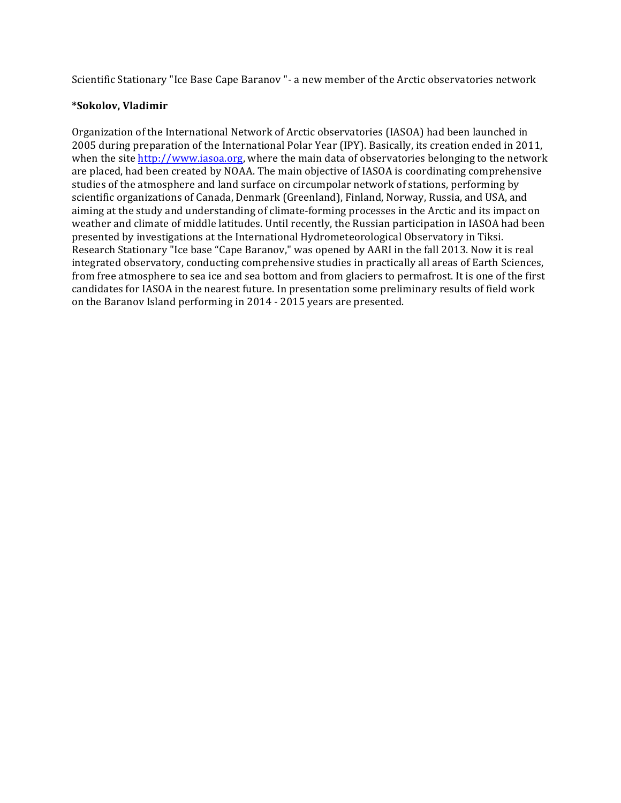Scientific Stationary "Ice Base Cape Baranov "- a new member of the Arctic observatories network

### **\*Sokolov, Vladimir**

Organization of the International Network of Arctic observatories (IASOA) had been launched in 2005 during preparation of the International Polar Year (IPY). Basically, its creation ended in 2011, when the site  $http://www.iasoa.org, where the main data of observatories belonging to the network$ are placed, had been created by NOAA. The main objective of IASOA is coordinating comprehensive studies of the atmosphere and land surface on circumpolar network of stations, performing by scientific organizations of Canada, Denmark (Greenland), Finland, Norway, Russia, and USA, and aiming at the study and understanding of climate-forming processes in the Arctic and its impact on weather and climate of middle latitudes. Until recently, the Russian participation in IASOA had been presented by investigations at the International Hydrometeorological Observatory in Tiksi. Research Stationary "Ice base "Cape Baranov," was opened by AARI in the fall 2013. Now it is real integrated observatory, conducting comprehensive studies in practically all areas of Earth Sciences, from free atmosphere to sea ice and sea bottom and from glaciers to permafrost. It is one of the first candidates for IASOA in the nearest future. In presentation some preliminary results of field work on the Baranov Island performing in 2014 - 2015 years are presented.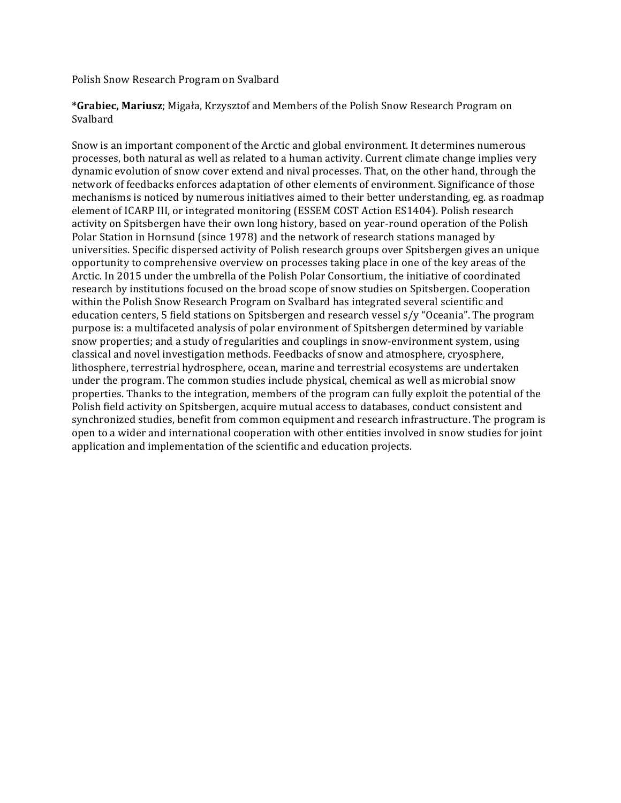Polish Snow Research Program on Svalbard

\*Grabiec, Mariusz; Migała, Krzysztof and Members of the Polish Snow Research Program on Svalbard 

Snow is an important component of the Arctic and global environment. It determines numerous processes, both natural as well as related to a human activity. Current climate change implies very dynamic evolution of snow cover extend and nival processes. That, on the other hand, through the network of feedbacks enforces adaptation of other elements of environment. Significance of those mechanisms is noticed by numerous initiatives aimed to their better understanding, eg. as roadmap element of ICARP III, or integrated monitoring (ESSEM COST Action ES1404). Polish research activity on Spitsbergen have their own long history, based on year-round operation of the Polish Polar Station in Hornsund (since 1978) and the network of research stations managed by universities. Specific dispersed activity of Polish research groups over Spitsbergen gives an unique opportunity to comprehensive overview on processes taking place in one of the key areas of the Arctic. In 2015 under the umbrella of the Polish Polar Consortium, the initiative of coordinated research by institutions focused on the broad scope of snow studies on Spitsbergen. Cooperation within the Polish Snow Research Program on Svalbard has integrated several scientific and education centers, 5 field stations on Spitsbergen and research vessel  $s/y$  "Oceania". The program purpose is: a multifaceted analysis of polar environment of Spitsbergen determined by variable snow properties; and a study of regularities and couplings in snow-environment system, using classical and novel investigation methods. Feedbacks of snow and atmosphere, cryosphere, lithosphere, terrestrial hydrosphere, ocean, marine and terrestrial ecosystems are undertaken under the program. The common studies include physical, chemical as well as microbial snow properties. Thanks to the integration, members of the program can fully exploit the potential of the Polish field activity on Spitsbergen, acquire mutual access to databases, conduct consistent and synchronized studies, benefit from common equipment and research infrastructure. The program is open to a wider and international cooperation with other entities involved in snow studies for joint application and implementation of the scientific and education projects.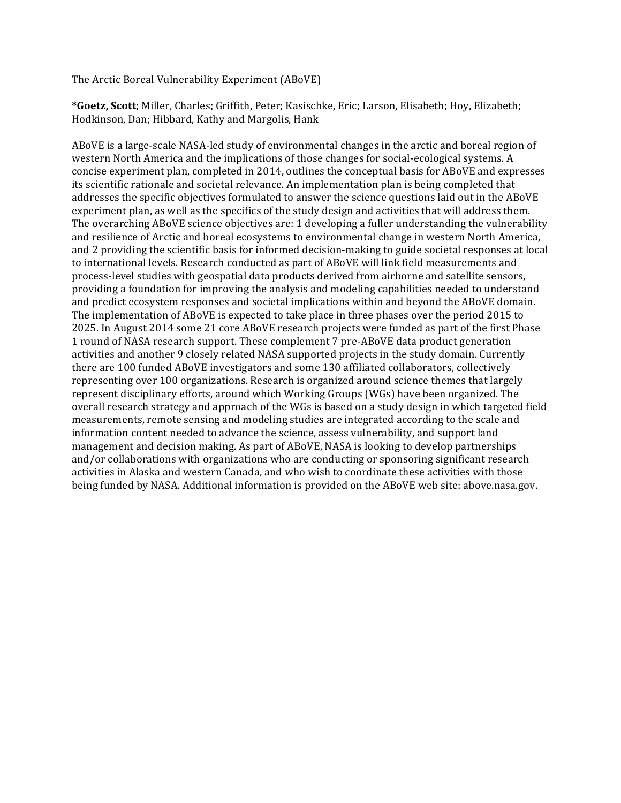The Arctic Boreal Vulnerability Experiment (ABoVE)

\*Goetz, Scott; Miller, Charles; Griffith, Peter; Kasischke, Eric; Larson, Elisabeth; Hoy, Elizabeth; Hodkinson, Dan; Hibbard, Kathy and Margolis, Hank

ABoVE is a large-scale NASA-led study of environmental changes in the arctic and boreal region of western North America and the implications of those changes for social-ecological systems. A concise experiment plan, completed in 2014, outlines the conceptual basis for ABoVE and expresses its scientific rationale and societal relevance. An implementation plan is being completed that addresses the specific objectives formulated to answer the science questions laid out in the ABoVE experiment plan, as well as the specifics of the study design and activities that will address them. The overarching ABoVE science objectives are: 1 developing a fuller understanding the vulnerability and resilience of Arctic and boreal ecosystems to environmental change in western North America, and 2 providing the scientific basis for informed decision-making to guide societal responses at local to international levels. Research conducted as part of ABoVE will link field measurements and process-level studies with geospatial data products derived from airborne and satellite sensors, providing a foundation for improving the analysis and modeling capabilities needed to understand and predict ecosystem responses and societal implications within and beyond the ABoVE domain. The implementation of ABoVE is expected to take place in three phases over the period 2015 to 2025. In August 2014 some 21 core ABoVE research projects were funded as part of the first Phase 1 round of NASA research support. These complement 7 pre-ABoVE data product generation activities and another 9 closely related NASA supported projects in the study domain. Currently there are 100 funded ABoVE investigators and some 130 affiliated collaborators, collectively representing over 100 organizations. Research is organized around science themes that largely represent disciplinary efforts, around which Working Groups (WGs) have been organized. The overall research strategy and approach of the WGs is based on a study design in which targeted field measurements, remote sensing and modeling studies are integrated according to the scale and information content needed to advance the science, assess vulnerability, and support land management and decision making. As part of ABoVE, NASA is looking to develop partnerships and/or collaborations with organizations who are conducting or sponsoring significant research activities in Alaska and western Canada, and who wish to coordinate these activities with those being funded by NASA. Additional information is provided on the ABoVE web site: above.nasa.gov.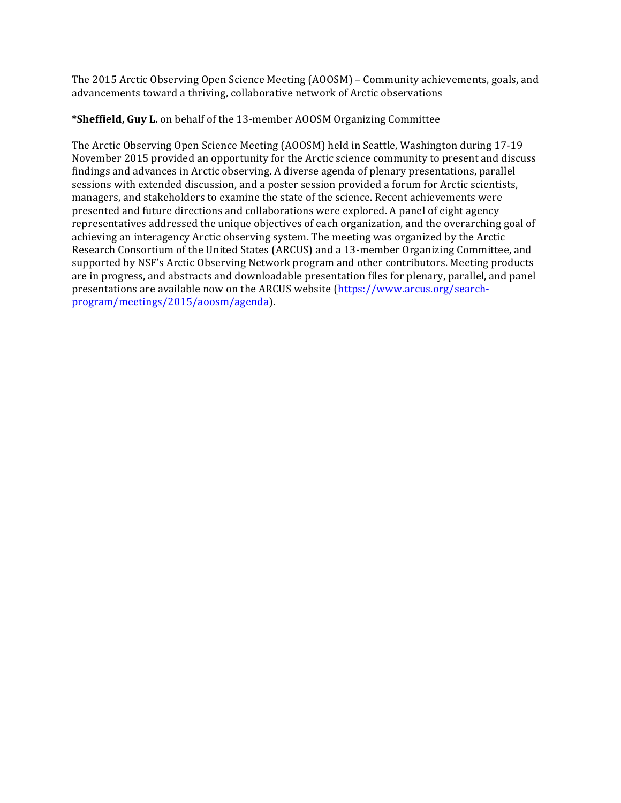The 2015 Arctic Observing Open Science Meeting (AOOSM) – Community achievements, goals, and advancements toward a thriving, collaborative network of Arctic observations

# **\*Sheffield, Guy L.** on behalf of the 13-member AOOSM Organizing Committee

The Arctic Observing Open Science Meeting (AOOSM) held in Seattle, Washington during 17-19 November 2015 provided an opportunity for the Arctic science community to present and discuss findings and advances in Arctic observing. A diverse agenda of plenary presentations, parallel sessions with extended discussion, and a poster session provided a forum for Arctic scientists, managers, and stakeholders to examine the state of the science. Recent achievements were presented and future directions and collaborations were explored. A panel of eight agency representatives addressed the unique objectives of each organization, and the overarching goal of achieving an interagency Arctic observing system. The meeting was organized by the Arctic Research Consortium of the United States (ARCUS) and a 13-member Organizing Committee, and supported by NSF's Arctic Observing Network program and other contributors. Meeting products are in progress, and abstracts and downloadable presentation files for plenary, parallel, and panel presentations are available now on the ARCUS website (https://www.arcus.org/searchprogram/meetings/2015/aoosm/agenda).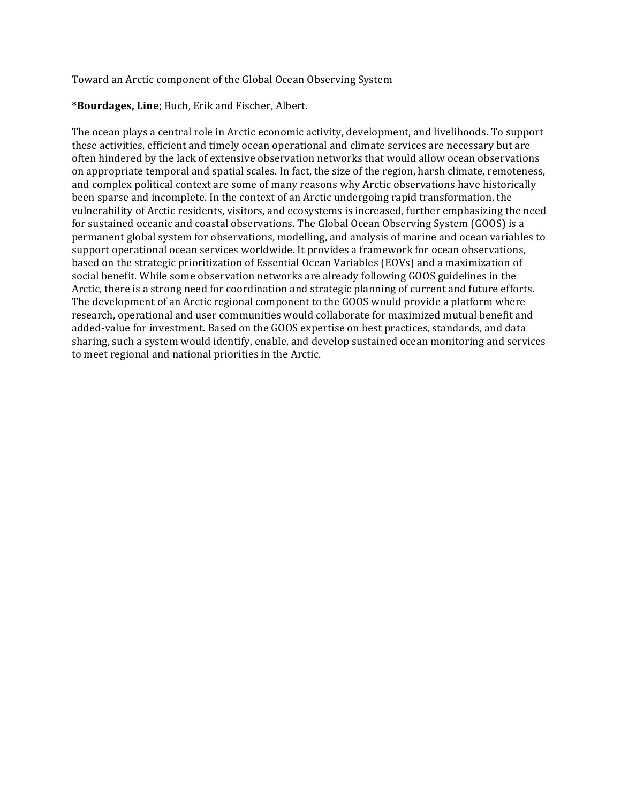Toward an Arctic component of the Global Ocean Observing System

**\*Bourdages, Line**; Buch, Erik and Fischer, Albert. 

The ocean plays a central role in Arctic economic activity, development, and livelihoods. To support these activities, efficient and timely ocean operational and climate services are necessary but are often hindered by the lack of extensive observation networks that would allow ocean observations on appropriate temporal and spatial scales. In fact, the size of the region, harsh climate, remoteness, and complex political context are some of many reasons why Arctic observations have historically been sparse and incomplete. In the context of an Arctic undergoing rapid transformation, the vulnerability of Arctic residents, visitors, and ecosystems is increased, further emphasizing the need for sustained oceanic and coastal observations. The Global Ocean Observing System (GOOS) is a permanent global system for observations, modelling, and analysis of marine and ocean variables to support operational ocean services worldwide. It provides a framework for ocean observations, based on the strategic prioritization of Essential Ocean Variables (EOVs) and a maximization of social benefit. While some observation networks are already following GOOS guidelines in the Arctic, there is a strong need for coordination and strategic planning of current and future efforts. The development of an Arctic regional component to the GOOS would provide a platform where research, operational and user communities would collaborate for maximized mutual benefit and added-value for investment. Based on the GOOS expertise on best practices, standards, and data sharing, such a system would identify, enable, and develop sustained ocean monitoring and services to meet regional and national priorities in the Arctic.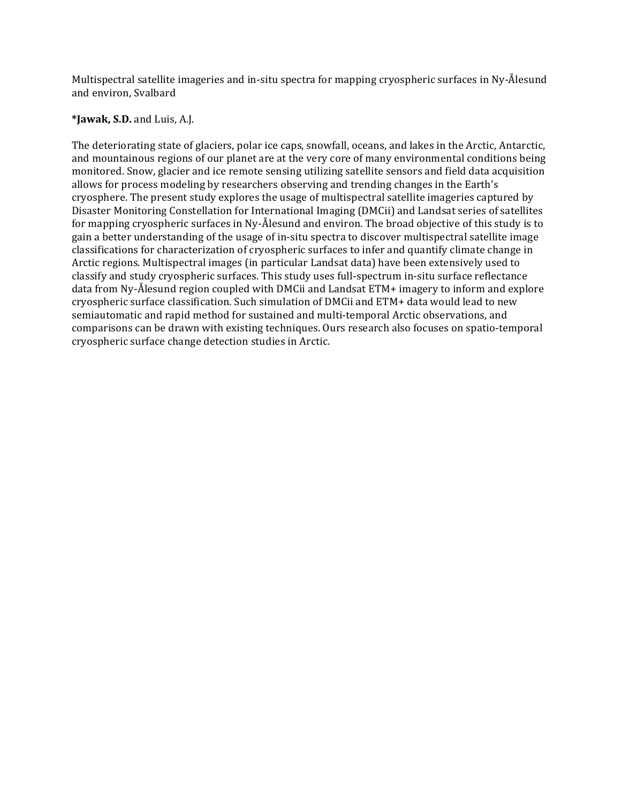Multispectral satellite imageries and in-situ spectra for mapping cryospheric surfaces in Ny-Ålesund and environ, Svalbard

### **\*Jawak, S.D.** and Luis, A.J.

The deteriorating state of glaciers, polar ice caps, snowfall, oceans, and lakes in the Arctic, Antarctic, and mountainous regions of our planet are at the very core of many environmental conditions being monitored. Snow, glacier and ice remote sensing utilizing satellite sensors and field data acquisition allows for process modeling by researchers observing and trending changes in the Earth's cryosphere. The present study explores the usage of multispectral satellite imageries captured by Disaster Monitoring Constellation for International Imaging (DMCii) and Landsat series of satellites for mapping cryospheric surfaces in Ny-Ålesund and environ. The broad objective of this study is to gain a better understanding of the usage of in-situ spectra to discover multispectral satellite image classifications for characterization of cryospheric surfaces to infer and quantify climate change in Arctic regions. Multispectral images (in particular Landsat data) have been extensively used to classify and study cryospheric surfaces. This study uses full-spectrum in-situ surface reflectance data from Ny-Ålesund region coupled with DMCii and Landsat ETM+ imagery to inform and explore cryospheric surface classification. Such simulation of DMCii and ETM+ data would lead to new semiautomatic and rapid method for sustained and multi-temporal Arctic observations, and comparisons can be drawn with existing techniques. Ours research also focuses on spatio-temporal cryospheric surface change detection studies in Arctic.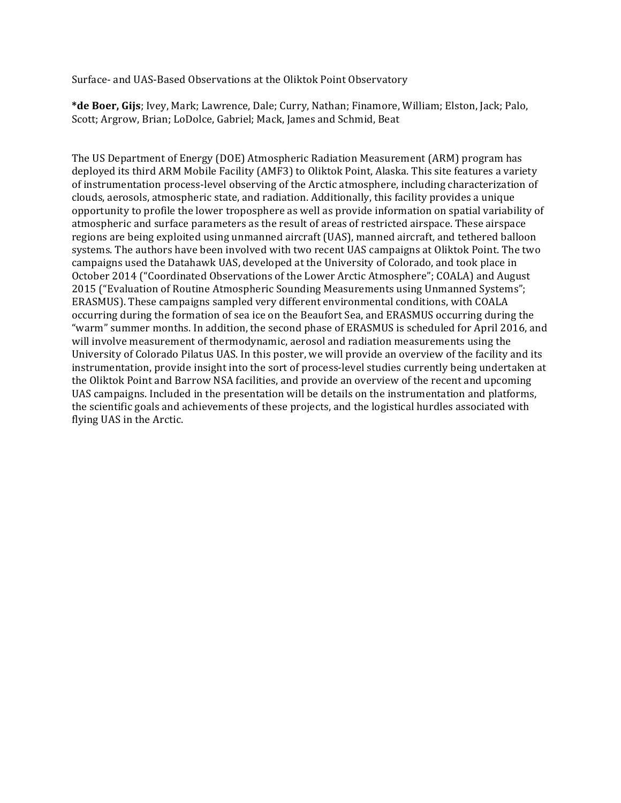Surface- and UAS-Based Observations at the Oliktok Point Observatory

\*de Boer, Gijs; Ivey, Mark; Lawrence, Dale; Curry, Nathan; Finamore, William; Elston, Jack; Palo, Scott; Argrow, Brian; LoDolce, Gabriel; Mack, James and Schmid, Beat

The US Department of Energy (DOE) Atmospheric Radiation Measurement (ARM) program has deployed its third ARM Mobile Facility (AMF3) to Oliktok Point, Alaska. This site features a variety of instrumentation process-level observing of the Arctic atmosphere, including characterization of clouds, aerosols, atmospheric state, and radiation. Additionally, this facility provides a unique opportunity to profile the lower troposphere as well as provide information on spatial variability of atmospheric and surface parameters as the result of areas of restricted airspace. These airspace regions are being exploited using unmanned aircraft (UAS), manned aircraft, and tethered balloon systems. The authors have been involved with two recent UAS campaigns at Oliktok Point. The two campaigns used the Datahawk UAS, developed at the University of Colorado, and took place in October 2014 ("Coordinated Observations of the Lower Arctic Atmosphere"; COALA) and August 2015 ("Evaluation of Routine Atmospheric Sounding Measurements using Unmanned Systems"; ERASMUS). These campaigns sampled very different environmental conditions, with COALA occurring during the formation of sea ice on the Beaufort Sea, and ERASMUS occurring during the "warm" summer months. In addition, the second phase of ERASMUS is scheduled for April 2016, and will involve measurement of thermodynamic, aerosol and radiation measurements using the University of Colorado Pilatus UAS. In this poster, we will provide an overview of the facility and its instrumentation, provide insight into the sort of process-level studies currently being undertaken at the Oliktok Point and Barrow NSA facilities, and provide an overview of the recent and upcoming UAS campaigns. Included in the presentation will be details on the instrumentation and platforms, the scientific goals and achievements of these projects, and the logistical hurdles associated with flying UAS in the Arctic.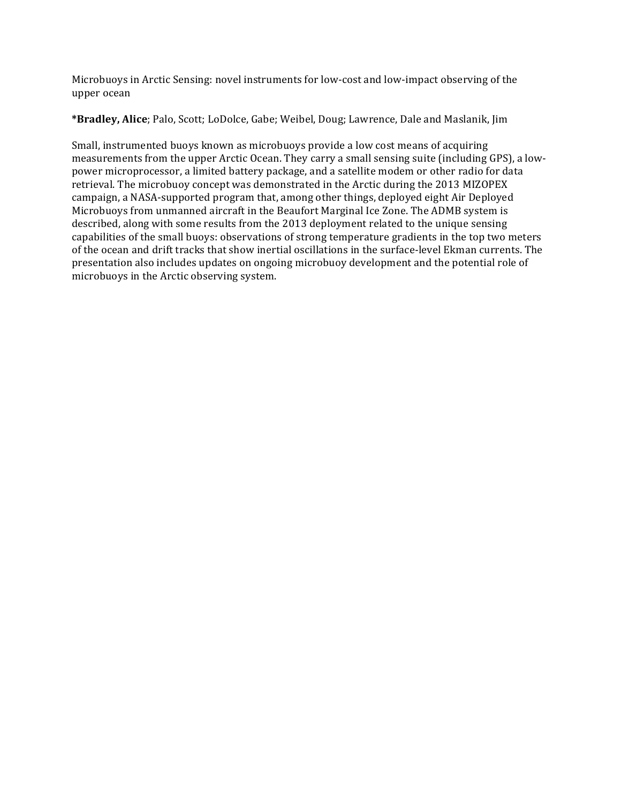Microbuoys in Arctic Sensing: novel instruments for low-cost and low-impact observing of the upper ocean

**\*Bradley, Alice**; Palo, Scott; LoDolce, Gabe; Weibel, Doug; Lawrence, Dale and Maslanik, Jim

Small, instrumented buoys known as microbuoys provide a low cost means of acquiring measurements from the upper Arctic Ocean. They carry a small sensing suite (including GPS), a lowpower microprocessor, a limited battery package, and a satellite modem or other radio for data retrieval. The microbuoy concept was demonstrated in the Arctic during the 2013 MIZOPEX campaign, a NASA-supported program that, among other things, deployed eight Air Deployed Microbuoys from unmanned aircraft in the Beaufort Marginal Ice Zone. The ADMB system is described, along with some results from the 2013 deployment related to the unique sensing capabilities of the small buoys: observations of strong temperature gradients in the top two meters of the ocean and drift tracks that show inertial oscillations in the surface-level Ekman currents. The presentation also includes updates on ongoing microbuoy development and the potential role of microbuoys in the Arctic observing system.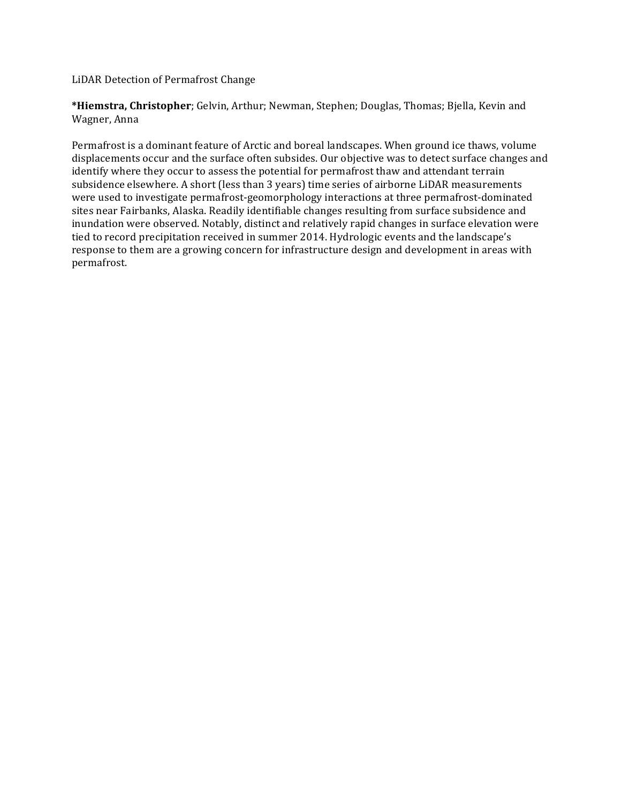LiDAR Detection of Permafrost Change

\*Hiemstra, Christopher; Gelvin, Arthur; Newman, Stephen; Douglas, Thomas; Bjella, Kevin and Wagner, Anna

Permafrost is a dominant feature of Arctic and boreal landscapes. When ground ice thaws, volume displacements occur and the surface often subsides. Our objective was to detect surface changes and identify where they occur to assess the potential for permafrost thaw and attendant terrain subsidence elsewhere. A short (less than 3 years) time series of airborne LiDAR measurements were used to investigate permafrost-geomorphology interactions at three permafrost-dominated sites near Fairbanks, Alaska. Readily identifiable changes resulting from surface subsidence and inundation were observed. Notably, distinct and relatively rapid changes in surface elevation were tied to record precipitation received in summer 2014. Hydrologic events and the landscape's response to them are a growing concern for infrastructure design and development in areas with permafrost.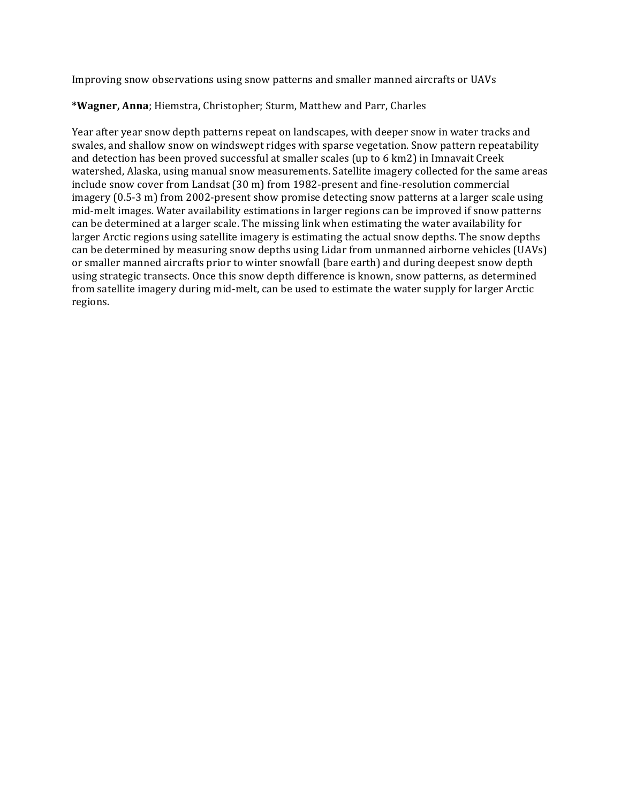Improving snow observations using snow patterns and smaller manned aircrafts or UAVs

# \*Wagner, Anna; Hiemstra, Christopher; Sturm, Matthew and Parr, Charles

Year after year snow depth patterns repeat on landscapes, with deeper snow in water tracks and swales, and shallow snow on windswept ridges with sparse vegetation. Snow pattern repeatability and detection has been proved successful at smaller scales (up to  $6 \text{ km2}$ ) in Imnavait Creek watershed, Alaska, using manual snow measurements. Satellite imagery collected for the same areas include snow cover from Landsat (30 m) from 1982-present and fine-resolution commercial imagery (0.5-3 m) from 2002-present show promise detecting snow patterns at a larger scale using mid-melt images. Water availability estimations in larger regions can be improved if snow patterns can be determined at a larger scale. The missing link when estimating the water availability for larger Arctic regions using satellite imagery is estimating the actual snow depths. The snow depths can be determined by measuring snow depths using Lidar from unmanned airborne vehicles (UAVs) or smaller manned aircrafts prior to winter snowfall (bare earth) and during deepest snow depth using strategic transects. Once this snow depth difference is known, snow patterns, as determined from satellite imagery during mid-melt, can be used to estimate the water supply for larger Arctic regions.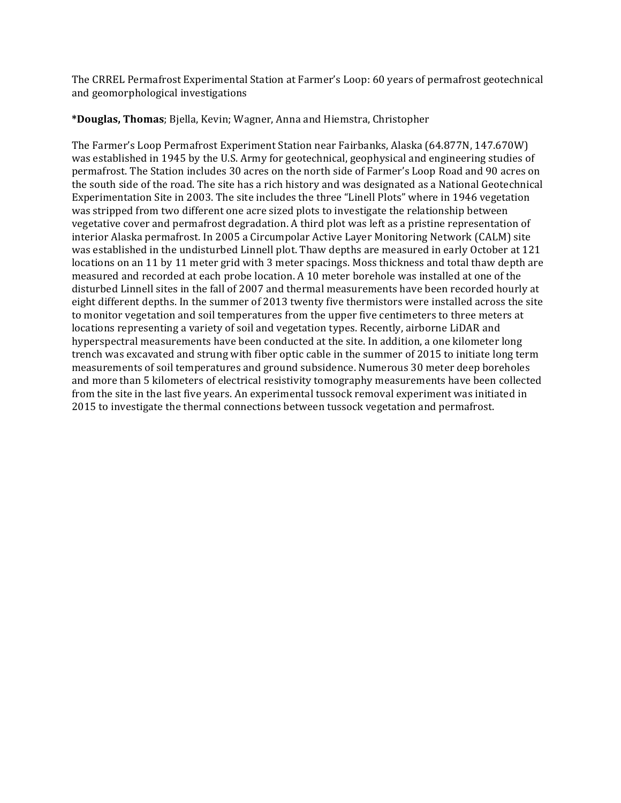The CRREL Permafrost Experimental Station at Farmer's Loop: 60 years of permafrost geotechnical and geomorphological investigations

**\*Douglas, Thomas**; Bjella, Kevin; Wagner, Anna and Hiemstra, Christopher

The Farmer's Loop Permafrost Experiment Station near Fairbanks, Alaska (64.877N, 147.670W) was established in 1945 by the U.S. Army for geotechnical, geophysical and engineering studies of permafrost. The Station includes 30 acres on the north side of Farmer's Loop Road and 90 acres on the south side of the road. The site has a rich history and was designated as a National Geotechnical Experimentation Site in 2003. The site includes the three "Linell Plots" where in 1946 vegetation was stripped from two different one acre sized plots to investigate the relationship between vegetative cover and permafrost degradation. A third plot was left as a pristine representation of interior Alaska permafrost. In 2005 a Circumpolar Active Layer Monitoring Network (CALM) site was established in the undisturbed Linnell plot. Thaw depths are measured in early October at 121 locations on an 11 by 11 meter grid with 3 meter spacings. Moss thickness and total thaw depth are measured and recorded at each probe location. A 10 meter borehole was installed at one of the disturbed Linnell sites in the fall of 2007 and thermal measurements have been recorded hourly at eight different depths. In the summer of 2013 twenty five thermistors were installed across the site to monitor vegetation and soil temperatures from the upper five centimeters to three meters at locations representing a variety of soil and vegetation types. Recently, airborne LiDAR and hyperspectral measurements have been conducted at the site. In addition, a one kilometer long trench was excavated and strung with fiber optic cable in the summer of 2015 to initiate long term measurements of soil temperatures and ground subsidence. Numerous 30 meter deep boreholes and more than 5 kilometers of electrical resistivity tomography measurements have been collected from the site in the last five years. An experimental tussock removal experiment was initiated in 2015 to investigate the thermal connections between tussock vegetation and permafrost.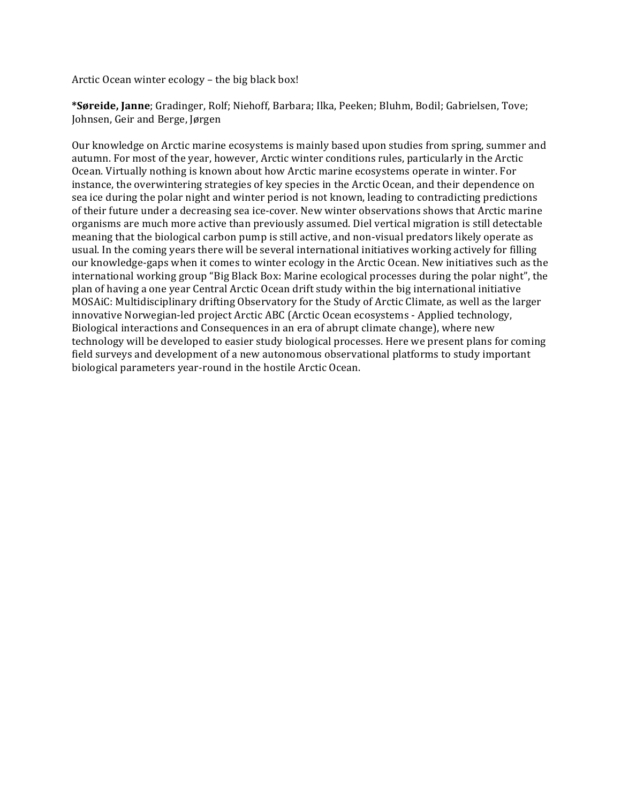Arctic Ocean winter  $ecology$  – the big black box!

**\*Søreide, Janne**; Gradinger, Rolf; Niehoff, Barbara; Ilka, Peeken; Bluhm, Bodil; Gabrielsen, Tove; Johnsen, Geir and Berge, Jørgen

Our knowledge on Arctic marine ecosystems is mainly based upon studies from spring, summer and autumn. For most of the year, however, Arctic winter conditions rules, particularly in the Arctic Ocean. Virtually nothing is known about how Arctic marine ecosystems operate in winter. For instance, the overwintering strategies of key species in the Arctic Ocean, and their dependence on sea ice during the polar night and winter period is not known, leading to contradicting predictions of their future under a decreasing sea ice-cover. New winter observations shows that Arctic marine organisms are much more active than previously assumed. Diel vertical migration is still detectable meaning that the biological carbon pump is still active, and non-visual predators likely operate as usual. In the coming years there will be several international initiatives working actively for filling our knowledge-gaps when it comes to winter ecology in the Arctic Ocean. New initiatives such as the international working group "Big Black Box: Marine ecological processes during the polar night", the plan of having a one year Central Arctic Ocean drift study within the big international initiative MOSAiC: Multidisciplinary drifting Observatory for the Study of Arctic Climate, as well as the larger innovative Norwegian-led project Arctic ABC (Arctic Ocean ecosystems - Applied technology, Biological interactions and Consequences in an era of abrupt climate change), where new technology will be developed to easier study biological processes. Here we present plans for coming field surveys and development of a new autonomous observational platforms to study important biological parameters year-round in the hostile Arctic Ocean.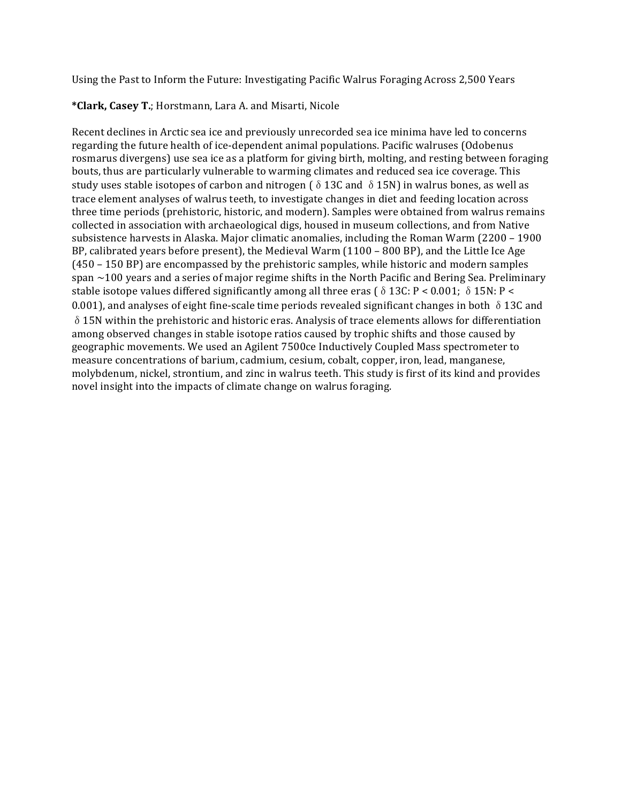Using the Past to Inform the Future: Investigating Pacific Walrus Foraging Across 2,500 Years

# \*Clark, Casey T.; Horstmann, Lara A. and Misarti, Nicole

Recent declines in Arctic sea ice and previously unrecorded sea ice minima have led to concerns regarding the future health of ice-dependent animal populations. Pacific walruses (Odobenus rosmarus divergens) use sea ice as a platform for giving birth, molting, and resting between foraging bouts, thus are particularly vulnerable to warming climates and reduced sea ice coverage. This study uses stable isotopes of carbon and nitrogen ( $\delta$  13C and  $\delta$  15N) in walrus bones, as well as trace element analyses of walrus teeth, to investigate changes in diet and feeding location across three time periods (prehistoric, historic, and modern). Samples were obtained from walrus remains collected in association with archaeological digs, housed in museum collections, and from Native subsistence harvests in Alaska. Major climatic anomalies, including the Roman Warm  $(2200 - 1900)$ BP, calibrated years before present), the Medieval Warm (1100 – 800 BP), and the Little Ice Age  $(450 - 150$  BP) are encompassed by the prehistoric samples, while historic and modern samples span  $\sim$ 100 years and a series of major regime shifts in the North Pacific and Bering Sea. Preliminary stable isotope values differed significantly among all three eras ( $\delta$  13C: P < 0.001;  $\delta$  15N: P < 0.001), and analyses of eight fine-scale time periods revealed significant changes in both  $\delta$  13C and  $\delta$  15N within the prehistoric and historic eras. Analysis of trace elements allows for differentiation among observed changes in stable isotope ratios caused by trophic shifts and those caused by geographic movements. We used an Agilent 7500ce Inductively Coupled Mass spectrometer to measure concentrations of barium, cadmium, cesium, cobalt, copper, iron, lead, manganese, molybdenum, nickel, strontium, and zinc in walrus teeth. This study is first of its kind and provides novel insight into the impacts of climate change on walrus foraging.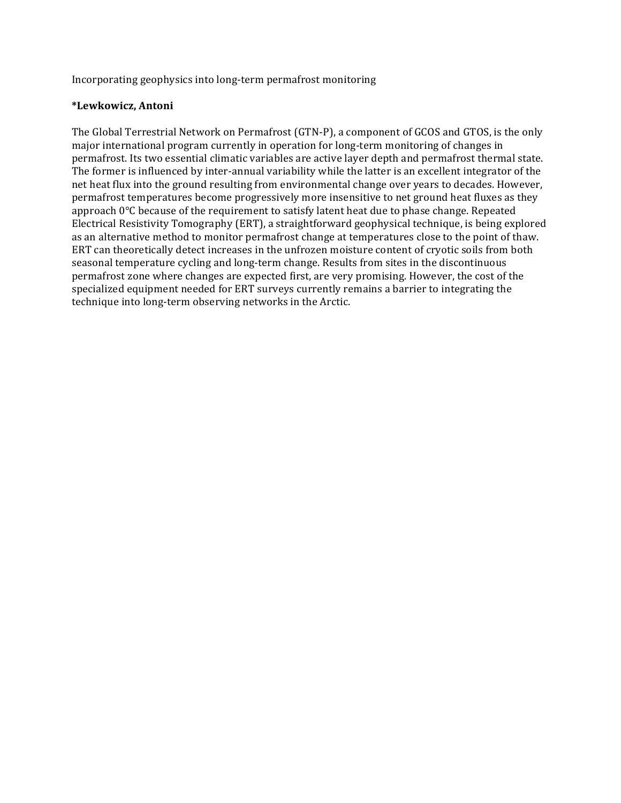Incorporating geophysics into long-term permafrost monitoring

# **\*Lewkowicz, Antoni**

The Global Terrestrial Network on Permafrost (GTN-P), a component of GCOS and GTOS, is the only major international program currently in operation for long-term monitoring of changes in permafrost. Its two essential climatic variables are active layer depth and permafrost thermal state. The former is influenced by inter-annual variability while the latter is an excellent integrator of the net heat flux into the ground resulting from environmental change over years to decades. However, permafrost temperatures become progressively more insensitive to net ground heat fluxes as they approach  $0^{\circ}$ C because of the requirement to satisfy latent heat due to phase change. Repeated Electrical Resistivity Tomography (ERT), a straightforward geophysical technique, is being explored as an alternative method to monitor permafrost change at temperatures close to the point of thaw. ERT can theoretically detect increases in the unfrozen moisture content of cryotic soils from both seasonal temperature cycling and long-term change. Results from sites in the discontinuous permafrost zone where changes are expected first, are very promising. However, the cost of the specialized equipment needed for ERT surveys currently remains a barrier to integrating the technique into long-term observing networks in the Arctic.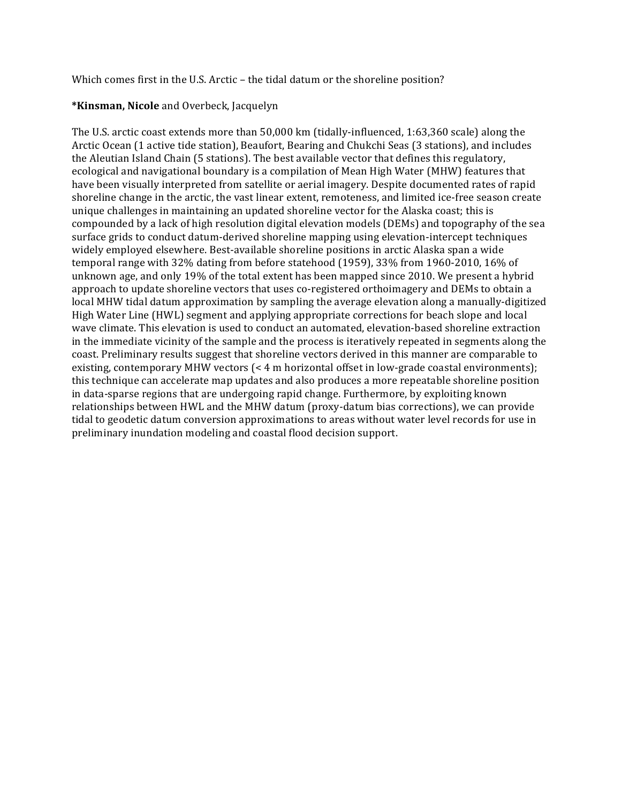Which comes first in the U.S. Arctic – the tidal datum or the shoreline position?

# **\*Kinsman, Nicole** and Overbeck, Jacquelyn

The U.S. arctic coast extends more than 50,000 km (tidally-influenced, 1:63,360 scale) along the Arctic Ocean (1 active tide station), Beaufort, Bearing and Chukchi Seas (3 stations), and includes the Aleutian Island Chain (5 stations). The best available vector that defines this regulatory, ecological and navigational boundary is a compilation of Mean High Water (MHW) features that have been visually interpreted from satellite or aerial imagery. Despite documented rates of rapid shoreline change in the arctic, the vast linear extent, remoteness, and limited ice-free season create unique challenges in maintaining an updated shoreline vector for the Alaska coast; this is compounded by a lack of high resolution digital elevation models (DEMs) and topography of the sea surface grids to conduct datum-derived shoreline mapping using elevation-intercept techniques widely employed elsewhere. Best-available shoreline positions in arctic Alaska span a wide temporal range with  $32\%$  dating from before statehood (1959),  $33\%$  from 1960-2010, 16% of unknown age, and only 19% of the total extent has been mapped since 2010. We present a hybrid approach to update shoreline vectors that uses co-registered orthoimagery and DEMs to obtain a local MHW tidal datum approximation by sampling the average elevation along a manually-digitized High Water Line (HWL) segment and applying appropriate corrections for beach slope and local wave climate. This elevation is used to conduct an automated, elevation-based shoreline extraction in the immediate vicinity of the sample and the process is iteratively repeated in segments along the coast. Preliminary results suggest that shoreline vectors derived in this manner are comparable to existing, contemporary MHW vectors (< 4 m horizontal offset in low-grade coastal environments); this technique can accelerate map updates and also produces a more repeatable shoreline position in data-sparse regions that are undergoing rapid change. Furthermore, by exploiting known relationships between HWL and the MHW datum (proxy-datum bias corrections), we can provide tidal to geodetic datum conversion approximations to areas without water level records for use in preliminary inundation modeling and coastal flood decision support.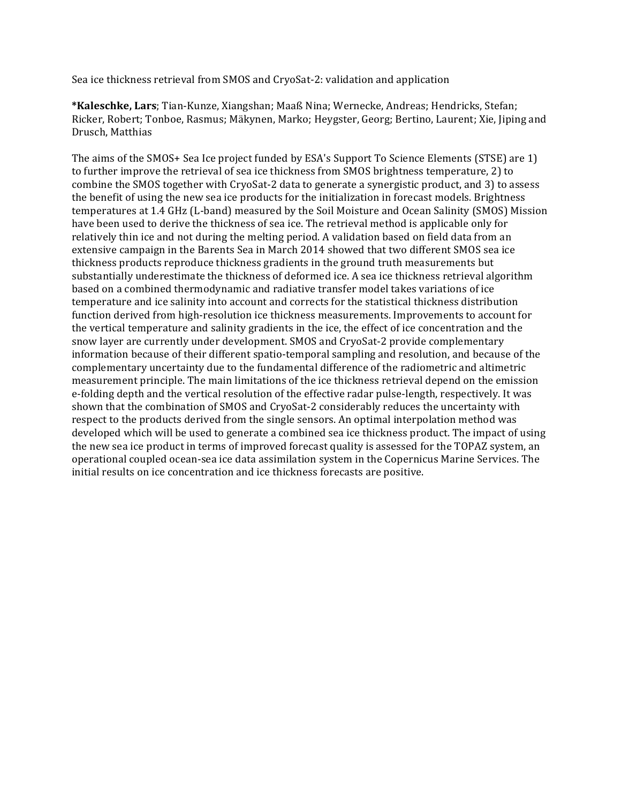Sea ice thickness retrieval from SMOS and CryoSat-2: validation and application

\*Kaleschke, Lars; Tian-Kunze, Xiangshan; Maaß Nina; Wernecke, Andreas; Hendricks, Stefan; Ricker, Robert; Tonboe, Rasmus; Mäkynen, Marko; Heygster, Georg; Bertino, Laurent; Xie, Jiping and Drusch, Matthias

The aims of the SMOS+ Sea Ice project funded by ESA's Support To Science Elements (STSE) are 1) to further improve the retrieval of sea ice thickness from SMOS brightness temperature, 2) to combine the SMOS together with CryoSat-2 data to generate a synergistic product, and 3) to assess the benefit of using the new sea ice products for the initialization in forecast models. Brightness temperatures at 1.4 GHz (L-band) measured by the Soil Moisture and Ocean Salinity (SMOS) Mission have been used to derive the thickness of sea ice. The retrieval method is applicable only for relatively thin ice and not during the melting period. A validation based on field data from an extensive campaign in the Barents Sea in March 2014 showed that two different SMOS sea ice thickness products reproduce thickness gradients in the ground truth measurements but substantially underestimate the thickness of deformed ice. A sea ice thickness retrieval algorithm based on a combined thermodynamic and radiative transfer model takes variations of ice temperature and ice salinity into account and corrects for the statistical thickness distribution function derived from high-resolution ice thickness measurements. Improvements to account for the vertical temperature and salinity gradients in the ice, the effect of ice concentration and the snow layer are currently under development. SMOS and CryoSat-2 provide complementary information because of their different spatio-temporal sampling and resolution, and because of the complementary uncertainty due to the fundamental difference of the radiometric and altimetric measurement principle. The main limitations of the ice thickness retrieval depend on the emission e-folding depth and the vertical resolution of the effective radar pulse-length, respectively. It was shown that the combination of SMOS and CryoSat-2 considerably reduces the uncertainty with respect to the products derived from the single sensors. An optimal interpolation method was developed which will be used to generate a combined sea ice thickness product. The impact of using the new sea ice product in terms of improved forecast quality is assessed for the TOPAZ system, an operational coupled ocean-sea ice data assimilation system in the Copernicus Marine Services. The initial results on ice concentration and ice thickness forecasts are positive.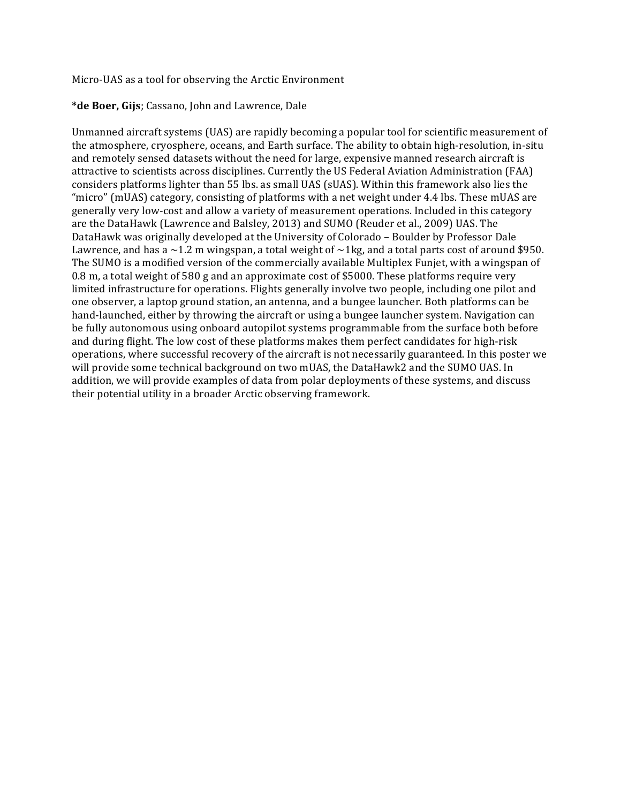Micro-UAS as a tool for observing the Arctic Environment

# \*de Boer, Gijs; Cassano, John and Lawrence, Dale

Unmanned aircraft systems (UAS) are rapidly becoming a popular tool for scientific measurement of the atmosphere, cryosphere, oceans, and Earth surface. The ability to obtain high-resolution, in-situ and remotely sensed datasets without the need for large, expensive manned research aircraft is attractive to scientists across disciplines. Currently the US Federal Aviation Administration (FAA) considers platforms lighter than 55 lbs. as small UAS (sUAS). Within this framework also lies the "micro" (mUAS) category, consisting of platforms with a net weight under  $4.4$  lbs. These mUAS are generally very low-cost and allow a variety of measurement operations. Included in this category are the DataHawk (Lawrence and Balsley, 2013) and SUMO (Reuder et al., 2009) UAS. The DataHawk was originally developed at the University of Colorado - Boulder by Professor Dale Lawrence, and has a  $\sim$ 1.2 m wingspan, a total weight of  $\sim$ 1kg, and a total parts cost of around \$950. The SUMO is a modified version of the commercially available Multiplex Funjet, with a wingspan of 0.8 m, a total weight of 580 g and an approximate cost of \$5000. These platforms require very limited infrastructure for operations. Flights generally involve two people, including one pilot and one observer, a laptop ground station, an antenna, and a bungee launcher. Both platforms can be hand-launched, either by throwing the aircraft or using a bungee launcher system. Navigation can be fully autonomous using onboard autopilot systems programmable from the surface both before and during flight. The low cost of these platforms makes them perfect candidates for high-risk operations, where successful recovery of the aircraft is not necessarily guaranteed. In this poster we will provide some technical background on two mUAS, the DataHawk2 and the SUMO UAS. In addition, we will provide examples of data from polar deployments of these systems, and discuss their potential utility in a broader Arctic observing framework.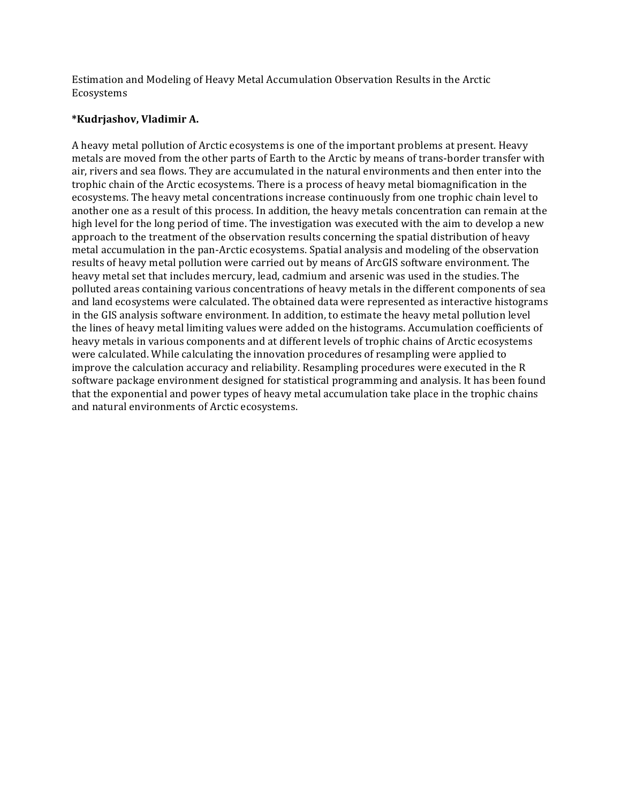Estimation and Modeling of Heavy Metal Accumulation Observation Results in the Arctic Ecosystems 

# **\*Kudrjashov, Vladimir A.**

A heavy metal pollution of Arctic ecosystems is one of the important problems at present. Heavy metals are moved from the other parts of Earth to the Arctic by means of trans-border transfer with air, rivers and sea flows. They are accumulated in the natural environments and then enter into the trophic chain of the Arctic ecosystems. There is a process of heavy metal biomagnification in the ecosystems. The heavy metal concentrations increase continuously from one trophic chain level to another one as a result of this process. In addition, the heavy metals concentration can remain at the high level for the long period of time. The investigation was executed with the aim to develop a new approach to the treatment of the observation results concerning the spatial distribution of heavy metal accumulation in the pan-Arctic ecosystems. Spatial analysis and modeling of the observation results of heavy metal pollution were carried out by means of ArcGIS software environment. The heavy metal set that includes mercury, lead, cadmium and arsenic was used in the studies. The polluted areas containing various concentrations of heavy metals in the different components of sea and land ecosystems were calculated. The obtained data were represented as interactive histograms in the GIS analysis software environment. In addition, to estimate the heavy metal pollution level the lines of heavy metal limiting values were added on the histograms. Accumulation coefficients of heavy metals in various components and at different levels of trophic chains of Arctic ecosystems were calculated. While calculating the innovation procedures of resampling were applied to improve the calculation accuracy and reliability. Resampling procedures were executed in the R software package environment designed for statistical programming and analysis. It has been found that the exponential and power types of heavy metal accumulation take place in the trophic chains and natural environments of Arctic ecosystems.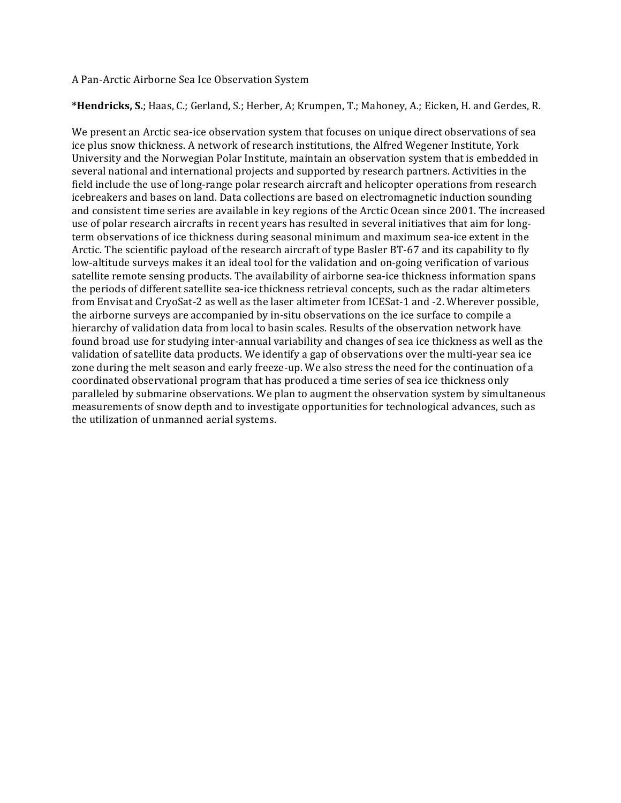#### A Pan-Arctic Airborne Sea Ice Observation System

\*Hendricks, S.; Haas, C.; Gerland, S.; Herber, A; Krumpen, T.; Mahoney, A.; Eicken, H. and Gerdes, R.

We present an Arctic sea-ice observation system that focuses on unique direct observations of sea ice plus snow thickness. A network of research institutions, the Alfred Wegener Institute, York University and the Norwegian Polar Institute, maintain an observation system that is embedded in several national and international projects and supported by research partners. Activities in the field include the use of long-range polar research aircraft and helicopter operations from research icebreakers and bases on land. Data collections are based on electromagnetic induction sounding and consistent time series are available in key regions of the Arctic Ocean since 2001. The increased use of polar research aircrafts in recent years has resulted in several initiatives that aim for longterm observations of ice thickness during seasonal minimum and maximum sea-ice extent in the Arctic. The scientific payload of the research aircraft of type Basler BT-67 and its capability to fly low-altitude surveys makes it an ideal tool for the validation and on-going verification of various satellite remote sensing products. The availability of airborne sea-ice thickness information spans the periods of different satellite sea-ice thickness retrieval concepts, such as the radar altimeters from Envisat and CryoSat-2 as well as the laser altimeter from ICESat-1 and -2. Wherever possible, the airborne surveys are accompanied by in-situ observations on the ice surface to compile a hierarchy of validation data from local to basin scales. Results of the observation network have found broad use for studying inter-annual variability and changes of sea ice thickness as well as the validation of satellite data products. We identify a gap of observations over the multi-year sea ice zone during the melt season and early freeze-up. We also stress the need for the continuation of a coordinated observational program that has produced a time series of sea ice thickness only paralleled by submarine observations. We plan to augment the observation system by simultaneous measurements of snow depth and to investigate opportunities for technological advances, such as the utilization of unmanned aerial systems.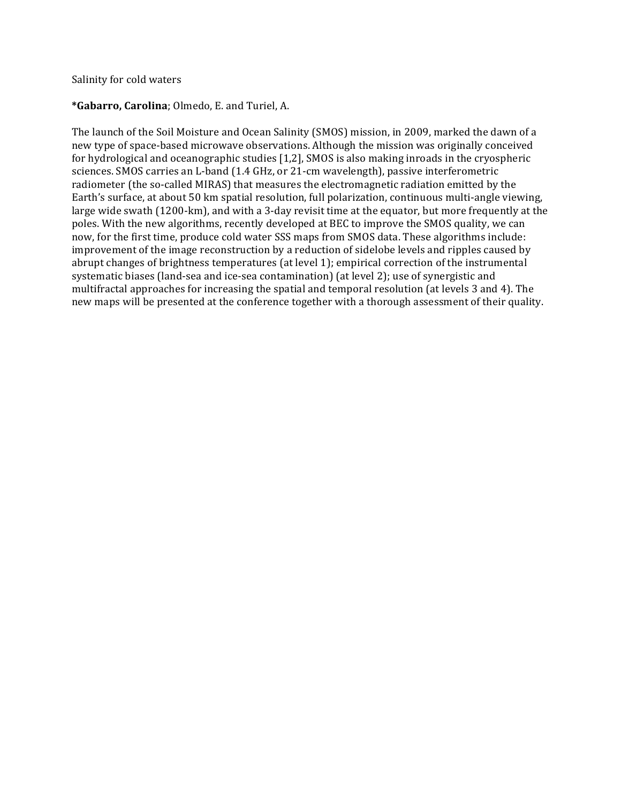### Salinity for cold waters

### **\*Gabarro, Carolina**; Olmedo, E. and Turiel, A.

The launch of the Soil Moisture and Ocean Salinity (SMOS) mission, in 2009, marked the dawn of a new type of space-based microwave observations. Although the mission was originally conceived for hydrological and oceanographic studies [1,2], SMOS is also making inroads in the cryospheric sciences. SMOS carries an L-band (1.4 GHz, or 21-cm wavelength), passive interferometric radiometer (the so-called MIRAS) that measures the electromagnetic radiation emitted by the Earth's surface, at about 50 km spatial resolution, full polarization, continuous multi-angle viewing, large wide swath (1200-km), and with a 3-day revisit time at the equator, but more frequently at the poles. With the new algorithms, recently developed at BEC to improve the SMOS quality, we can now, for the first time, produce cold water SSS maps from SMOS data. These algorithms include: improvement of the image reconstruction by a reduction of sidelobe levels and ripples caused by abrupt changes of brightness temperatures (at level 1); empirical correction of the instrumental systematic biases (land-sea and ice-sea contamination) (at level 2); use of synergistic and multifractal approaches for increasing the spatial and temporal resolution (at levels 3 and 4). The new maps will be presented at the conference together with a thorough assessment of their quality.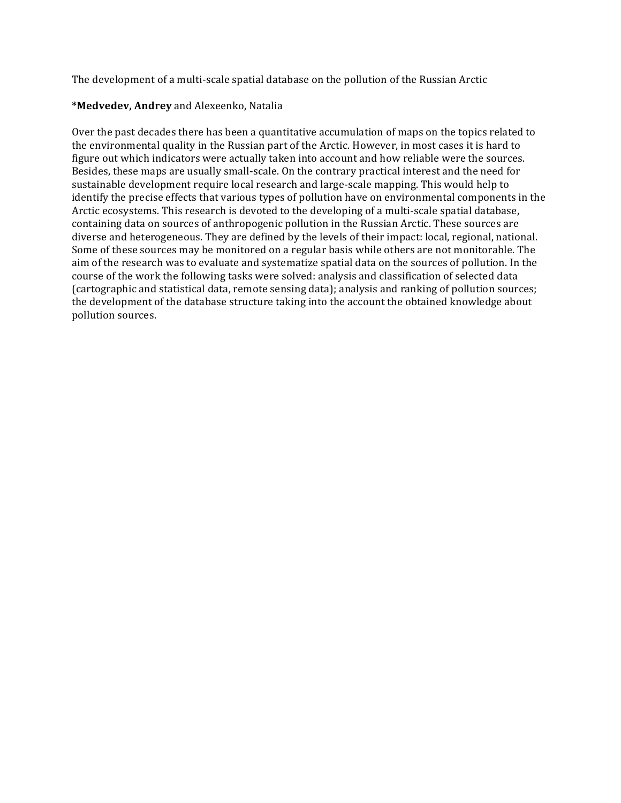The development of a multi-scale spatial database on the pollution of the Russian Arctic

# **\*Medvedev, Andrey** and Alexeenko, Natalia

Over the past decades there has been a quantitative accumulation of maps on the topics related to the environmental quality in the Russian part of the Arctic. However, in most cases it is hard to figure out which indicators were actually taken into account and how reliable were the sources. Besides, these maps are usually small-scale. On the contrary practical interest and the need for sustainable development require local research and large-scale mapping. This would help to identify the precise effects that various types of pollution have on environmental components in the Arctic ecosystems. This research is devoted to the developing of a multi-scale spatial database, containing data on sources of anthropogenic pollution in the Russian Arctic. These sources are diverse and heterogeneous. They are defined by the levels of their impact: local, regional, national. Some of these sources may be monitored on a regular basis while others are not monitorable. The aim of the research was to evaluate and systematize spatial data on the sources of pollution. In the course of the work the following tasks were solved: analysis and classification of selected data (cartographic and statistical data, remote sensing data); analysis and ranking of pollution sources; the development of the database structure taking into the account the obtained knowledge about pollution sources.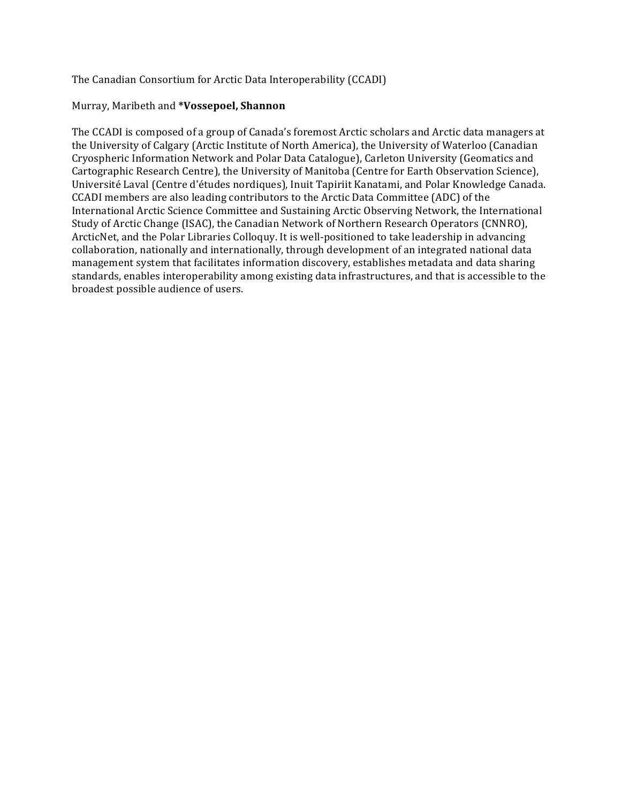The Canadian Consortium for Arctic Data Interoperability (CCADI)

### Murray, Maribeth and **\*Vossepoel, Shannon**

The CCADI is composed of a group of Canada's foremost Arctic scholars and Arctic data managers at the University of Calgary (Arctic Institute of North America), the University of Waterloo (Canadian Cryospheric Information Network and Polar Data Catalogue), Carleton University (Geomatics and Cartographic Research Centre), the University of Manitoba (Centre for Earth Observation Science), Université Laval (Centre d'études nordiques), Inuit Tapiriit Kanatami, and Polar Knowledge Canada. CCADI members are also leading contributors to the Arctic Data Committee (ADC) of the International Arctic Science Committee and Sustaining Arctic Observing Network, the International Study of Arctic Change (ISAC), the Canadian Network of Northern Research Operators (CNNRO), ArcticNet, and the Polar Libraries Colloquy. It is well-positioned to take leadership in advancing collaboration, nationally and internationally, through development of an integrated national data management system that facilitates information discovery, establishes metadata and data sharing standards, enables interoperability among existing data infrastructures, and that is accessible to the broadest possible audience of users.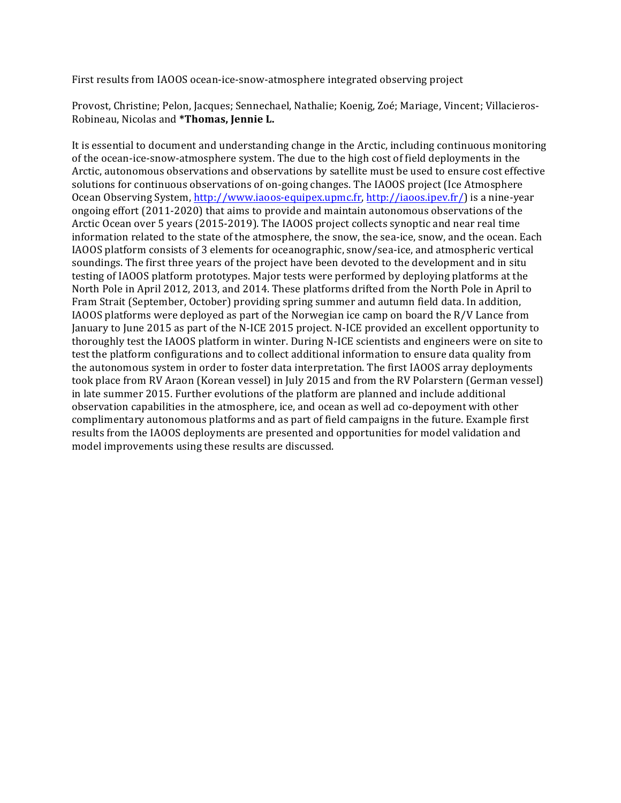First results from IAOOS ocean-ice-snow-atmosphere integrated observing project

Provost, Christine; Pelon, Jacques; Sennechael, Nathalie; Koenig, Zoé; Mariage, Vincent; Villacieros-Robineau, Nicolas and **\*Thomas, Jennie L.** 

It is essential to document and understanding change in the Arctic, including continuous monitoring of the ocean-ice-snow-atmosphere system. The due to the high cost of field deployments in the Arctic, autonomous observations and observations by satellite must be used to ensure cost effective solutions for continuous observations of on-going changes. The IAOOS project (Ice Atmosphere Ocean Observing System, http://www.iaoos-equipex.upmc.fr, http://iaoos.ipev.fr/) is a nine-year ongoing effort  $(2011-2020)$  that aims to provide and maintain autonomous observations of the Arctic Ocean over 5 years (2015-2019). The IAOOS project collects synoptic and near real time information related to the state of the atmosphere, the snow, the sea-ice, snow, and the ocean. Each IAOOS platform consists of 3 elements for oceanographic, snow/sea-ice, and atmospheric vertical soundings. The first three years of the project have been devoted to the development and in situ testing of IAOOS platform prototypes. Major tests were performed by deploying platforms at the North Pole in April 2012, 2013, and 2014. These platforms drifted from the North Pole in April to Fram Strait (September, October) providing spring summer and autumn field data. In addition, IAOOS platforms were deployed as part of the Norwegian ice camp on board the R/V Lance from January to June 2015 as part of the N-ICE 2015 project. N-ICE provided an excellent opportunity to thoroughly test the IAOOS platform in winter. During N-ICE scientists and engineers were on site to test the platform configurations and to collect additional information to ensure data quality from the autonomous system in order to foster data interpretation. The first IAOOS array deployments took place from RV Araon (Korean vessel) in July 2015 and from the RV Polarstern (German vessel) in late summer 2015. Further evolutions of the platform are planned and include additional observation capabilities in the atmosphere, ice, and ocean as well ad co-depoyment with other complimentary autonomous platforms and as part of field campaigns in the future. Example first results from the IAOOS deployments are presented and opportunities for model validation and model improvements using these results are discussed.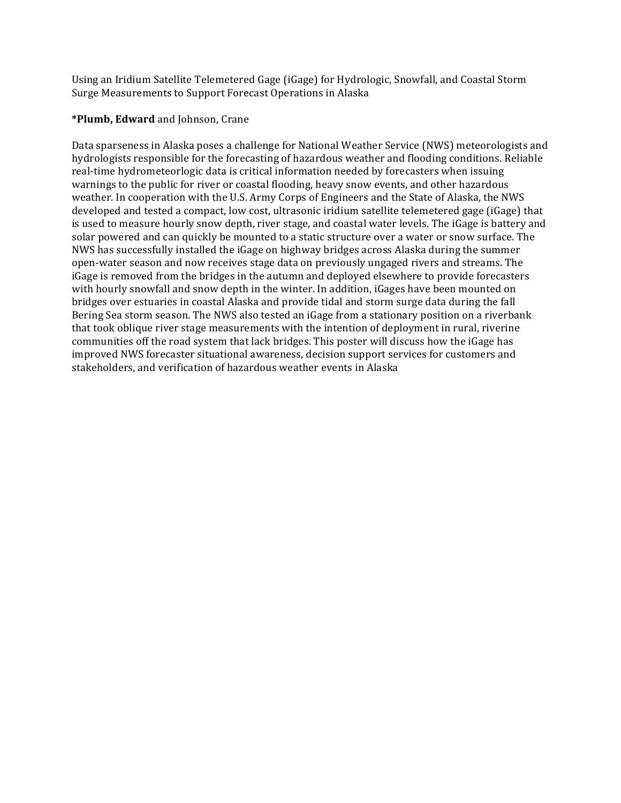Using an Iridium Satellite Telemetered Gage (iGage) for Hydrologic, Snowfall, and Coastal Storm Surge Measurements to Support Forecast Operations in Alaska

# **\*Plumb, Edward** and Johnson, Crane

Data sparseness in Alaska poses a challenge for National Weather Service (NWS) meteorologists and hydrologists responsible for the forecasting of hazardous weather and flooding conditions. Reliable real-time hydrometeorlogic data is critical information needed by forecasters when issuing warnings to the public for river or coastal flooding, heavy snow events, and other hazardous weather. In cooperation with the U.S. Army Corps of Engineers and the State of Alaska, the NWS developed and tested a compact, low cost, ultrasonic iridium satellite telemetered gage (iGage) that is used to measure hourly snow depth, river stage, and coastal water levels. The iGage is battery and solar powered and can quickly be mounted to a static structure over a water or snow surface. The NWS has successfully installed the iGage on highway bridges across Alaska during the summer open-water season and now receives stage data on previously ungaged rivers and streams. The iGage is removed from the bridges in the autumn and deployed elsewhere to provide forecasters with hourly snowfall and snow depth in the winter. In addition, iGages have been mounted on bridges over estuaries in coastal Alaska and provide tidal and storm surge data during the fall Bering Sea storm season. The NWS also tested an iGage from a stationary position on a riverbank that took oblique river stage measurements with the intention of deployment in rural, riverine communities off the road system that lack bridges. This poster will discuss how the iGage has improved NWS forecaster situational awareness, decision support services for customers and stakeholders, and verification of hazardous weather events in Alaska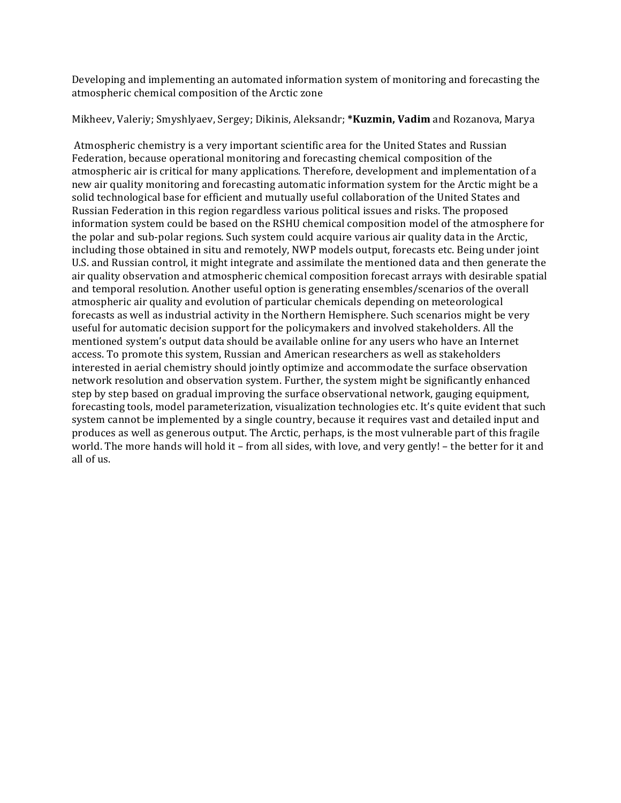Developing and implementing an automated information system of monitoring and forecasting the atmospheric chemical composition of the Arctic zone

Mikheev, Valeriy; Smyshlyaev, Sergey; Dikinis, Aleksandr; **\*Kuzmin, Vadim** and Rozanova, Marya

Atmospheric chemistry is a very important scientific area for the United States and Russian Federation, because operational monitoring and forecasting chemical composition of the atmospheric air is critical for many applications. Therefore, development and implementation of a new air quality monitoring and forecasting automatic information system for the Arctic might be a solid technological base for efficient and mutually useful collaboration of the United States and Russian Federation in this region regardless various political issues and risks. The proposed information system could be based on the RSHU chemical composition model of the atmosphere for the polar and sub-polar regions. Such system could acquire various air quality data in the Arctic, including those obtained in situ and remotely, NWP models output, forecasts etc. Being under joint U.S. and Russian control, it might integrate and assimilate the mentioned data and then generate the air quality observation and atmospheric chemical composition forecast arrays with desirable spatial and temporal resolution. Another useful option is generating ensembles/scenarios of the overall atmospheric air quality and evolution of particular chemicals depending on meteorological forecasts as well as industrial activity in the Northern Hemisphere. Such scenarios might be very useful for automatic decision support for the policymakers and involved stakeholders. All the mentioned system's output data should be available online for any users who have an Internet access. To promote this system, Russian and American researchers as well as stakeholders interested in aerial chemistry should jointly optimize and accommodate the surface observation network resolution and observation system. Further, the system might be significantly enhanced step by step based on gradual improving the surface observational network, gauging equipment, forecasting tools, model parameterization, visualization technologies etc. It's quite evident that such system cannot be implemented by a single country, because it requires vast and detailed input and produces as well as generous output. The Arctic, perhaps, is the most vulnerable part of this fragile world. The more hands will hold it – from all sides, with love, and very gently! – the better for it and all of us.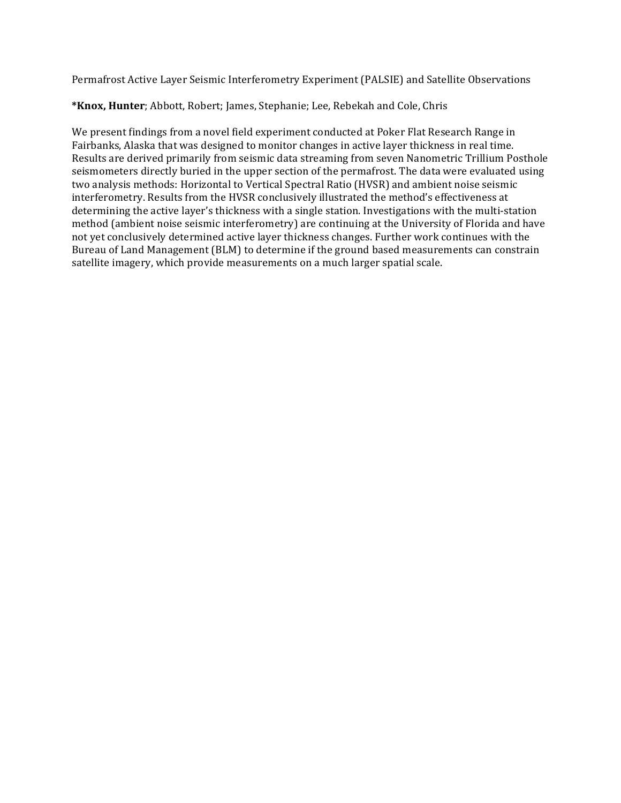Permafrost Active Layer Seismic Interferometry Experiment (PALSIE) and Satellite Observations

\*Knox, Hunter; Abbott, Robert; James, Stephanie; Lee, Rebekah and Cole, Chris

We present findings from a novel field experiment conducted at Poker Flat Research Range in Fairbanks, Alaska that was designed to monitor changes in active layer thickness in real time. Results are derived primarily from seismic data streaming from seven Nanometric Trillium Posthole seismometers directly buried in the upper section of the permafrost. The data were evaluated using two analysis methods: Horizontal to Vertical Spectral Ratio (HVSR) and ambient noise seismic interferometry. Results from the HVSR conclusively illustrated the method's effectiveness at determining the active layer's thickness with a single station. Investigations with the multi-station method (ambient noise seismic interferometry) are continuing at the University of Florida and have not yet conclusively determined active layer thickness changes. Further work continues with the Bureau of Land Management (BLM) to determine if the ground based measurements can constrain satellite imagery, which provide measurements on a much larger spatial scale.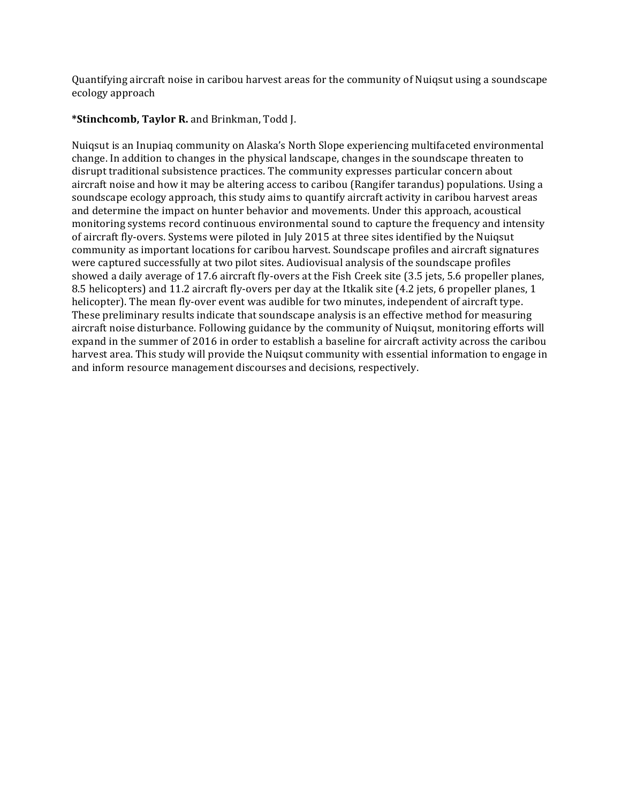Quantifying aircraft noise in caribou harvest areas for the community of Nuiqsut using a soundscape ecology approach

# \*Stinchcomb, Taylor R. and Brinkman, Todd J.

Nuiqsut is an Inupiaq community on Alaska's North Slope experiencing multifaceted environmental change. In addition to changes in the physical landscape, changes in the soundscape threaten to disrupt traditional subsistence practices. The community expresses particular concern about aircraft noise and how it may be altering access to caribou (Rangifer tarandus) populations. Using a soundscape ecology approach, this study aims to quantify aircraft activity in caribou harvest areas and determine the impact on hunter behavior and movements. Under this approach, acoustical monitoring systems record continuous environmental sound to capture the frequency and intensity of aircraft fly-overs. Systems were piloted in July 2015 at three sites identified by the Nuiqsut community as important locations for caribou harvest. Soundscape profiles and aircraft signatures were captured successfully at two pilot sites. Audiovisual analysis of the soundscape profiles showed a daily average of 17.6 aircraft fly-overs at the Fish Creek site (3.5 jets, 5.6 propeller planes, 8.5 helicopters) and 11.2 aircraft fly-overs per day at the Itkalik site (4.2 jets, 6 propeller planes, 1 helicopter). The mean fly-over event was audible for two minutes, independent of aircraft type. These preliminary results indicate that soundscape analysis is an effective method for measuring aircraft noise disturbance. Following guidance by the community of Nuiqsut, monitoring efforts will expand in the summer of 2016 in order to establish a baseline for aircraft activity across the caribou harvest area. This study will provide the Nuiqsut community with essential information to engage in and inform resource management discourses and decisions, respectively.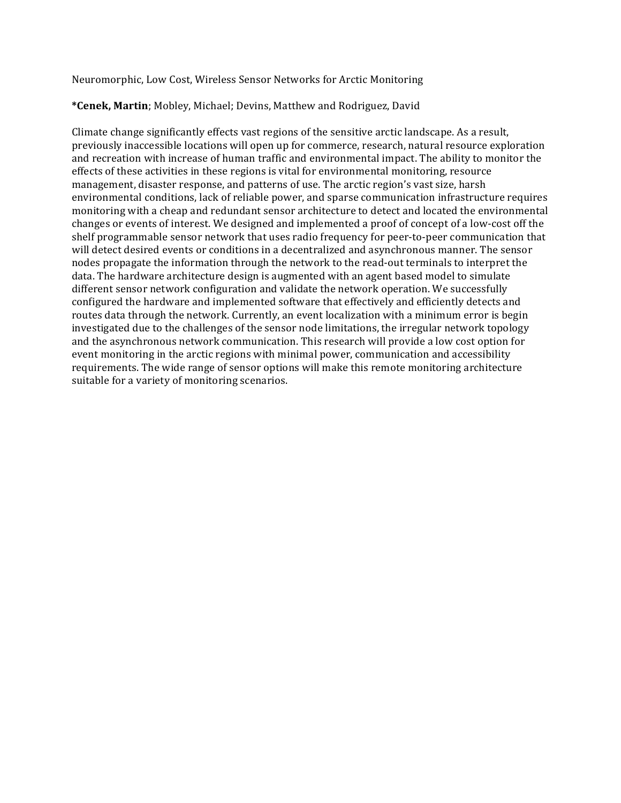Neuromorphic, Low Cost, Wireless Sensor Networks for Arctic Monitoring

# **\*Cenek, Martin**; Mobley, Michael; Devins, Matthew and Rodriguez, David

Climate change significantly effects vast regions of the sensitive arctic landscape. As a result, previously inaccessible locations will open up for commerce, research, natural resource exploration and recreation with increase of human traffic and environmental impact. The ability to monitor the effects of these activities in these regions is vital for environmental monitoring, resource management, disaster response, and patterns of use. The arctic region's vast size, harsh environmental conditions, lack of reliable power, and sparse communication infrastructure requires monitoring with a cheap and redundant sensor architecture to detect and located the environmental changes or events of interest. We designed and implemented a proof of concept of a low-cost off the shelf programmable sensor network that uses radio frequency for peer-to-peer communication that will detect desired events or conditions in a decentralized and asynchronous manner. The sensor nodes propagate the information through the network to the read-out terminals to interpret the data. The hardware architecture design is augmented with an agent based model to simulate different sensor network configuration and validate the network operation. We successfully configured the hardware and implemented software that effectively and efficiently detects and routes data through the network. Currently, an event localization with a minimum error is begin investigated due to the challenges of the sensor node limitations, the irregular network topology and the asynchronous network communication. This research will provide a low cost option for event monitoring in the arctic regions with minimal power, communication and accessibility requirements. The wide range of sensor options will make this remote monitoring architecture suitable for a variety of monitoring scenarios.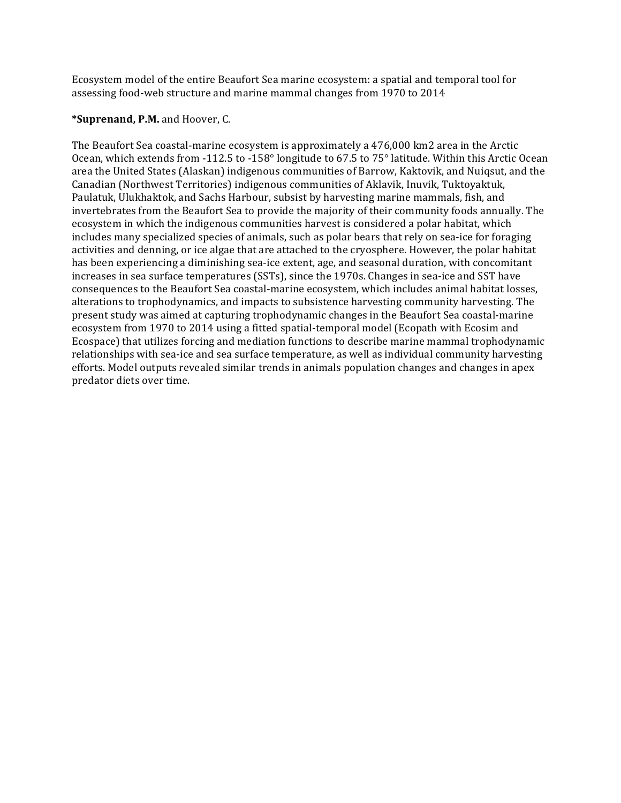Ecosystem model of the entire Beaufort Sea marine ecosystem: a spatial and temporal tool for assessing food-web structure and marine mammal changes from 1970 to 2014

# \*Suprenand, P.M. and Hoover, C.

The Beaufort Sea coastal-marine ecosystem is approximately a 476,000 km2 area in the Arctic Ocean, which extends from -112.5 to -158 $\degree$  longitude to 67.5 to 75 $\degree$  latitude. Within this Arctic Ocean area the United States (Alaskan) indigenous communities of Barrow, Kaktovik, and Nuiqsut, and the Canadian (Northwest Territories) indigenous communities of Aklavik, Inuvik, Tuktoyaktuk, Paulatuk, Ulukhaktok, and Sachs Harbour, subsist by harvesting marine mammals, fish, and invertebrates from the Beaufort Sea to provide the majority of their community foods annually. The ecosystem in which the indigenous communities harvest is considered a polar habitat, which includes many specialized species of animals, such as polar bears that rely on sea-ice for foraging activities and denning, or ice algae that are attached to the cryosphere. However, the polar habitat has been experiencing a diminishing sea-ice extent, age, and seasonal duration, with concomitant increases in sea surface temperatures (SSTs), since the 1970s. Changes in sea-ice and SST have consequences to the Beaufort Sea coastal-marine ecosystem, which includes animal habitat losses, alterations to trophodynamics, and impacts to subsistence harvesting community harvesting. The present study was aimed at capturing trophodynamic changes in the Beaufort Sea coastal-marine ecosystem from 1970 to 2014 using a fitted spatial-temporal model (Ecopath with Ecosim and Ecospace) that utilizes forcing and mediation functions to describe marine mammal trophodynamic relationships with sea-ice and sea surface temperature, as well as individual community harvesting efforts. Model outputs revealed similar trends in animals population changes and changes in apex predator diets over time.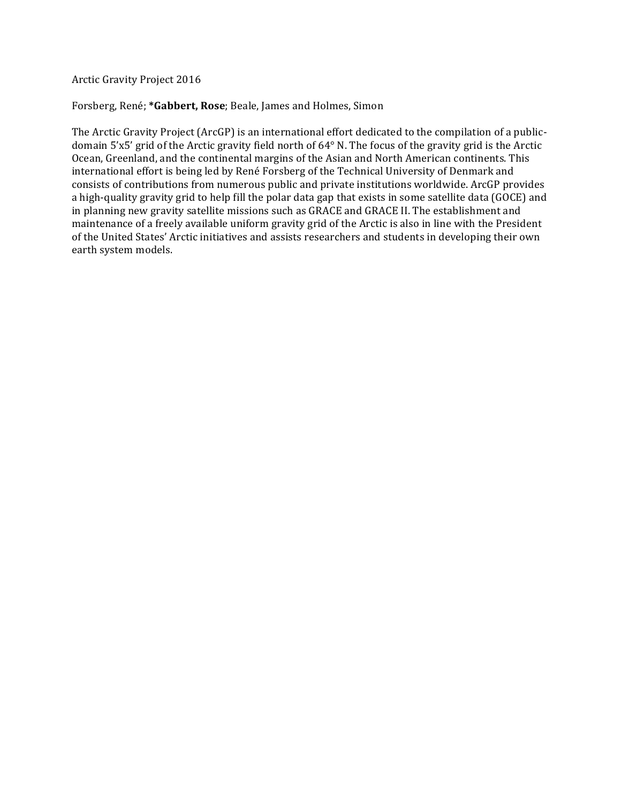Arctic Gravity Project 2016

Forsberg, René; \*Gabbert, Rose; Beale, James and Holmes, Simon

The Arctic Gravity Project (ArcGP) is an international effort dedicated to the compilation of a publicdomain 5'x5' grid of the Arctic gravity field north of 64° N. The focus of the gravity grid is the Arctic Ocean, Greenland, and the continental margins of the Asian and North American continents. This international effort is being led by René Forsberg of the Technical University of Denmark and consists of contributions from numerous public and private institutions worldwide. ArcGP provides a high-quality gravity grid to help fill the polar data gap that exists in some satellite data (GOCE) and in planning new gravity satellite missions such as GRACE and GRACE II. The establishment and maintenance of a freely available uniform gravity grid of the Arctic is also in line with the President of the United States' Arctic initiatives and assists researchers and students in developing their own earth system models.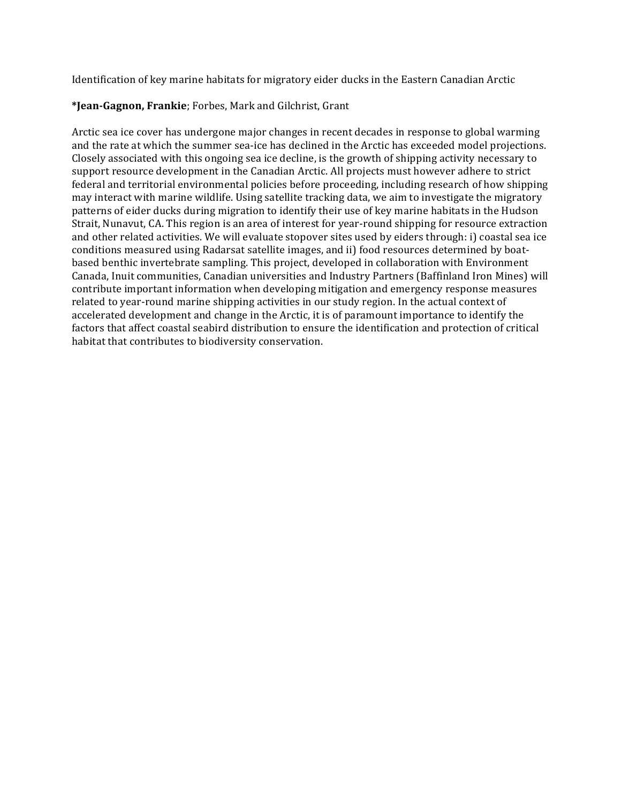Identification of key marine habitats for migratory eider ducks in the Eastern Canadian Arctic

# **\*Jean-Gagnon, Frankie**; Forbes, Mark and Gilchrist, Grant

Arctic sea ice cover has undergone major changes in recent decades in response to global warming and the rate at which the summer sea-ice has declined in the Arctic has exceeded model projections. Closely associated with this ongoing sea ice decline, is the growth of shipping activity necessary to support resource development in the Canadian Arctic. All projects must however adhere to strict federal and territorial environmental policies before proceeding, including research of how shipping may interact with marine wildlife. Using satellite tracking data, we aim to investigate the migratory patterns of eider ducks during migration to identify their use of key marine habitats in the Hudson Strait, Nunavut, CA. This region is an area of interest for year-round shipping for resource extraction and other related activities. We will evaluate stopover sites used by eiders through: i) coastal sea ice conditions measured using Radarsat satellite images, and ii) food resources determined by boatbased benthic invertebrate sampling. This project, developed in collaboration with Environment Canada, Inuit communities, Canadian universities and Industry Partners (Baffinland Iron Mines) will contribute important information when developing mitigation and emergency response measures related to year-round marine shipping activities in our study region. In the actual context of accelerated development and change in the Arctic, it is of paramount importance to identify the factors that affect coastal seabird distribution to ensure the identification and protection of critical habitat that contributes to biodiversity conservation.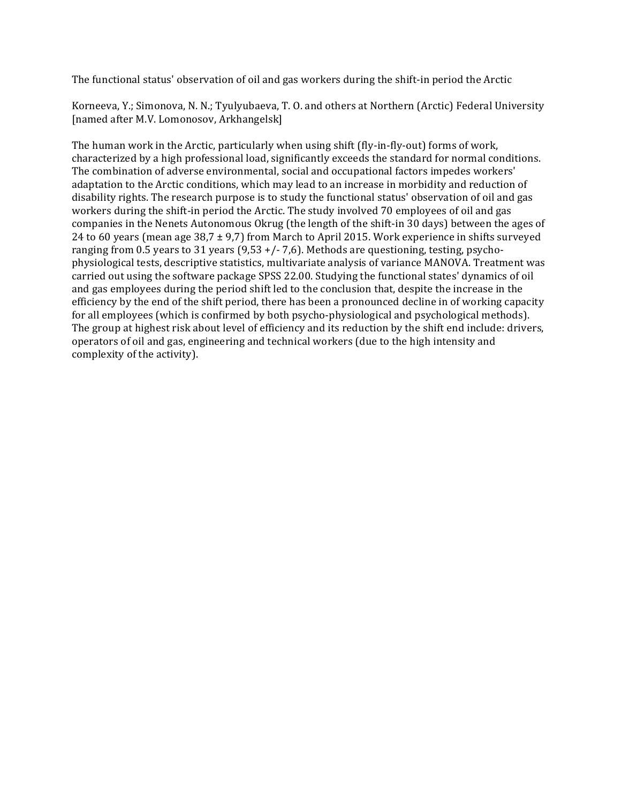The functional status' observation of oil and gas workers during the shift-in period the Arctic

Korneeva, Y.; Simonova, N. N.; Tyulyubaeva, T. O. and others at Northern (Arctic) Federal University [named after M.V. Lomonosov, Arkhangelsk]

The human work in the Arctic, particularly when using shift (fly-in-fly-out) forms of work, characterized by a high professional load, significantly exceeds the standard for normal conditions. The combination of adverse environmental, social and occupational factors impedes workers' adaptation to the Arctic conditions, which may lead to an increase in morbidity and reduction of disability rights. The research purpose is to study the functional status' observation of oil and gas workers during the shift-in period the Arctic. The study involved 70 employees of oil and gas companies in the Nenets Autonomous Okrug (the length of the shift-in 30 days) between the ages of 24 to 60 years (mean age  $38.7 \pm 9.7$ ) from March to April 2015. Work experience in shifts surveyed ranging from 0.5 years to 31 years  $(9,53 +/- 7,6)$ . Methods are questioning, testing, psychophysiological tests, descriptive statistics, multivariate analysis of variance MANOVA. Treatment was carried out using the software package SPSS 22.00. Studying the functional states' dynamics of oil and gas employees during the period shift led to the conclusion that, despite the increase in the efficiency by the end of the shift period, there has been a pronounced decline in of working capacity for all employees (which is confirmed by both psycho-physiological and psychological methods). The group at highest risk about level of efficiency and its reduction by the shift end include: drivers, operators of oil and gas, engineering and technical workers (due to the high intensity and complexity of the activity).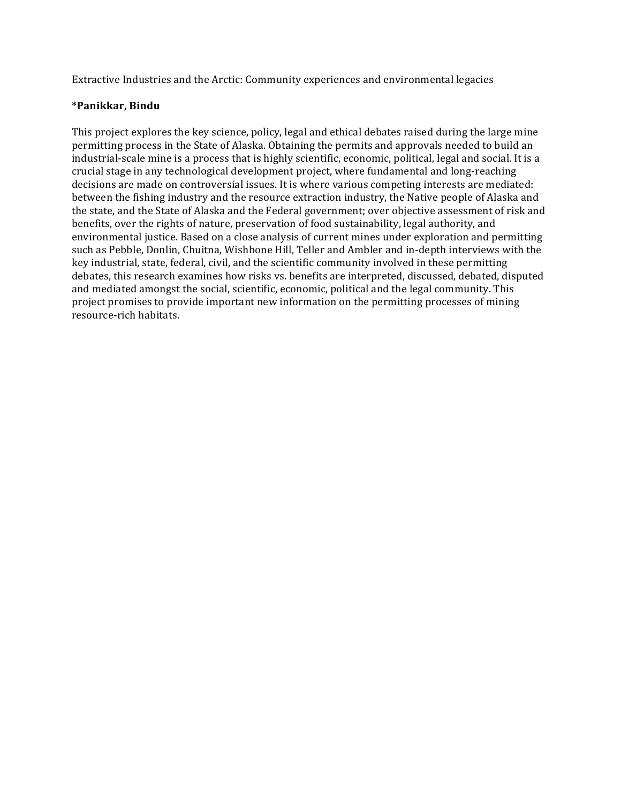Extractive Industries and the Arctic: Community experiences and environmental legacies

## **\*Panikkar, Bindu**

This project explores the key science, policy, legal and ethical debates raised during the large mine permitting process in the State of Alaska. Obtaining the permits and approvals needed to build an industrial-scale mine is a process that is highly scientific, economic, political, legal and social. It is a crucial stage in any technological development project, where fundamental and long-reaching decisions are made on controversial issues. It is where various competing interests are mediated: between the fishing industry and the resource extraction industry, the Native people of Alaska and the state, and the State of Alaska and the Federal government; over objective assessment of risk and benefits, over the rights of nature, preservation of food sustainability, legal authority, and environmental justice. Based on a close analysis of current mines under exploration and permitting such as Pebble, Donlin, Chuitna, Wishbone Hill, Teller and Ambler and in-depth interviews with the key industrial, state, federal, civil, and the scientific community involved in these permitting debates, this research examines how risks vs. benefits are interpreted, discussed, debated, disputed and mediated amongst the social, scientific, economic, political and the legal community. This project promises to provide important new information on the permitting processes of mining resource-rich habitats.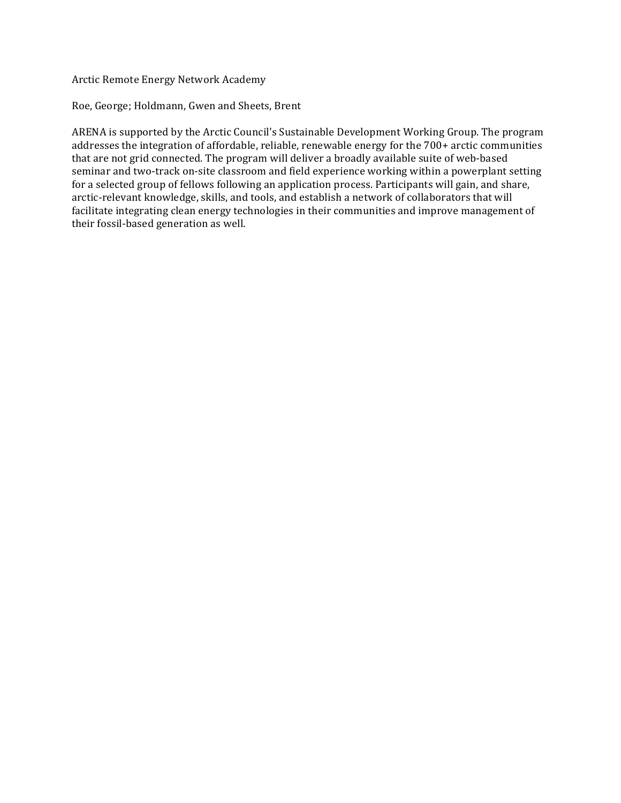Arctic Remote Energy Network Academy

Roe, George; Holdmann, Gwen and Sheets, Brent

ARENA is supported by the Arctic Council's Sustainable Development Working Group. The program addresses the integration of affordable, reliable, renewable energy for the 700+ arctic communities that are not grid connected. The program will deliver a broadly available suite of web-based seminar and two-track on-site classroom and field experience working within a powerplant setting for a selected group of fellows following an application process. Participants will gain, and share, arctic-relevant knowledge, skills, and tools, and establish a network of collaborators that will facilitate integrating clean energy technologies in their communities and improve management of their fossil-based generation as well.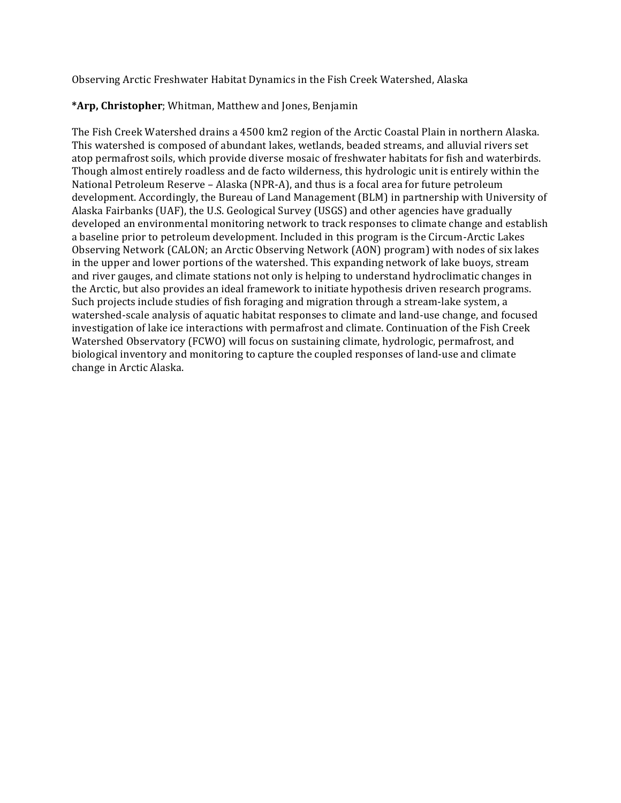Observing Arctic Freshwater Habitat Dynamics in the Fish Creek Watershed, Alaska

# \*Arp, Christopher; Whitman, Matthew and Jones, Benjamin

The Fish Creek Watershed drains a 4500 km2 region of the Arctic Coastal Plain in northern Alaska. This watershed is composed of abundant lakes, wetlands, beaded streams, and alluvial rivers set atop permafrost soils, which provide diverse mosaic of freshwater habitats for fish and waterbirds. Though almost entirely roadless and de facto wilderness, this hydrologic unit is entirely within the National Petroleum Reserve - Alaska (NPR-A), and thus is a focal area for future petroleum development. Accordingly, the Bureau of Land Management (BLM) in partnership with University of Alaska Fairbanks (UAF), the U.S. Geological Survey (USGS) and other agencies have gradually developed an environmental monitoring network to track responses to climate change and establish a baseline prior to petroleum development. Included in this program is the Circum-Arctic Lakes Observing Network (CALON; an Arctic Observing Network (AON) program) with nodes of six lakes in the upper and lower portions of the watershed. This expanding network of lake buoys, stream and river gauges, and climate stations not only is helping to understand hydroclimatic changes in the Arctic, but also provides an ideal framework to initiate hypothesis driven research programs. Such projects include studies of fish foraging and migration through a stream-lake system, a watershed-scale analysis of aquatic habitat responses to climate and land-use change, and focused investigation of lake ice interactions with permafrost and climate. Continuation of the Fish Creek Watershed Observatory (FCWO) will focus on sustaining climate, hydrologic, permafrost, and biological inventory and monitoring to capture the coupled responses of land-use and climate change in Arctic Alaska.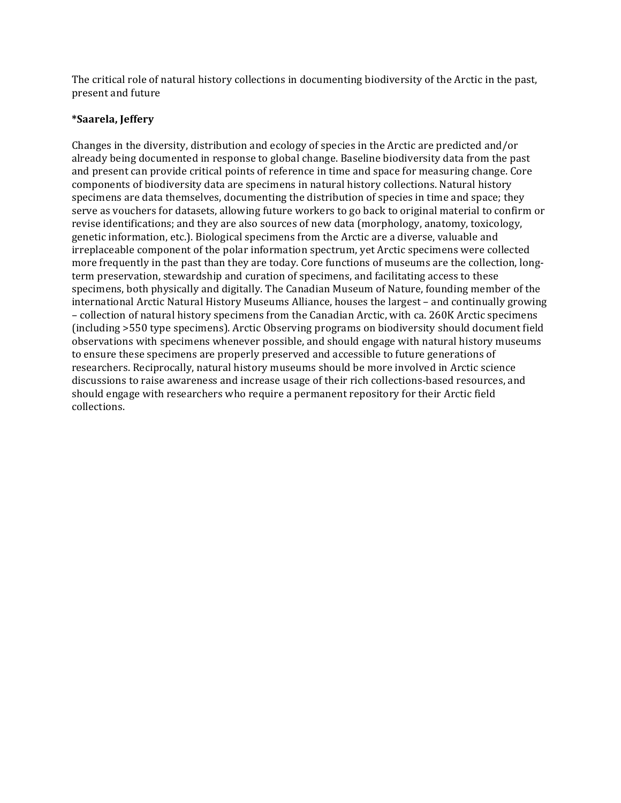The critical role of natural history collections in documenting biodiversity of the Arctic in the past, present and future

# **\*Saarela, Jeffery**

Changes in the diversity, distribution and ecology of species in the Arctic are predicted and/or already being documented in response to global change. Baseline biodiversity data from the past and present can provide critical points of reference in time and space for measuring change. Core components of biodiversity data are specimens in natural history collections. Natural history specimens are data themselves, documenting the distribution of species in time and space; they serve as vouchers for datasets, allowing future workers to go back to original material to confirm or revise identifications; and they are also sources of new data (morphology, anatomy, toxicology, genetic information, etc.). Biological specimens from the Arctic are a diverse, valuable and irreplaceable component of the polar information spectrum, yet Arctic specimens were collected more frequently in the past than they are today. Core functions of museums are the collection, longterm preservation, stewardship and curation of specimens, and facilitating access to these specimens, both physically and digitally. The Canadian Museum of Nature, founding member of the international Arctic Natural History Museums Alliance, houses the largest – and continually growing – collection of natural history specimens from the Canadian Arctic, with ca. 260K Arctic specimens (including >550 type specimens). Arctic Observing programs on biodiversity should document field observations with specimens whenever possible, and should engage with natural history museums to ensure these specimens are properly preserved and accessible to future generations of researchers. Reciprocally, natural history museums should be more involved in Arctic science discussions to raise awareness and increase usage of their rich collections-based resources, and should engage with researchers who require a permanent repository for their Arctic field collections.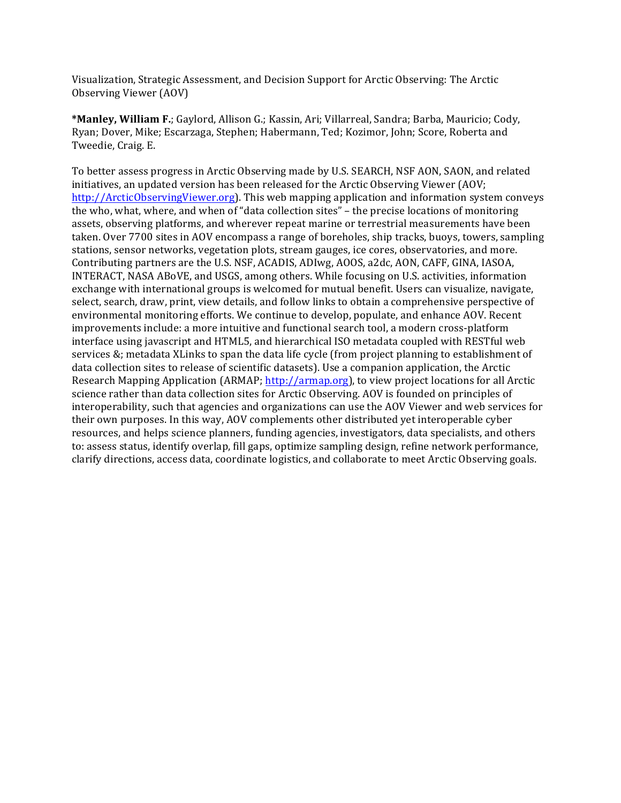Visualization, Strategic Assessment, and Decision Support for Arctic Observing: The Arctic Observing Viewer (AOV)

\*Manley, William F.; Gaylord, Allison G.; Kassin, Ari; Villarreal, Sandra; Barba, Mauricio; Cody, Ryan; Dover, Mike; Escarzaga, Stephen; Habermann, Ted; Kozimor, John; Score, Roberta and Tweedie, Craig. E.

To better assess progress in Arctic Observing made by U.S. SEARCH, NSF AON, SAON, and related initiatives, an updated version has been released for the Arctic Observing Viewer (AOV; http://ArcticObservingViewer.org). This web mapping application and information system conveys the who, what, where, and when of "data collection sites" – the precise locations of monitoring assets, observing platforms, and wherever repeat marine or terrestrial measurements have been taken. Over 7700 sites in AOV encompass a range of boreholes, ship tracks, buoys, towers, sampling stations, sensor networks, vegetation plots, stream gauges, ice cores, observatories, and more. Contributing partners are the U.S. NSF, ACADIS, ADIwg, AOOS, a2dc, AON, CAFF, GINA, IASOA, INTERACT, NASA ABoVE, and USGS, among others. While focusing on U.S. activities, information exchange with international groups is welcomed for mutual benefit. Users can visualize, navigate, select, search, draw, print, view details, and follow links to obtain a comprehensive perspective of environmental monitoring efforts. We continue to develop, populate, and enhance AOV. Recent improvements include: a more intuitive and functional search tool, a modern cross-platform interface using javascript and HTML5, and hierarchical ISO metadata coupled with RESTful web services &; metadata XLinks to span the data life cycle (from project planning to establishment of data collection sites to release of scientific datasets). Use a companion application, the Arctic Research Mapping Application (ARMAP; http://armap.org), to view project locations for all Arctic science rather than data collection sites for Arctic Observing. AOV is founded on principles of interoperability, such that agencies and organizations can use the AOV Viewer and web services for their own purposes. In this way, AOV complements other distributed yet interoperable cyber resources, and helps science planners, funding agencies, investigators, data specialists, and others to: assess status, identify overlap, fill gaps, optimize sampling design, refine network performance, clarify directions, access data, coordinate logistics, and collaborate to meet Arctic Observing goals.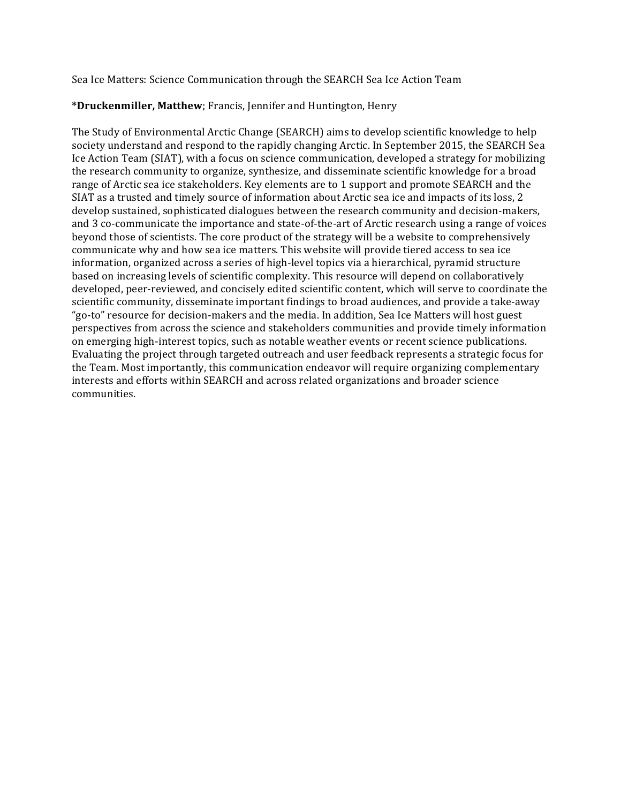Sea Ice Matters: Science Communication through the SEARCH Sea Ice Action Team

# \*Druckenmiller, Matthew; Francis, Jennifer and Huntington, Henry

The Study of Environmental Arctic Change (SEARCH) aims to develop scientific knowledge to help society understand and respond to the rapidly changing Arctic. In September 2015, the SEARCH Sea Ice Action Team (SIAT), with a focus on science communication, developed a strategy for mobilizing the research community to organize, synthesize, and disseminate scientific knowledge for a broad range of Arctic sea ice stakeholders. Key elements are to 1 support and promote SEARCH and the SIAT as a trusted and timely source of information about Arctic sea ice and impacts of its loss, 2 develop sustained, sophisticated dialogues between the research community and decision-makers, and 3 co-communicate the importance and state-of-the-art of Arctic research using a range of voices beyond those of scientists. The core product of the strategy will be a website to comprehensively communicate why and how sea ice matters. This website will provide tiered access to sea ice information, organized across a series of high-level topics via a hierarchical, pyramid structure based on increasing levels of scientific complexity. This resource will depend on collaboratively developed, peer-reviewed, and concisely edited scientific content, which will serve to coordinate the scientific community, disseminate important findings to broad audiences, and provide a take-away "go-to" resource for decision-makers and the media. In addition, Sea Ice Matters will host guest perspectives from across the science and stakeholders communities and provide timely information on emerging high-interest topics, such as notable weather events or recent science publications. Evaluating the project through targeted outreach and user feedback represents a strategic focus for the Team. Most importantly, this communication endeavor will require organizing complementary interests and efforts within SEARCH and across related organizations and broader science communities.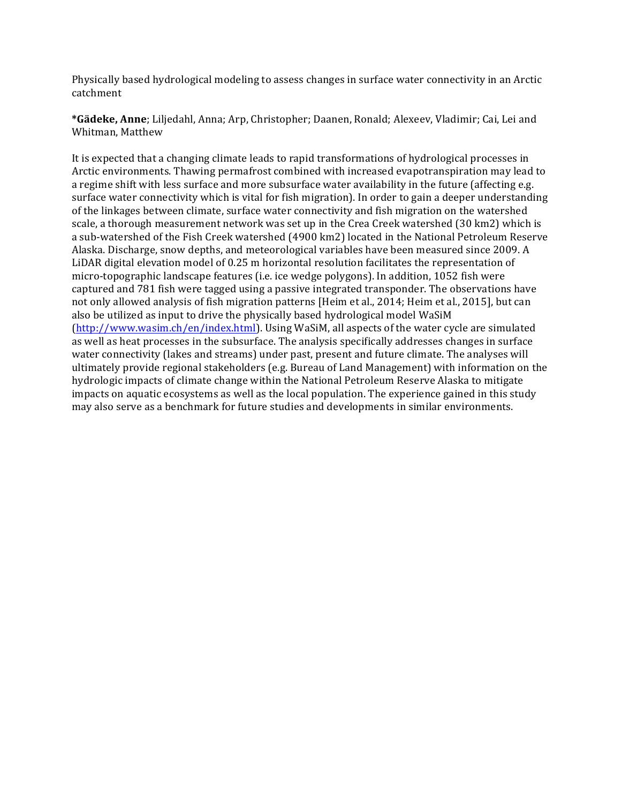Physically based hydrological modeling to assess changes in surface water connectivity in an Arctic catchment

\*Gädeke, Anne; Liljedahl, Anna; Arp, Christopher; Daanen, Ronald; Alexeev, Vladimir; Cai, Lei and Whitman, Matthew

It is expected that a changing climate leads to rapid transformations of hydrological processes in Arctic environments. Thawing permafrost combined with increased evapotranspiration may lead to a regime shift with less surface and more subsurface water availability in the future (affecting e.g. surface water connectivity which is vital for fish migration). In order to gain a deeper understanding of the linkages between climate, surface water connectivity and fish migration on the watershed scale, a thorough measurement network was set up in the Crea Creek watershed (30 km2) which is a sub-watershed of the Fish Creek watershed (4900 km2) located in the National Petroleum Reserve Alaska. Discharge, snow depths, and meteorological variables have been measured since 2009. A LiDAR digital elevation model of 0.25 m horizontal resolution facilitates the representation of micro-topographic landscape features (i.e. ice wedge polygons). In addition, 1052 fish were captured and 781 fish were tagged using a passive integrated transponder. The observations have not only allowed analysis of fish migration patterns [Heim et al., 2014; Heim et al., 2015], but can also be utilized as input to drive the physically based hydrological model WaSiM (http://www.wasim.ch/en/index.html). Using WaSiM, all aspects of the water cycle are simulated as well as heat processes in the subsurface. The analysis specifically addresses changes in surface water connectivity (lakes and streams) under past, present and future climate. The analyses will ultimately provide regional stakeholders (e.g. Bureau of Land Management) with information on the hydrologic impacts of climate change within the National Petroleum Reserve Alaska to mitigate impacts on aquatic ecosystems as well as the local population. The experience gained in this study may also serve as a benchmark for future studies and developments in similar environments.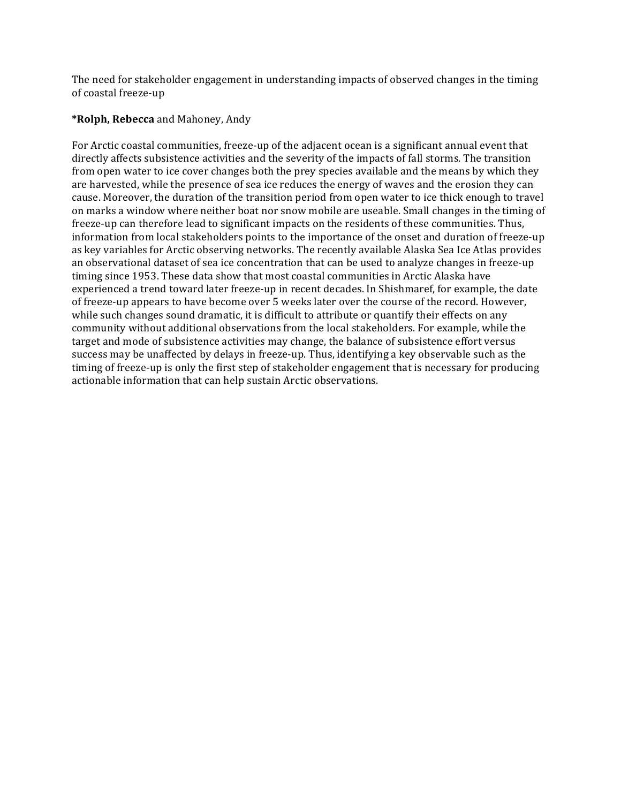The need for stakeholder engagement in understanding impacts of observed changes in the timing of coastal freeze-up

# **\*Rolph, Rebecca** and Mahoney, Andy

For Arctic coastal communities, freeze-up of the adjacent ocean is a significant annual event that directly affects subsistence activities and the severity of the impacts of fall storms. The transition from open water to ice cover changes both the prey species available and the means by which they are harvested, while the presence of sea ice reduces the energy of waves and the erosion they can cause. Moreover, the duration of the transition period from open water to ice thick enough to travel on marks a window where neither boat nor snow mobile are useable. Small changes in the timing of freeze-up can therefore lead to significant impacts on the residents of these communities. Thus, information from local stakeholders points to the importance of the onset and duration of freeze-up as key variables for Arctic observing networks. The recently available Alaska Sea Ice Atlas provides an observational dataset of sea ice concentration that can be used to analyze changes in freeze-up timing since 1953. These data show that most coastal communities in Arctic Alaska have experienced a trend toward later freeze-up in recent decades. In Shishmaref, for example, the date of freeze-up appears to have become over 5 weeks later over the course of the record. However, while such changes sound dramatic, it is difficult to attribute or quantify their effects on any community without additional observations from the local stakeholders. For example, while the target and mode of subsistence activities may change, the balance of subsistence effort versus success may be unaffected by delays in freeze-up. Thus, identifying a key observable such as the timing of freeze-up is only the first step of stakeholder engagement that is necessary for producing actionable information that can help sustain Arctic observations.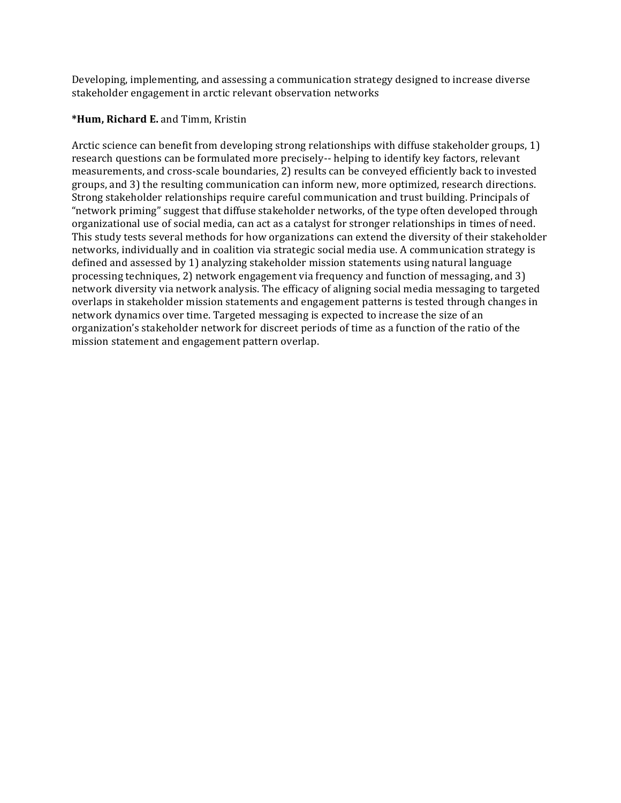Developing, implementing, and assessing a communication strategy designed to increase diverse stakeholder engagement in arctic relevant observation networks

## **\*Hum, Richard E.** and Timm, Kristin

Arctic science can benefit from developing strong relationships with diffuse stakeholder groups, 1) research questions can be formulated more precisely-- helping to identify key factors, relevant measurements, and cross-scale boundaries, 2) results can be conveyed efficiently back to invested groups, and 3) the resulting communication can inform new, more optimized, research directions. Strong stakeholder relationships require careful communication and trust building. Principals of "network priming" suggest that diffuse stakeholder networks, of the type often developed through organizational use of social media, can act as a catalyst for stronger relationships in times of need. This study tests several methods for how organizations can extend the diversity of their stakeholder networks, individually and in coalition via strategic social media use. A communication strategy is defined and assessed by 1) analyzing stakeholder mission statements using natural language processing techniques, 2) network engagement via frequency and function of messaging, and 3) network diversity via network analysis. The efficacy of aligning social media messaging to targeted overlaps in stakeholder mission statements and engagement patterns is tested through changes in network dynamics over time. Targeted messaging is expected to increase the size of an organization's stakeholder network for discreet periods of time as a function of the ratio of the mission statement and engagement pattern overlap.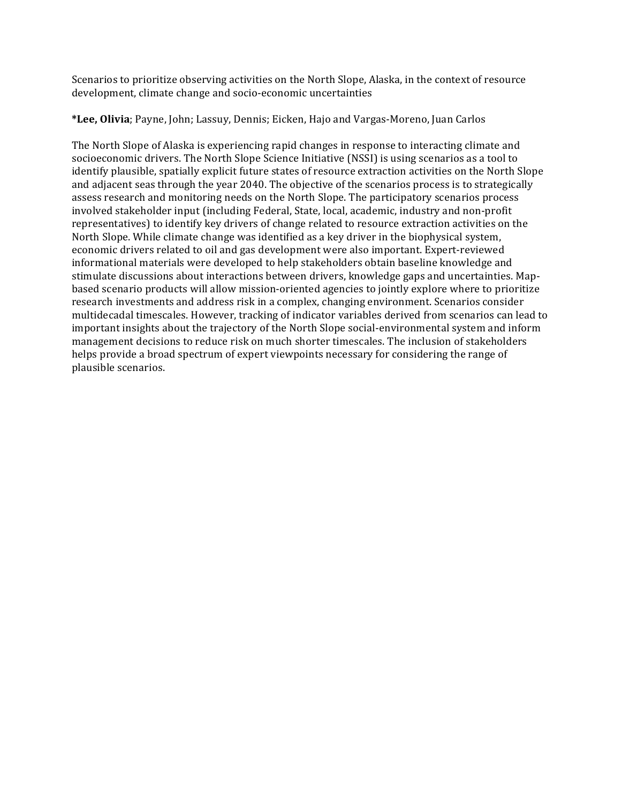Scenarios to prioritize observing activities on the North Slope, Alaska, in the context of resource development, climate change and socio-economic uncertainties

\*Lee, Olivia; Payne, John; Lassuy, Dennis; Eicken, Hajo and Vargas-Moreno, Juan Carlos

The North Slope of Alaska is experiencing rapid changes in response to interacting climate and socioeconomic drivers. The North Slope Science Initiative (NSSI) is using scenarios as a tool to identify plausible, spatially explicit future states of resource extraction activities on the North Slope and adjacent seas through the year 2040. The objective of the scenarios process is to strategically assess research and monitoring needs on the North Slope. The participatory scenarios process involved stakeholder input (including Federal, State, local, academic, industry and non-profit representatives) to identify key drivers of change related to resource extraction activities on the North Slope. While climate change was identified as a key driver in the biophysical system, economic drivers related to oil and gas development were also important. Expert-reviewed informational materials were developed to help stakeholders obtain baseline knowledge and stimulate discussions about interactions between drivers, knowledge gaps and uncertainties. Mapbased scenario products will allow mission-oriented agencies to jointly explore where to prioritize research investments and address risk in a complex, changing environment. Scenarios consider multidecadal timescales. However, tracking of indicator variables derived from scenarios can lead to important insights about the trajectory of the North Slope social-environmental system and inform management decisions to reduce risk on much shorter timescales. The inclusion of stakeholders helps provide a broad spectrum of expert viewpoints necessary for considering the range of plausible scenarios.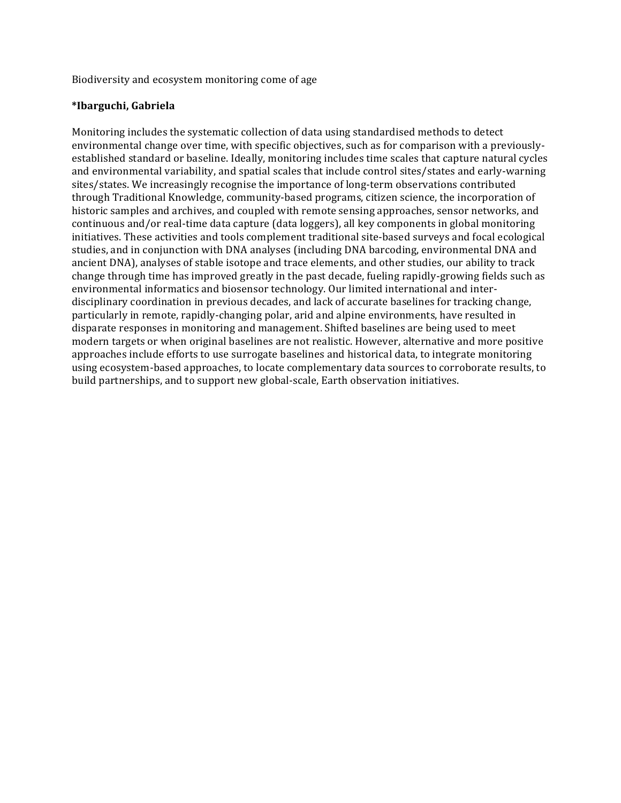Biodiversity and ecosystem monitoring come of age

#### **\*Ibarguchi, Gabriela**

Monitoring includes the systematic collection of data using standardised methods to detect environmental change over time, with specific objectives, such as for comparison with a previouslyestablished standard or baseline. Ideally, monitoring includes time scales that capture natural cycles and environmental variability, and spatial scales that include control sites/states and early-warning sites/states. We increasingly recognise the importance of long-term observations contributed through Traditional Knowledge, community-based programs, citizen science, the incorporation of historic samples and archives, and coupled with remote sensing approaches, sensor networks, and continuous and/or real-time data capture (data loggers), all key components in global monitoring initiatives. These activities and tools complement traditional site-based surveys and focal ecological studies, and in conjunction with DNA analyses (including DNA barcoding, environmental DNA and ancient DNA), analyses of stable isotope and trace elements, and other studies, our ability to track change through time has improved greatly in the past decade, fueling rapidly-growing fields such as environmental informatics and biosensor technology. Our limited international and interdisciplinary coordination in previous decades, and lack of accurate baselines for tracking change, particularly in remote, rapidly-changing polar, arid and alpine environments, have resulted in disparate responses in monitoring and management. Shifted baselines are being used to meet modern targets or when original baselines are not realistic. However, alternative and more positive approaches include efforts to use surrogate baselines and historical data, to integrate monitoring using ecosystem-based approaches, to locate complementary data sources to corroborate results, to build partnerships, and to support new global-scale, Earth observation initiatives.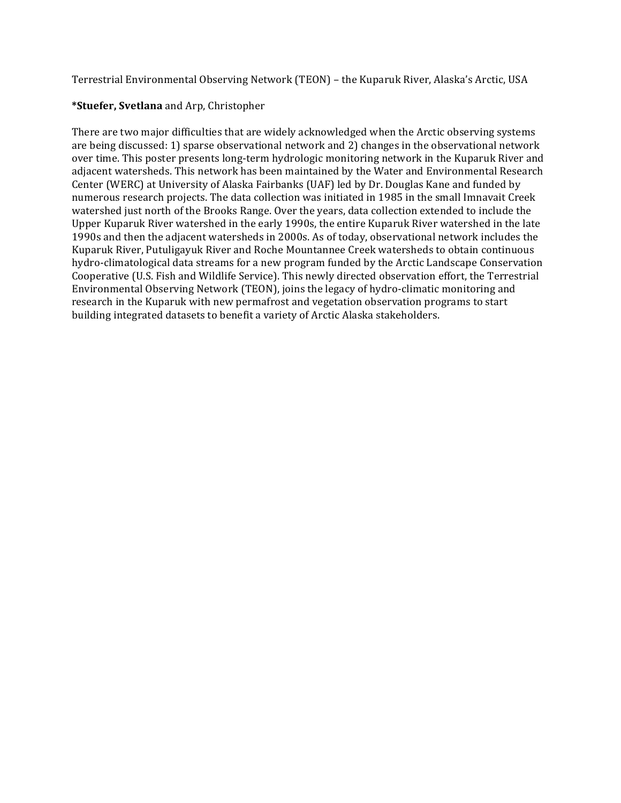Terrestrial Environmental Observing Network (TEON) – the Kuparuk River, Alaska's Arctic, USA

# **\*Stuefer, Svetlana** and Arp, Christopher

There are two major difficulties that are widely acknowledged when the Arctic observing systems are being discussed: 1) sparse observational network and 2) changes in the observational network over time. This poster presents long-term hydrologic monitoring network in the Kuparuk River and adjacent watersheds. This network has been maintained by the Water and Environmental Research Center (WERC) at University of Alaska Fairbanks (UAF) led by Dr. Douglas Kane and funded by numerous research projects. The data collection was initiated in 1985 in the small Imnavait Creek watershed just north of the Brooks Range. Over the years, data collection extended to include the Upper Kuparuk River watershed in the early 1990s, the entire Kuparuk River watershed in the late 1990s and then the adjacent watersheds in 2000s. As of today, observational network includes the Kuparuk River, Putuligayuk River and Roche Mountannee Creek watersheds to obtain continuous hydro-climatological data streams for a new program funded by the Arctic Landscape Conservation Cooperative (U.S. Fish and Wildlife Service). This newly directed observation effort, the Terrestrial Environmental Observing Network (TEON), joins the legacy of hydro-climatic monitoring and research in the Kuparuk with new permafrost and vegetation observation programs to start building integrated datasets to benefit a variety of Arctic Alaska stakeholders.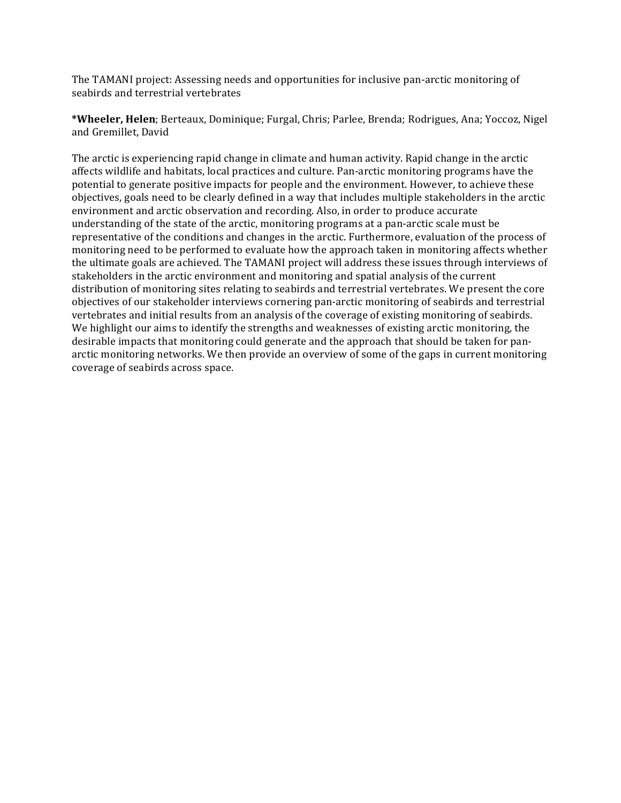The TAMANI project: Assessing needs and opportunities for inclusive pan-arctic monitoring of seabirds and terrestrial vertebrates

**\*Wheeler, Helen**; Berteaux, Dominique; Furgal, Chris; Parlee, Brenda; Rodrigues, Ana; Yoccoz, Nigel and Gremillet, David

The arctic is experiencing rapid change in climate and human activity. Rapid change in the arctic affects wildlife and habitats, local practices and culture. Pan-arctic monitoring programs have the potential to generate positive impacts for people and the environment. However, to achieve these objectives, goals need to be clearly defined in a way that includes multiple stakeholders in the arctic environment and arctic observation and recording. Also, in order to produce accurate understanding of the state of the arctic, monitoring programs at a pan-arctic scale must be representative of the conditions and changes in the arctic. Furthermore, evaluation of the process of monitoring need to be performed to evaluate how the approach taken in monitoring affects whether the ultimate goals are achieved. The TAMANI project will address these issues through interviews of stakeholders in the arctic environment and monitoring and spatial analysis of the current distribution of monitoring sites relating to seabirds and terrestrial vertebrates. We present the core objectives of our stakeholder interviews cornering pan-arctic monitoring of seabirds and terrestrial vertebrates and initial results from an analysis of the coverage of existing monitoring of seabirds. We highlight our aims to identify the strengths and weaknesses of existing arctic monitoring, the desirable impacts that monitoring could generate and the approach that should be taken for panarctic monitoring networks. We then provide an overview of some of the gaps in current monitoring coverage of seabirds across space.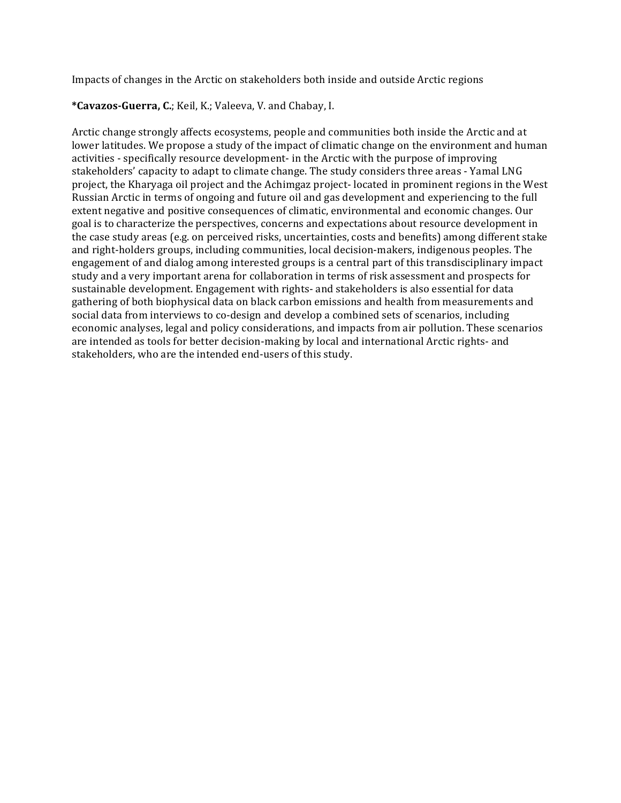Impacts of changes in the Arctic on stakeholders both inside and outside Arctic regions

\*Cavazos-Guerra, C.; Keil, K.; Valeeva, V. and Chabay, I.

Arctic change strongly affects ecosystems, people and communities both inside the Arctic and at lower latitudes. We propose a study of the impact of climatic change on the environment and human activities - specifically resource development- in the Arctic with the purpose of improving stakeholders' capacity to adapt to climate change. The study considers three areas - Yamal LNG project, the Kharyaga oil project and the Achimgaz project- located in prominent regions in the West Russian Arctic in terms of ongoing and future oil and gas development and experiencing to the full extent negative and positive consequences of climatic, environmental and economic changes. Our goal is to characterize the perspectives, concerns and expectations about resource development in the case study areas (e.g. on perceived risks, uncertainties, costs and benefits) among different stake and right-holders groups, including communities, local decision-makers, indigenous peoples. The engagement of and dialog among interested groups is a central part of this transdisciplinary impact study and a very important arena for collaboration in terms of risk assessment and prospects for sustainable development. Engagement with rights- and stakeholders is also essential for data gathering of both biophysical data on black carbon emissions and health from measurements and social data from interviews to co-design and develop a combined sets of scenarios, including economic analyses, legal and policy considerations, and impacts from air pollution. These scenarios are intended as tools for better decision-making by local and international Arctic rights- and stakeholders, who are the intended end-users of this study.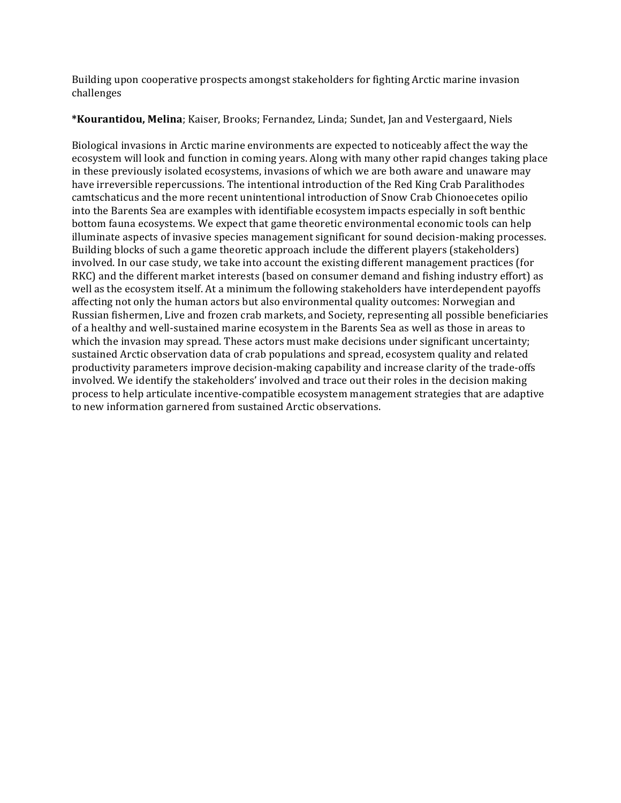Building upon cooperative prospects amongst stakeholders for fighting Arctic marine invasion challenges 

\*Kourantidou, Melina; Kaiser, Brooks; Fernandez, Linda; Sundet, Jan and Vestergaard, Niels

Biological invasions in Arctic marine environments are expected to noticeably affect the way the ecosystem will look and function in coming years. Along with many other rapid changes taking place in these previously isolated ecosystems, invasions of which we are both aware and unaware may have irreversible repercussions. The intentional introduction of the Red King Crab Paralithodes camtschaticus and the more recent unintentional introduction of Snow Crab Chionoecetes opilio into the Barents Sea are examples with identifiable ecosystem impacts especially in soft benthic bottom fauna ecosystems. We expect that game theoretic environmental economic tools can help illuminate aspects of invasive species management significant for sound decision-making processes. Building blocks of such a game theoretic approach include the different players (stakeholders) involved. In our case study, we take into account the existing different management practices (for RKC) and the different market interests (based on consumer demand and fishing industry effort) as well as the ecosystem itself. At a minimum the following stakeholders have interdependent payoffs affecting not only the human actors but also environmental quality outcomes: Norwegian and Russian fishermen, Live and frozen crab markets, and Society, representing all possible beneficiaries of a healthy and well-sustained marine ecosystem in the Barents Sea as well as those in areas to which the invasion may spread. These actors must make decisions under significant uncertainty; sustained Arctic observation data of crab populations and spread, ecosystem quality and related productivity parameters improve decision-making capability and increase clarity of the trade-offs involved. We identify the stakeholders' involved and trace out their roles in the decision making process to help articulate incentive-compatible ecosystem management strategies that are adaptive to new information garnered from sustained Arctic observations.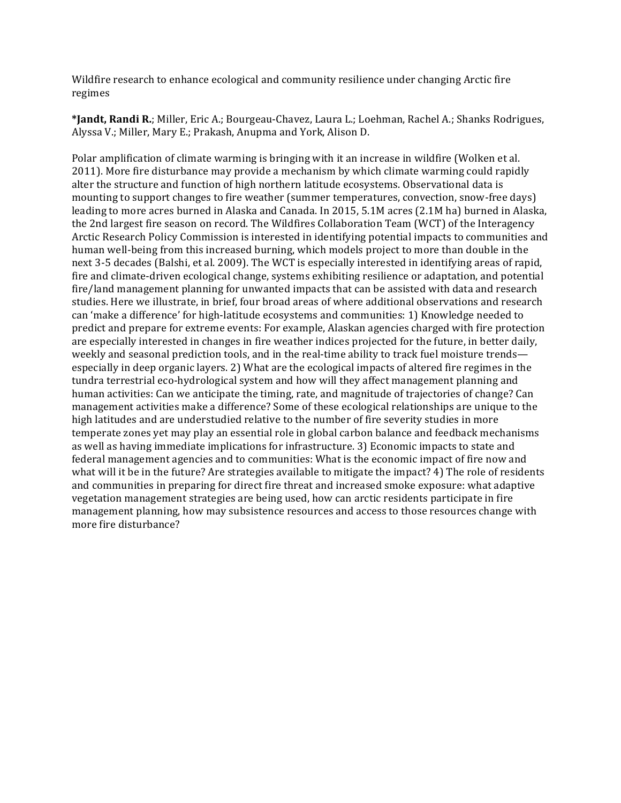Wildfire research to enhance ecological and community resilience under changing Arctic fire regimes 

\***Jandt, Randi R.**; Miller, Eric A.; Bourgeau-Chavez, Laura L.; Loehman, Rachel A.; Shanks Rodrigues, Alyssa V.; Miller, Mary E.; Prakash, Anupma and York, Alison D.

Polar amplification of climate warming is bringing with it an increase in wildfire (Wolken et al. 2011). More fire disturbance may provide a mechanism by which climate warming could rapidly alter the structure and function of high northern latitude ecosystems. Observational data is mounting to support changes to fire weather (summer temperatures, convection, snow-free days) leading to more acres burned in Alaska and Canada. In 2015, 5.1M acres (2.1M ha) burned in Alaska, the 2nd largest fire season on record. The Wildfires Collaboration Team (WCT) of the Interagency Arctic Research Policy Commission is interested in identifying potential impacts to communities and human well-being from this increased burning, which models project to more than double in the next 3-5 decades (Balshi, et al. 2009). The WCT is especially interested in identifying areas of rapid, fire and climate-driven ecological change, systems exhibiting resilience or adaptation, and potential fire/land management planning for unwanted impacts that can be assisted with data and research studies. Here we illustrate, in brief, four broad areas of where additional observations and research can 'make a difference' for high-latitude ecosystems and communities: 1) Knowledge needed to predict and prepare for extreme events: For example, Alaskan agencies charged with fire protection are especially interested in changes in fire weather indices projected for the future, in better daily, weekly and seasonal prediction tools, and in the real-time ability to track fuel moisture trends especially in deep organic layers. 2) What are the ecological impacts of altered fire regimes in the tundra terrestrial eco-hydrological system and how will they affect management planning and human activities: Can we anticipate the timing, rate, and magnitude of trajectories of change? Can management activities make a difference? Some of these ecological relationships are unique to the high latitudes and are understudied relative to the number of fire severity studies in more temperate zones yet may play an essential role in global carbon balance and feedback mechanisms as well as having immediate implications for infrastructure. 3) Economic impacts to state and federal management agencies and to communities: What is the economic impact of fire now and what will it be in the future? Are strategies available to mitigate the impact?  $4$ ) The role of residents and communities in preparing for direct fire threat and increased smoke exposure: what adaptive vegetation management strategies are being used, how can arctic residents participate in fire management planning, how may subsistence resources and access to those resources change with more fire disturbance?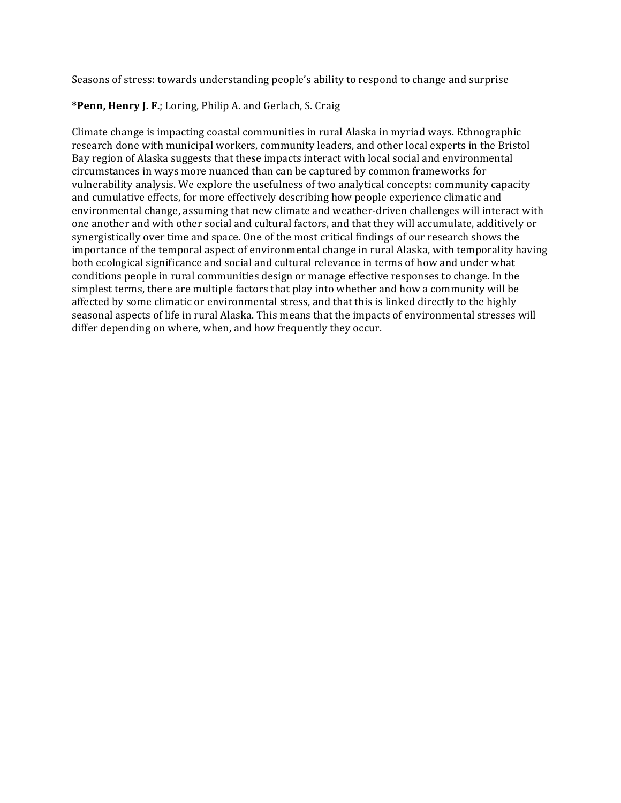Seasons of stress: towards understanding people's ability to respond to change and surprise

# \*Penn, Henry J. F.; Loring, Philip A. and Gerlach, S. Craig

Climate change is impacting coastal communities in rural Alaska in myriad ways. Ethnographic research done with municipal workers, community leaders, and other local experts in the Bristol Bay region of Alaska suggests that these impacts interact with local social and environmental circumstances in ways more nuanced than can be captured by common frameworks for vulnerability analysis. We explore the usefulness of two analytical concepts: community capacity and cumulative effects, for more effectively describing how people experience climatic and environmental change, assuming that new climate and weather-driven challenges will interact with one another and with other social and cultural factors, and that they will accumulate, additively or synergistically over time and space. One of the most critical findings of our research shows the importance of the temporal aspect of environmental change in rural Alaska, with temporality having both ecological significance and social and cultural relevance in terms of how and under what conditions people in rural communities design or manage effective responses to change. In the simplest terms, there are multiple factors that play into whether and how a community will be affected by some climatic or environmental stress, and that this is linked directly to the highly seasonal aspects of life in rural Alaska. This means that the impacts of environmental stresses will differ depending on where, when, and how frequently they occur.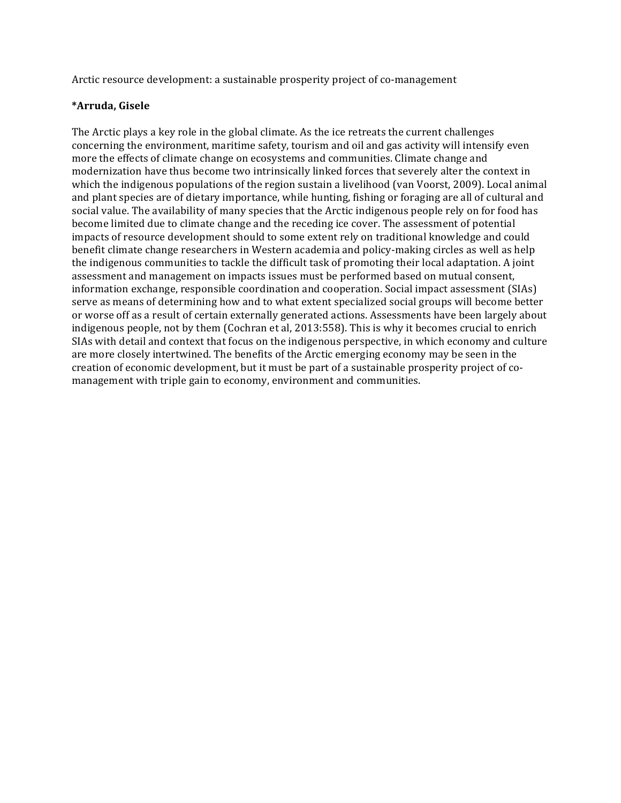Arctic resource development: a sustainable prosperity project of co-management

# **\*Arruda, Gisele**

The Arctic plays a key role in the global climate. As the ice retreats the current challenges concerning the environment, maritime safety, tourism and oil and gas activity will intensify even more the effects of climate change on ecosystems and communities. Climate change and modernization have thus become two intrinsically linked forces that severely alter the context in which the indigenous populations of the region sustain a livelihood (van Voorst, 2009). Local animal and plant species are of dietary importance, while hunting, fishing or foraging are all of cultural and social value. The availability of many species that the Arctic indigenous people rely on for food has become limited due to climate change and the receding ice cover. The assessment of potential impacts of resource development should to some extent rely on traditional knowledge and could benefit climate change researchers in Western academia and policy-making circles as well as help the indigenous communities to tackle the difficult task of promoting their local adaptation. A joint assessment and management on impacts issues must be performed based on mutual consent, information exchange, responsible coordination and cooperation. Social impact assessment (SIAs) serve as means of determining how and to what extent specialized social groups will become better or worse off as a result of certain externally generated actions. Assessments have been largely about indigenous people, not by them (Cochran et al, 2013:558). This is why it becomes crucial to enrich SIAs with detail and context that focus on the indigenous perspective, in which economy and culture are more closely intertwined. The benefits of the Arctic emerging economy may be seen in the creation of economic development, but it must be part of a sustainable prosperity project of comanagement with triple gain to economy, environment and communities.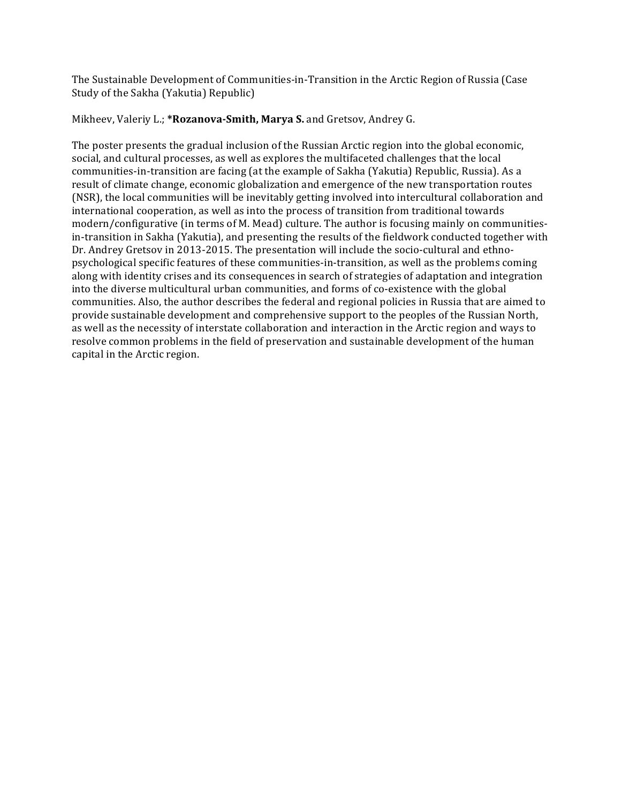The Sustainable Development of Communities-in-Transition in the Arctic Region of Russia (Case Study of the Sakha (Yakutia) Republic)

## Mikheev, Valeriy L.; \*Rozanova-Smith, Marva S. and Gretsov, Andrey G.

The poster presents the gradual inclusion of the Russian Arctic region into the global economic, social, and cultural processes, as well as explores the multifaceted challenges that the local communities-in-transition are facing (at the example of Sakha (Yakutia) Republic, Russia). As a result of climate change, economic globalization and emergence of the new transportation routes (NSR), the local communities will be inevitably getting involved into intercultural collaboration and international cooperation, as well as into the process of transition from traditional towards modern/configurative (in terms of M. Mead) culture. The author is focusing mainly on communitiesin-transition in Sakha (Yakutia), and presenting the results of the fieldwork conducted together with Dr. Andrey Gretsov in 2013-2015. The presentation will include the socio-cultural and ethnopsychological specific features of these communities-in-transition, as well as the problems coming along with identity crises and its consequences in search of strategies of adaptation and integration into the diverse multicultural urban communities, and forms of co-existence with the global communities. Also, the author describes the federal and regional policies in Russia that are aimed to provide sustainable development and comprehensive support to the peoples of the Russian North, as well as the necessity of interstate collaboration and interaction in the Arctic region and ways to resolve common problems in the field of preservation and sustainable development of the human capital in the Arctic region.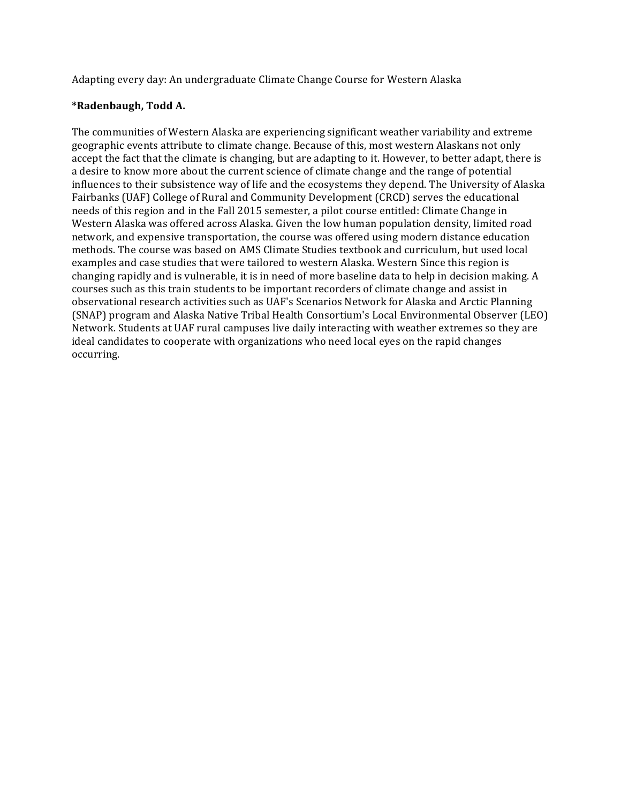Adapting every day: An undergraduate Climate Change Course for Western Alaska

# **\*Radenbaugh, Todd A.**

The communities of Western Alaska are experiencing significant weather variability and extreme geographic events attribute to climate change. Because of this, most western Alaskans not only accept the fact that the climate is changing, but are adapting to it. However, to better adapt, there is a desire to know more about the current science of climate change and the range of potential influences to their subsistence way of life and the ecosystems they depend. The University of Alaska Fairbanks (UAF) College of Rural and Community Development (CRCD) serves the educational needs of this region and in the Fall 2015 semester, a pilot course entitled: Climate Change in Western Alaska was offered across Alaska. Given the low human population density, limited road network, and expensive transportation, the course was offered using modern distance education methods. The course was based on AMS Climate Studies textbook and curriculum, but used local examples and case studies that were tailored to western Alaska. Western Since this region is changing rapidly and is vulnerable, it is in need of more baseline data to help in decision making. A courses such as this train students to be important recorders of climate change and assist in observational research activities such as UAF's Scenarios Network for Alaska and Arctic Planning (SNAP) program and Alaska Native Tribal Health Consortium's Local Environmental Observer (LEO) Network. Students at UAF rural campuses live daily interacting with weather extremes so they are ideal candidates to cooperate with organizations who need local eyes on the rapid changes occurring.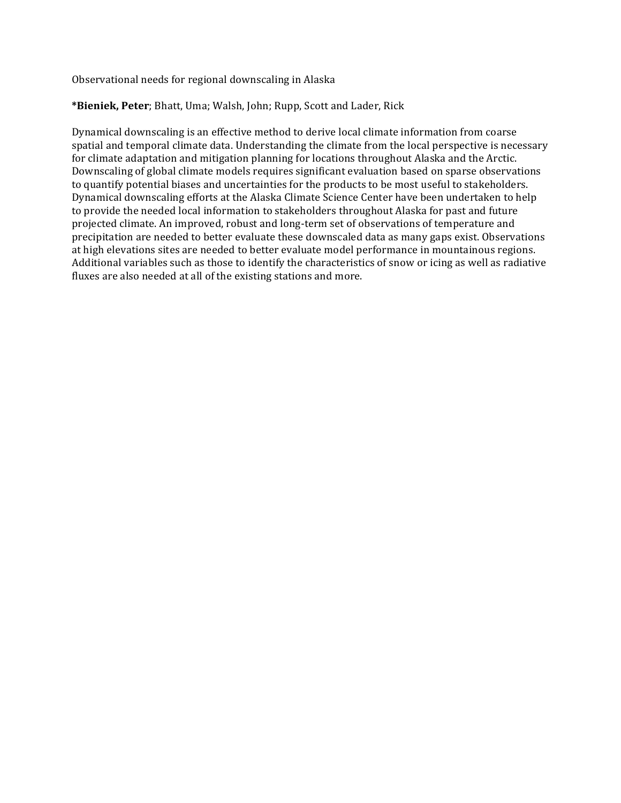Observational needs for regional downscaling in Alaska

# \*Bieniek, Peter; Bhatt, Uma; Walsh, John; Rupp, Scott and Lader, Rick

Dynamical downscaling is an effective method to derive local climate information from coarse spatial and temporal climate data. Understanding the climate from the local perspective is necessary for climate adaptation and mitigation planning for locations throughout Alaska and the Arctic. Downscaling of global climate models requires significant evaluation based on sparse observations to quantify potential biases and uncertainties for the products to be most useful to stakeholders. Dynamical downscaling efforts at the Alaska Climate Science Center have been undertaken to help to provide the needed local information to stakeholders throughout Alaska for past and future projected climate. An improved, robust and long-term set of observations of temperature and precipitation are needed to better evaluate these downscaled data as many gaps exist. Observations at high elevations sites are needed to better evaluate model performance in mountainous regions. Additional variables such as those to identify the characteristics of snow or icing as well as radiative fluxes are also needed at all of the existing stations and more.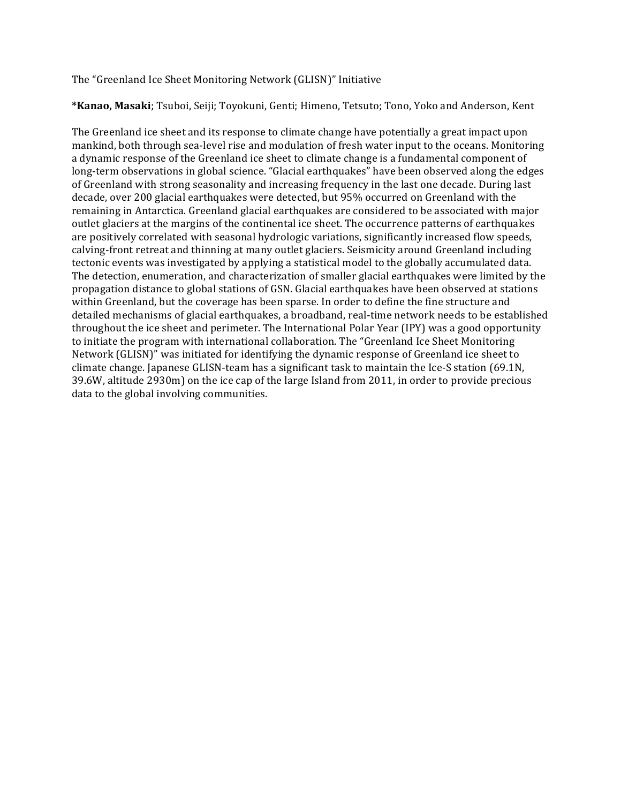The "Greenland Ice Sheet Monitoring Network (GLISN)" Initiative

\*Kanao, Masaki; Tsuboi, Seiji; Toyokuni, Genti; Himeno, Tetsuto; Tono, Yoko and Anderson, Kent

The Greenland ice sheet and its response to climate change have potentially a great impact upon mankind, both through sea-level rise and modulation of fresh water input to the oceans. Monitoring a dynamic response of the Greenland ice sheet to climate change is a fundamental component of long-term observations in global science. "Glacial earthquakes" have been observed along the edges of Greenland with strong seasonality and increasing frequency in the last one decade. During last decade, over 200 glacial earthquakes were detected, but 95% occurred on Greenland with the remaining in Antarctica. Greenland glacial earthquakes are considered to be associated with major outlet glaciers at the margins of the continental ice sheet. The occurrence patterns of earthquakes are positively correlated with seasonal hydrologic variations, significantly increased flow speeds, calving-front retreat and thinning at many outlet glaciers. Seismicity around Greenland including tectonic events was investigated by applying a statistical model to the globally accumulated data. The detection, enumeration, and characterization of smaller glacial earthquakes were limited by the propagation distance to global stations of GSN. Glacial earthquakes have been observed at stations within Greenland, but the coverage has been sparse. In order to define the fine structure and detailed mechanisms of glacial earthquakes, a broadband, real-time network needs to be established throughout the ice sheet and perimeter. The International Polar Year (IPY) was a good opportunity to initiate the program with international collaboration. The "Greenland Ice Sheet Monitoring Network (GLISN)" was initiated for identifying the dynamic response of Greenland ice sheet to climate change. Japanese GLISN-team has a significant task to maintain the Ice-S station (69.1N,  $39.6W$ , altitude  $2930m$ ) on the ice cap of the large Island from  $2011$ , in order to provide precious data to the global involving communities.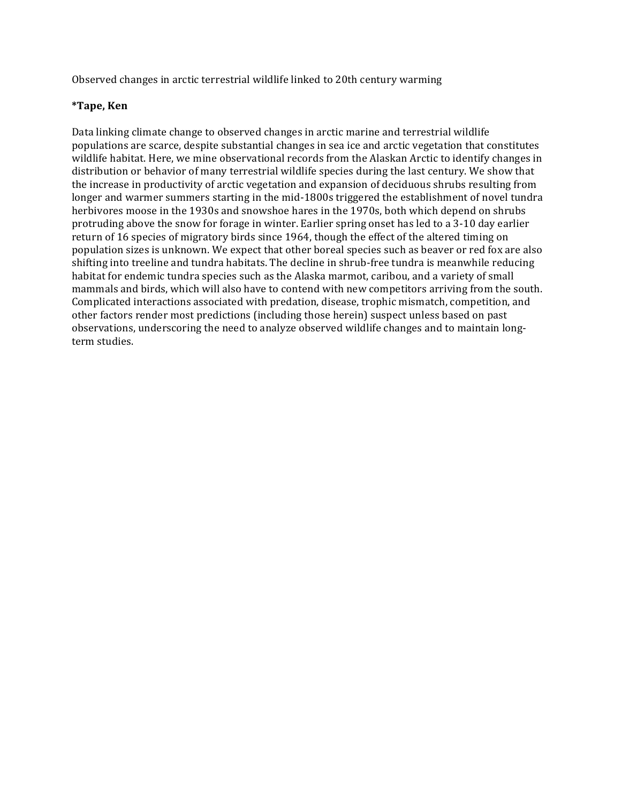Observed changes in arctic terrestrial wildlife linked to 20th century warming

## **\*Tape, Ken**

Data linking climate change to observed changes in arctic marine and terrestrial wildlife populations are scarce, despite substantial changes in sea ice and arctic vegetation that constitutes wildlife habitat. Here, we mine observational records from the Alaskan Arctic to identify changes in distribution or behavior of many terrestrial wildlife species during the last century. We show that the increase in productivity of arctic vegetation and expansion of deciduous shrubs resulting from longer and warmer summers starting in the mid-1800s triggered the establishment of novel tundra herbivores moose in the 1930s and snowshoe hares in the 1970s, both which depend on shrubs protruding above the snow for forage in winter. Earlier spring onset has led to a 3-10 day earlier return of 16 species of migratory birds since 1964, though the effect of the altered timing on population sizes is unknown. We expect that other boreal species such as beaver or red fox are also shifting into treeline and tundra habitats. The decline in shrub-free tundra is meanwhile reducing habitat for endemic tundra species such as the Alaska marmot, caribou, and a variety of small mammals and birds, which will also have to contend with new competitors arriving from the south. Complicated interactions associated with predation, disease, trophic mismatch, competition, and other factors render most predictions (including those herein) suspect unless based on past observations, underscoring the need to analyze observed wildlife changes and to maintain longterm studies.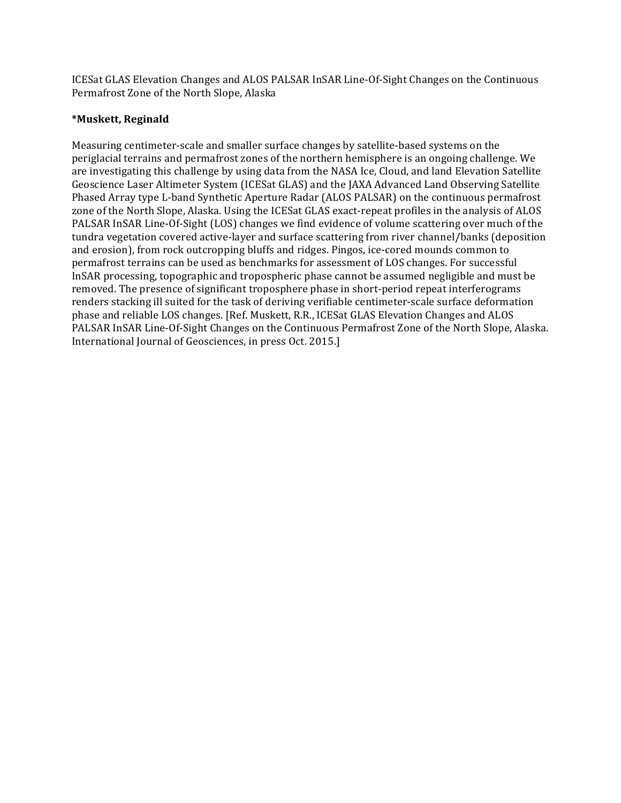ICESat GLAS Elevation Changes and ALOS PALSAR InSAR Line-Of-Sight Changes on the Continuous Permafrost Zone of the North Slope, Alaska

# **\*Muskett, Reginald**

Measuring centimeter-scale and smaller surface changes by satellite-based systems on the periglacial terrains and permafrost zones of the northern hemisphere is an ongoing challenge. We are investigating this challenge by using data from the NASA Ice, Cloud, and land Elevation Satellite Geoscience Laser Altimeter System (ICESat GLAS) and the JAXA Advanced Land Observing Satellite Phased Array type L-band Synthetic Aperture Radar (ALOS PALSAR) on the continuous permafrost zone of the North Slope, Alaska. Using the ICESat GLAS exact-repeat profiles in the analysis of ALOS PALSAR InSAR Line-Of-Sight (LOS) changes we find evidence of volume scattering over much of the tundra vegetation covered active-layer and surface scattering from river channel/banks (deposition and erosion), from rock outcropping bluffs and ridges. Pingos, ice-cored mounds common to permafrost terrains can be used as benchmarks for assessment of LOS changes. For successful InSAR processing, topographic and tropospheric phase cannot be assumed negligible and must be removed. The presence of significant troposphere phase in short-period repeat interferograms renders stacking ill suited for the task of deriving verifiable centimeter-scale surface deformation phase and reliable LOS changes. [Ref. Muskett, R.R., ICESat GLAS Elevation Changes and ALOS PALSAR InSAR Line-Of-Sight Changes on the Continuous Permafrost Zone of the North Slope, Alaska. International Journal of Geosciences, in press Oct. 2015.]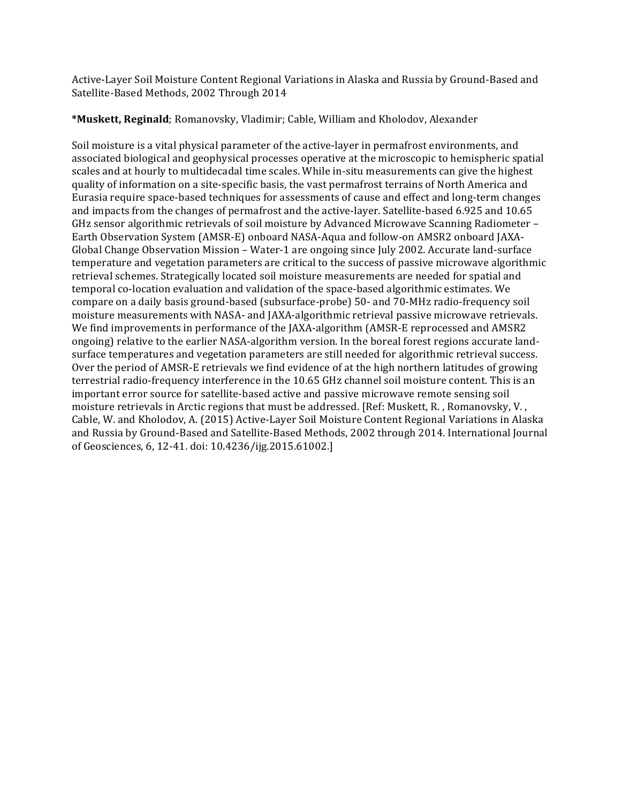Active-Layer Soil Moisture Content Regional Variations in Alaska and Russia by Ground-Based and Satellite-Based Methods, 2002 Through 2014

**\*Muskett, Reginald**; Romanovsky, Vladimir; Cable, William and Kholodov, Alexander

Soil moisture is a vital physical parameter of the active-layer in permafrost environments, and associated biological and geophysical processes operative at the microscopic to hemispheric spatial scales and at hourly to multidecadal time scales. While in-situ measurements can give the highest quality of information on a site-specific basis, the vast permafrost terrains of North America and Eurasia require space-based techniques for assessments of cause and effect and long-term changes and impacts from the changes of permafrost and the active-layer. Satellite-based 6.925 and 10.65 GHz sensor algorithmic retrievals of soil moisture by Advanced Microwave Scanning Radiometer – Earth Observation System (AMSR-E) onboard NASA-Aqua and follow-on AMSR2 onboard JAXA-Global Change Observation Mission – Water-1 are ongoing since July 2002. Accurate land-surface temperature and vegetation parameters are critical to the success of passive microwave algorithmic retrieval schemes. Strategically located soil moisture measurements are needed for spatial and temporal co-location evaluation and validation of the space-based algorithmic estimates. We compare on a daily basis ground-based (subsurface-probe) 50- and 70-MHz radio-frequency soil moisture measurements with NASA- and JAXA-algorithmic retrieval passive microwave retrievals. We find improvements in performance of the JAXA-algorithm (AMSR-E reprocessed and AMSR2 ongoing) relative to the earlier NASA-algorithm version. In the boreal forest regions accurate landsurface temperatures and vegetation parameters are still needed for algorithmic retrieval success. Over the period of AMSR-E retrievals we find evidence of at the high northern latitudes of growing terrestrial radio-frequency interference in the 10.65 GHz channel soil moisture content. This is an important error source for satellite-based active and passive microwave remote sensing soil moisture retrievals in Arctic regions that must be addressed. [Ref: Muskett, R., Romanovsky, V., Cable, W. and Kholodov, A. (2015) Active-Layer Soil Moisture Content Regional Variations in Alaska and Russia by Ground-Based and Satellite-Based Methods, 2002 through 2014. International Journal of Geosciences, 6, 12-41. doi: 10.4236/ijg.2015.61002.]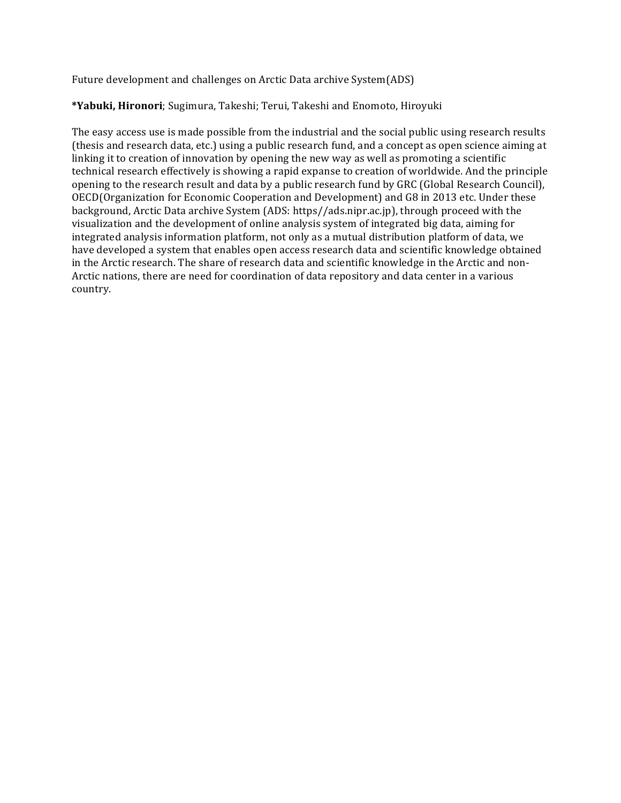Future development and challenges on Arctic Data archive System(ADS)

## \*Yabuki, Hironori; Sugimura, Takeshi; Terui, Takeshi and Enomoto, Hiroyuki

The easy access use is made possible from the industrial and the social public using research results (thesis and research data, etc.) using a public research fund, and a concept as open science aiming at linking it to creation of innovation by opening the new way as well as promoting a scientific technical research effectively is showing a rapid expanse to creation of worldwide. And the principle opening to the research result and data by a public research fund by GRC (Global Research Council), OECD(Organization for Economic Cooperation and Development) and G8 in 2013 etc. Under these background, Arctic Data archive System (ADS: https//ads.nipr.ac.jp), through proceed with the visualization and the development of online analysis system of integrated big data, aiming for integrated analysis information platform, not only as a mutual distribution platform of data, we have developed a system that enables open access research data and scientific knowledge obtained in the Arctic research. The share of research data and scientific knowledge in the Arctic and non-Arctic nations, there are need for coordination of data repository and data center in a various country.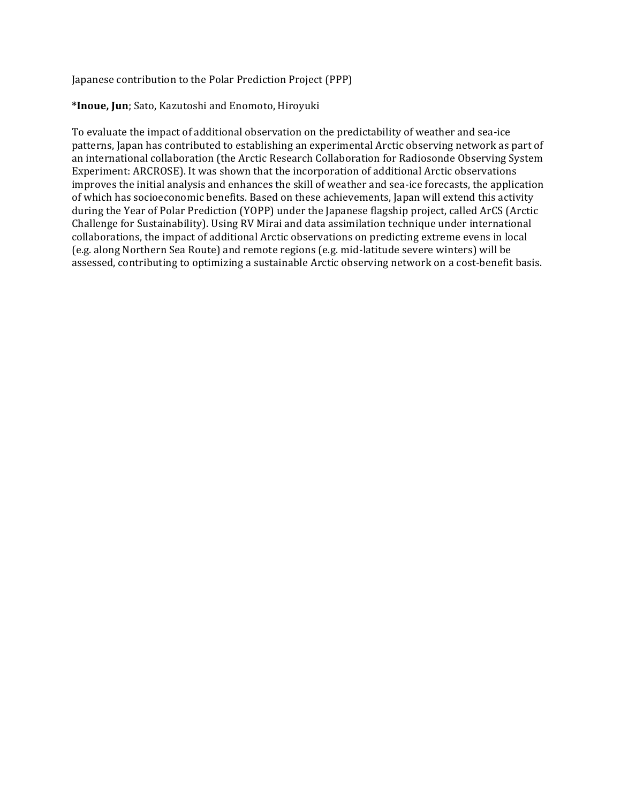Japanese contribution to the Polar Prediction Project (PPP)

#### **\*Inoue, Jun**; Sato, Kazutoshi and Enomoto, Hiroyuki

To evaluate the impact of additional observation on the predictability of weather and sea-ice patterns, Japan has contributed to establishing an experimental Arctic observing network as part of an international collaboration (the Arctic Research Collaboration for Radiosonde Observing System Experiment: ARCROSE). It was shown that the incorporation of additional Arctic observations improves the initial analysis and enhances the skill of weather and sea-ice forecasts, the application of which has socioeconomic benefits. Based on these achievements, Japan will extend this activity during the Year of Polar Prediction (YOPP) under the Japanese flagship project, called ArCS (Arctic Challenge for Sustainability). Using RV Mirai and data assimilation technique under international collaborations, the impact of additional Arctic observations on predicting extreme evens in local (e.g. along Northern Sea Route) and remote regions (e.g. mid-latitude severe winters) will be assessed, contributing to optimizing a sustainable Arctic observing network on a cost-benefit basis.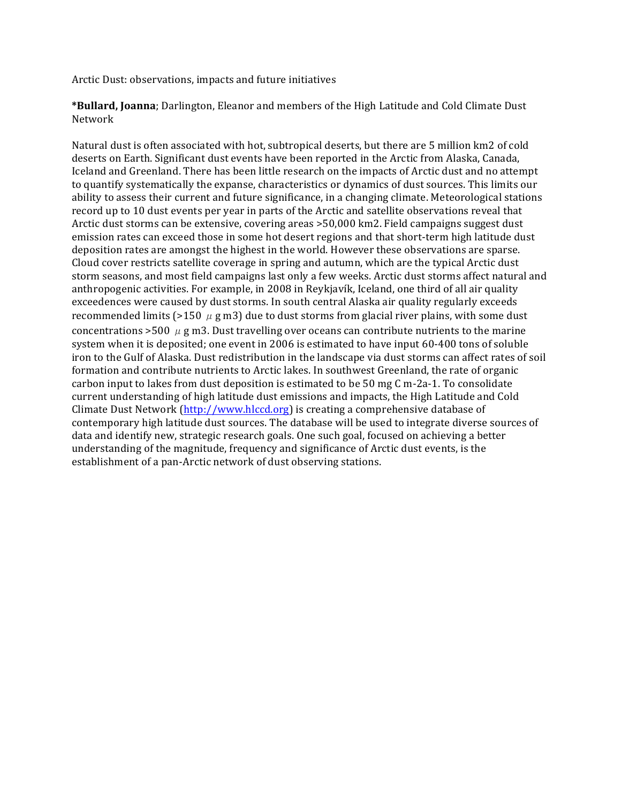Arctic Dust: observations, impacts and future initiatives

\*Bullard, Joanna; Darlington, Eleanor and members of the High Latitude and Cold Climate Dust Network

Natural dust is often associated with hot, subtropical deserts, but there are 5 million km2 of cold deserts on Earth. Significant dust events have been reported in the Arctic from Alaska, Canada, Iceland and Greenland. There has been little research on the impacts of Arctic dust and no attempt to quantify systematically the expanse, characteristics or dynamics of dust sources. This limits our ability to assess their current and future significance, in a changing climate. Meteorological stations record up to 10 dust events per year in parts of the Arctic and satellite observations reveal that Arctic dust storms can be extensive, covering areas >50,000 km2. Field campaigns suggest dust emission rates can exceed those in some hot desert regions and that short-term high latitude dust deposition rates are amongst the highest in the world. However these observations are sparse. Cloud cover restricts satellite coverage in spring and autumn, which are the typical Arctic dust storm seasons, and most field campaigns last only a few weeks. Arctic dust storms affect natural and anthropogenic activities. For example, in 2008 in Reykjavík, Iceland, one third of all air quality exceedences were caused by dust storms. In south central Alaska air quality regularly exceeds recommended limits (>150  $\mu$  g m3) due to dust storms from glacial river plains, with some dust concentrations >500  $\mu$  g m3. Dust travelling over oceans can contribute nutrients to the marine system when it is deposited; one event in 2006 is estimated to have input 60-400 tons of soluble iron to the Gulf of Alaska. Dust redistribution in the landscape via dust storms can affect rates of soil formation and contribute nutrients to Arctic lakes. In southwest Greenland, the rate of organic carbon input to lakes from dust deposition is estimated to be 50 mg C m-2a-1. To consolidate current understanding of high latitude dust emissions and impacts, the High Latitude and Cold Climate Dust Network  $\frac{\text{http://www.hlccd.org}}{\text{http://www.hlccd.org}}$  is creating a comprehensive database of contemporary high latitude dust sources. The database will be used to integrate diverse sources of data and identify new, strategic research goals. One such goal, focused on achieving a better understanding of the magnitude, frequency and significance of Arctic dust events, is the establishment of a pan-Arctic network of dust observing stations.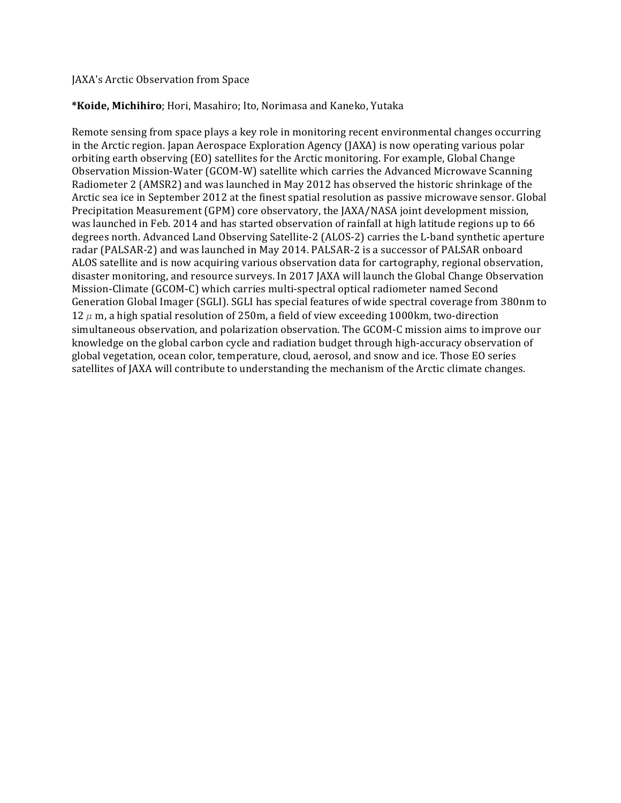#### JAXA's Arctic Observation from Space

#### \*Koide, Michihiro; Hori, Masahiro; Ito, Norimasa and Kaneko, Yutaka

Remote sensing from space plays a key role in monitoring recent environmental changes occurring in the Arctic region. Japan Aerospace Exploration Agency (JAXA) is now operating various polar orbiting earth observing (EO) satellites for the Arctic monitoring. For example, Global Change Observation Mission-Water (GCOM-W) satellite which carries the Advanced Microwave Scanning Radiometer 2 (AMSR2) and was launched in May 2012 has observed the historic shrinkage of the Arctic sea ice in September 2012 at the finest spatial resolution as passive microwave sensor. Global Precipitation Measurement (GPM) core observatory, the JAXA/NASA joint development mission, was launched in Feb. 2014 and has started observation of rainfall at high latitude regions up to 66 degrees north. Advanced Land Observing Satellite-2 (ALOS-2) carries the L-band synthetic aperture radar (PALSAR-2) and was launched in May 2014. PALSAR-2 is a successor of PALSAR onboard ALOS satellite and is now acquiring various observation data for cartography, regional observation, disaster monitoring, and resource surveys. In 2017 JAXA will launch the Global Change Observation Mission-Climate (GCOM-C) which carries multi-spectral optical radiometer named Second Generation Global Imager (SGLI). SGLI has special features of wide spectral coverage from 380nm to 12  $\mu$  m, a high spatial resolution of 250m, a field of view exceeding 1000km, two-direction simultaneous observation, and polarization observation. The GCOM-C mission aims to improve our knowledge on the global carbon cycle and radiation budget through high-accuracy observation of global vegetation, ocean color, temperature, cloud, aerosol, and snow and ice. Those EO series satellites of [AXA will contribute to understanding the mechanism of the Arctic climate changes.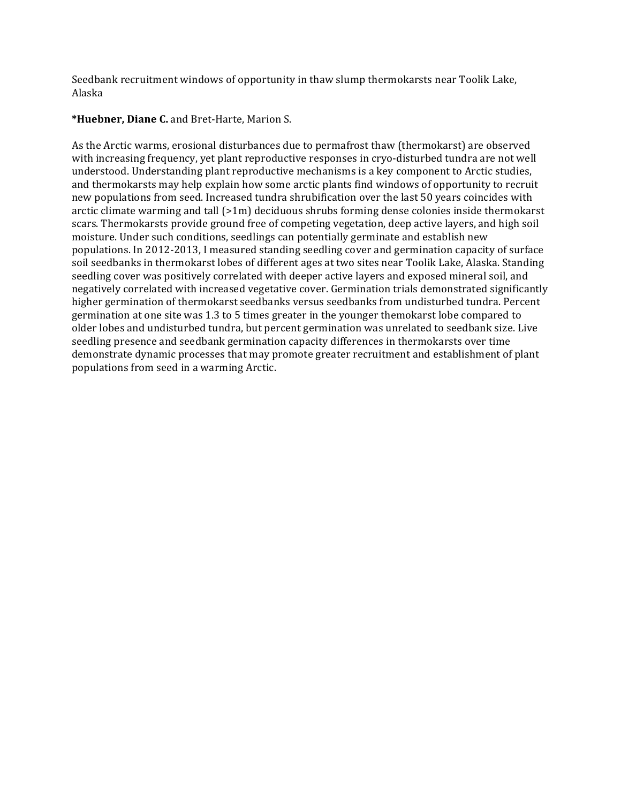Seedbank recruitment windows of opportunity in thaw slump thermokarsts near Toolik Lake, Alaska

# \*Huebner, Diane C. and Bret-Harte, Marion S.

As the Arctic warms, erosional disturbances due to permafrost thaw (thermokarst) are observed with increasing frequency, yet plant reproductive responses in cryo-disturbed tundra are not well understood. Understanding plant reproductive mechanisms is a key component to Arctic studies, and thermokarsts may help explain how some arctic plants find windows of opportunity to recruit new populations from seed. Increased tundra shrubification over the last 50 years coincides with arctic climate warming and tall  $(>1m)$  deciduous shrubs forming dense colonies inside thermokarst scars. Thermokarsts provide ground free of competing vegetation, deep active layers, and high soil moisture. Under such conditions, seedlings can potentially germinate and establish new populations. In 2012-2013, I measured standing seedling cover and germination capacity of surface soil seedbanks in thermokarst lobes of different ages at two sites near Toolik Lake, Alaska. Standing seedling cover was positively correlated with deeper active layers and exposed mineral soil, and negatively correlated with increased vegetative cover. Germination trials demonstrated significantly higher germination of thermokarst seedbanks versus seedbanks from undisturbed tundra. Percent germination at one site was 1.3 to 5 times greater in the younger themokarst lobe compared to older lobes and undisturbed tundra, but percent germination was unrelated to seedbank size. Live seedling presence and seedbank germination capacity differences in thermokarsts over time demonstrate dynamic processes that may promote greater recruitment and establishment of plant populations from seed in a warming Arctic.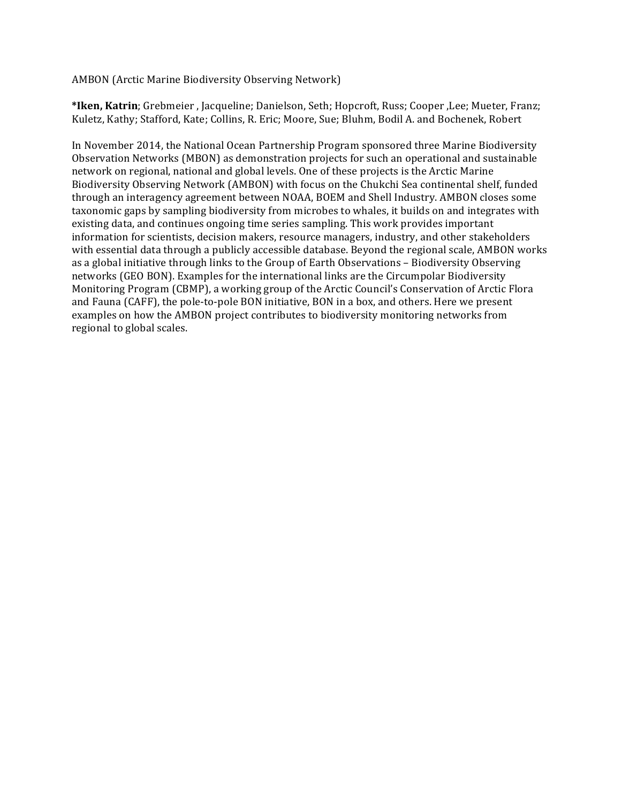AMBON (Arctic Marine Biodiversity Observing Network)

\*Iken, Katrin; Grebmeier, Jacqueline; Danielson, Seth; Hopcroft, Russ; Cooper, Lee; Mueter, Franz; Kuletz, Kathy; Stafford, Kate; Collins, R. Eric; Moore, Sue; Bluhm, Bodil A. and Bochenek, Robert

In November 2014, the National Ocean Partnership Program sponsored three Marine Biodiversity Observation Networks (MBON) as demonstration projects for such an operational and sustainable network on regional, national and global levels. One of these projects is the Arctic Marine Biodiversity Observing Network (AMBON) with focus on the Chukchi Sea continental shelf, funded through an interagency agreement between NOAA, BOEM and Shell Industry. AMBON closes some taxonomic gaps by sampling biodiversity from microbes to whales, it builds on and integrates with existing data, and continues ongoing time series sampling. This work provides important information for scientists, decision makers, resource managers, industry, and other stakeholders with essential data through a publicly accessible database. Beyond the regional scale, AMBON works as a global initiative through links to the Group of Earth Observations - Biodiversity Observing networks (GEO BON). Examples for the international links are the Circumpolar Biodiversity Monitoring Program (CBMP), a working group of the Arctic Council's Conservation of Arctic Flora and Fauna (CAFF), the pole-to-pole BON initiative, BON in a box, and others. Here we present examples on how the AMBON project contributes to biodiversity monitoring networks from regional to global scales.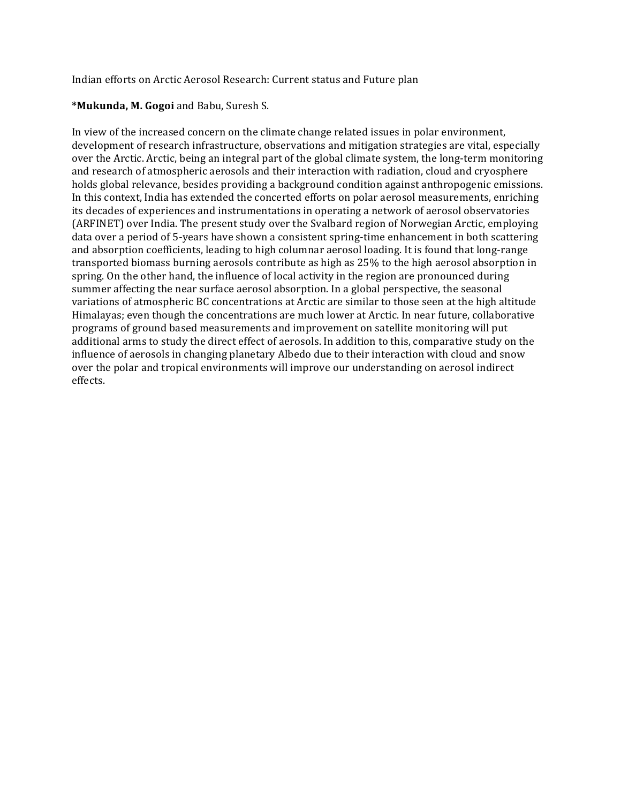Indian efforts on Arctic Aerosol Research: Current status and Future plan

## **\*Mukunda, M. Gogoi** and Babu, Suresh S.

In view of the increased concern on the climate change related issues in polar environment, development of research infrastructure, observations and mitigation strategies are vital, especially over the Arctic. Arctic, being an integral part of the global climate system, the long-term monitoring and research of atmospheric aerosols and their interaction with radiation, cloud and cryosphere holds global relevance, besides providing a background condition against anthropogenic emissions. In this context, India has extended the concerted efforts on polar aerosol measurements, enriching its decades of experiences and instrumentations in operating a network of aerosol observatories (ARFINET) over India. The present study over the Svalbard region of Norwegian Arctic, employing data over a period of 5-years have shown a consistent spring-time enhancement in both scattering and absorption coefficients, leading to high columnar aerosol loading. It is found that long-range transported biomass burning aerosols contribute as high as 25% to the high aerosol absorption in spring. On the other hand, the influence of local activity in the region are pronounced during summer affecting the near surface aerosol absorption. In a global perspective, the seasonal variations of atmospheric BC concentrations at Arctic are similar to those seen at the high altitude Himalayas; even though the concentrations are much lower at Arctic. In near future, collaborative programs of ground based measurements and improvement on satellite monitoring will put additional arms to study the direct effect of aerosols. In addition to this, comparative study on the influence of aerosols in changing planetary Albedo due to their interaction with cloud and snow over the polar and tropical environments will improve our understanding on aerosol indirect effects.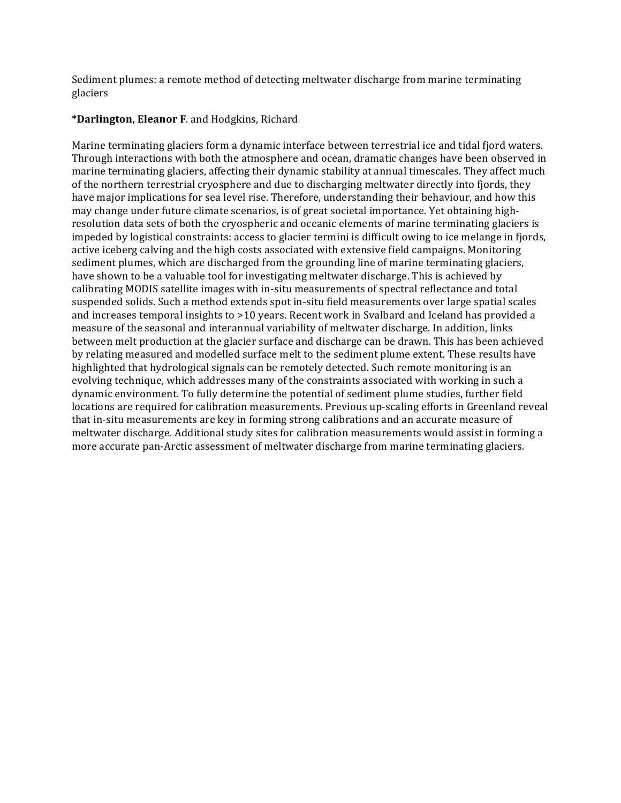Sediment plumes: a remote method of detecting meltwater discharge from marine terminating glaciers

## **\*Darlington, Eleanor F**. and Hodgkins, Richard

Marine terminating glaciers form a dynamic interface between terrestrial ice and tidal fjord waters. Through interactions with both the atmosphere and ocean, dramatic changes have been observed in marine terminating glaciers, affecting their dynamic stability at annual timescales. They affect much of the northern terrestrial cryosphere and due to discharging meltwater directly into fjords, they have major implications for sea level rise. Therefore, understanding their behaviour, and how this may change under future climate scenarios, is of great societal importance. Yet obtaining highresolution data sets of both the cryospheric and oceanic elements of marine terminating glaciers is impeded by logistical constraints: access to glacier termini is difficult owing to ice melange in fjords, active iceberg calving and the high costs associated with extensive field campaigns. Monitoring sediment plumes, which are discharged from the grounding line of marine terminating glaciers, have shown to be a valuable tool for investigating meltwater discharge. This is achieved by calibrating MODIS satellite images with in-situ measurements of spectral reflectance and total suspended solids. Such a method extends spot in-situ field measurements over large spatial scales and increases temporal insights to  $>10$  years. Recent work in Svalbard and Iceland has provided a measure of the seasonal and interannual variability of meltwater discharge. In addition, links between melt production at the glacier surface and discharge can be drawn. This has been achieved by relating measured and modelled surface melt to the sediment plume extent. These results have highlighted that hydrological signals can be remotely detected. Such remote monitoring is an evolying technique, which addresses many of the constraints associated with working in such a dynamic environment. To fully determine the potential of sediment plume studies, further field locations are required for calibration measurements. Previous up-scaling efforts in Greenland reveal that in-situ measurements are key in forming strong calibrations and an accurate measure of meltwater discharge. Additional study sites for calibration measurements would assist in forming a more accurate pan-Arctic assessment of meltwater discharge from marine terminating glaciers.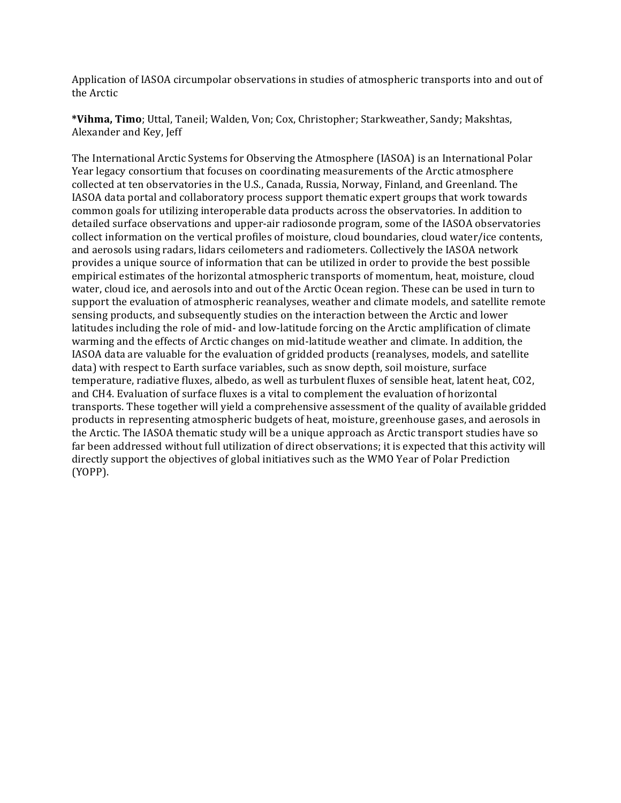Application of IASOA circumpolar observations in studies of atmospheric transports into and out of the Arctic

\*Vihma, Timo; Uttal, Taneil; Walden, Von; Cox, Christopher; Starkweather, Sandy; Makshtas, Alexander and Key, Jeff

The International Arctic Systems for Observing the Atmosphere (IASOA) is an International Polar Year legacy consortium that focuses on coordinating measurements of the Arctic atmosphere collected at ten observatories in the U.S., Canada, Russia, Norway, Finland, and Greenland. The IASOA data portal and collaboratory process support thematic expert groups that work towards common goals for utilizing interoperable data products across the observatories. In addition to detailed surface observations and upper-air radiosonde program, some of the IASOA observatories collect information on the vertical profiles of moisture, cloud boundaries, cloud water/ice contents, and aerosols using radars, lidars ceilometers and radiometers. Collectively the IASOA network provides a unique source of information that can be utilized in order to provide the best possible empirical estimates of the horizontal atmospheric transports of momentum, heat, moisture, cloud water, cloud ice, and aerosols into and out of the Arctic Ocean region. These can be used in turn to support the evaluation of atmospheric reanalyses, weather and climate models, and satellite remote sensing products, and subsequently studies on the interaction between the Arctic and lower latitudes including the role of mid- and low-latitude forcing on the Arctic amplification of climate warming and the effects of Arctic changes on mid-latitude weather and climate. In addition, the IASOA data are valuable for the evaluation of gridded products (reanalyses, models, and satellite data) with respect to Earth surface variables, such as snow depth, soil moisture, surface temperature, radiative fluxes, albedo, as well as turbulent fluxes of sensible heat, latent heat, CO2, and CH4. Evaluation of surface fluxes is a vital to complement the evaluation of horizontal transports. These together will yield a comprehensive assessment of the quality of available gridded products in representing atmospheric budgets of heat, moisture, greenhouse gases, and aerosols in the Arctic. The IASOA thematic study will be a unique approach as Arctic transport studies have so far been addressed without full utilization of direct observations; it is expected that this activity will directly support the objectives of global initiatives such as the WMO Year of Polar Prediction (YOPP).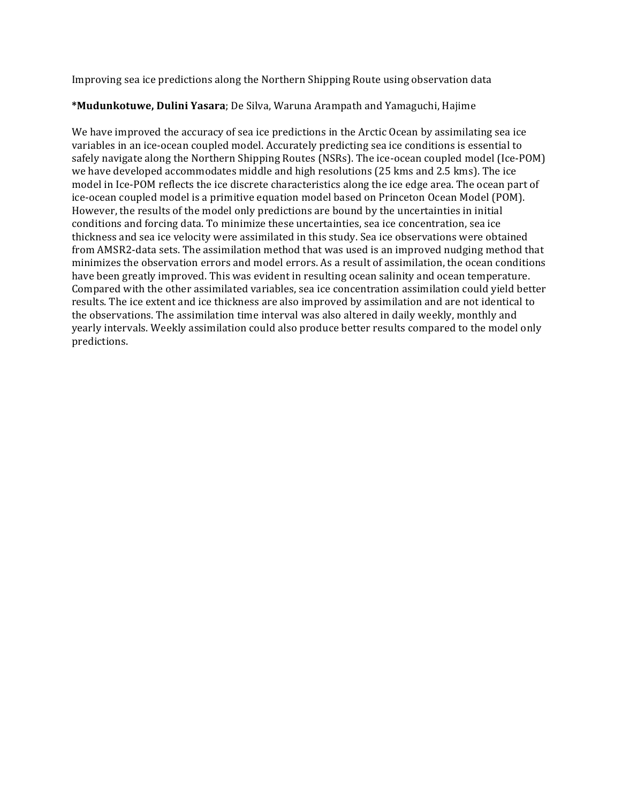Improving sea ice predictions along the Northern Shipping Route using observation data

## \*Mudunkotuwe, Dulini Yasara; De Silva, Waruna Arampath and Yamaguchi, Hajime

We have improved the accuracy of sea ice predictions in the Arctic Ocean by assimilating sea ice variables in an ice-ocean coupled model. Accurately predicting sea ice conditions is essential to safely navigate along the Northern Shipping Routes (NSRs). The ice-ocean coupled model (Ice-POM) we have developed accommodates middle and high resolutions (25 kms and 2.5 kms). The ice model in Ice-POM reflects the ice discrete characteristics along the ice edge area. The ocean part of ice-ocean coupled model is a primitive equation model based on Princeton Ocean Model (POM). However, the results of the model only predictions are bound by the uncertainties in initial conditions and forcing data. To minimize these uncertainties, sea ice concentration, sea ice thickness and sea ice velocity were assimilated in this study. Sea ice observations were obtained from AMSR2-data sets. The assimilation method that was used is an improved nudging method that minimizes the observation errors and model errors. As a result of assimilation, the ocean conditions have been greatly improved. This was evident in resulting ocean salinity and ocean temperature. Compared with the other assimilated variables, sea ice concentration assimilation could yield better results. The ice extent and ice thickness are also improved by assimilation and are not identical to the observations. The assimilation time interval was also altered in daily weekly, monthly and yearly intervals. Weekly assimilation could also produce better results compared to the model only predictions.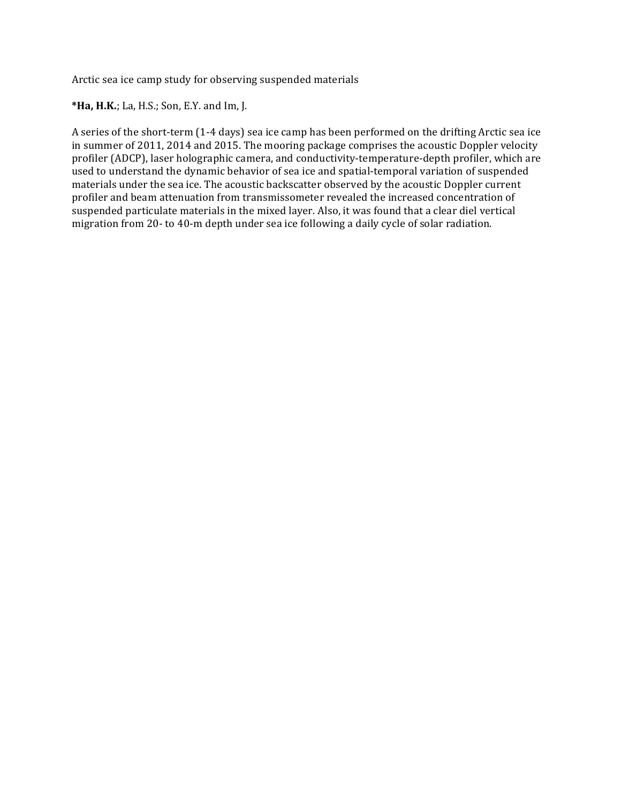Arctic sea ice camp study for observing suspended materials

\***Ha, H.K.**; La, H.S.; Son, E.Y. and Im, J.

A series of the short-term (1-4 days) sea ice camp has been performed on the drifting Arctic sea ice in summer of 2011, 2014 and 2015. The mooring package comprises the acoustic Doppler velocity profiler (ADCP), laser holographic camera, and conductivity-temperature-depth profiler, which are used to understand the dynamic behavior of sea ice and spatial-temporal variation of suspended materials under the sea ice. The acoustic backscatter observed by the acoustic Doppler current profiler and beam attenuation from transmissometer revealed the increased concentration of suspended particulate materials in the mixed layer. Also, it was found that a clear diel vertical migration from 20- to 40-m depth under sea ice following a daily cycle of solar radiation.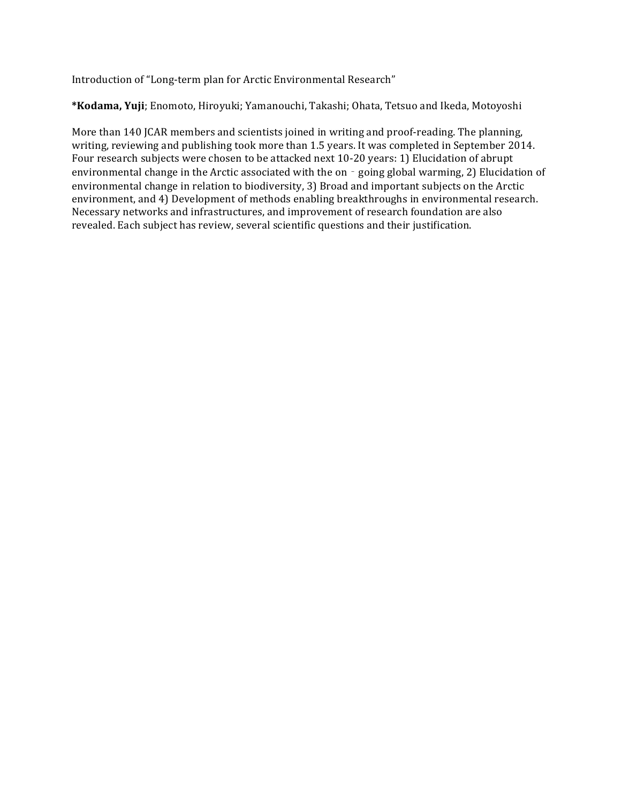Introduction of "Long-term plan for Arctic Environmental Research"

\*Kodama, Yuji; Enomoto, Hiroyuki; Yamanouchi, Takashi; Ohata, Tetsuo and Ikeda, Motoyoshi

More than 140 JCAR members and scientists joined in writing and proof-reading. The planning, writing, reviewing and publishing took more than 1.5 years. It was completed in September 2014. Four research subjects were chosen to be attacked next 10-20 years: 1) Elucidation of abrupt environmental change in the Arctic associated with the on - going global warming, 2) Elucidation of environmental change in relation to biodiversity, 3) Broad and important subjects on the Arctic environment, and 4) Development of methods enabling breakthroughs in environmental research. Necessary networks and infrastructures, and improvement of research foundation are also revealed. Each subject has review, several scientific questions and their justification.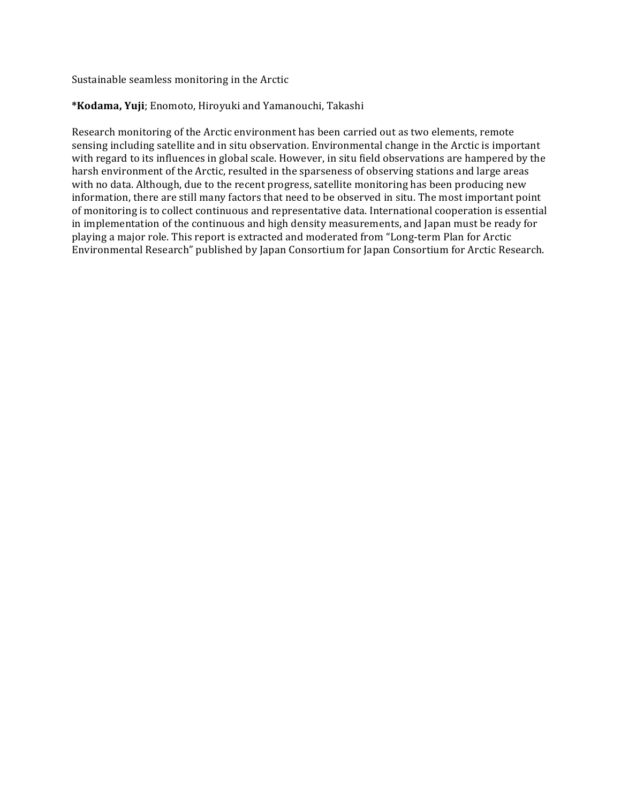Sustainable seamless monitoring in the Arctic

### \*Kodama, Yuji; Enomoto, Hiroyuki and Yamanouchi, Takashi

Research monitoring of the Arctic environment has been carried out as two elements, remote sensing including satellite and in situ observation. Environmental change in the Arctic is important with regard to its influences in global scale. However, in situ field observations are hampered by the harsh environment of the Arctic, resulted in the sparseness of observing stations and large areas with no data. Although, due to the recent progress, satellite monitoring has been producing new information, there are still many factors that need to be observed in situ. The most important point of monitoring is to collect continuous and representative data. International cooperation is essential in implementation of the continuous and high density measurements, and Japan must be ready for playing a major role. This report is extracted and moderated from "Long-term Plan for Arctic Environmental Research" published by Japan Consortium for Japan Consortium for Arctic Research.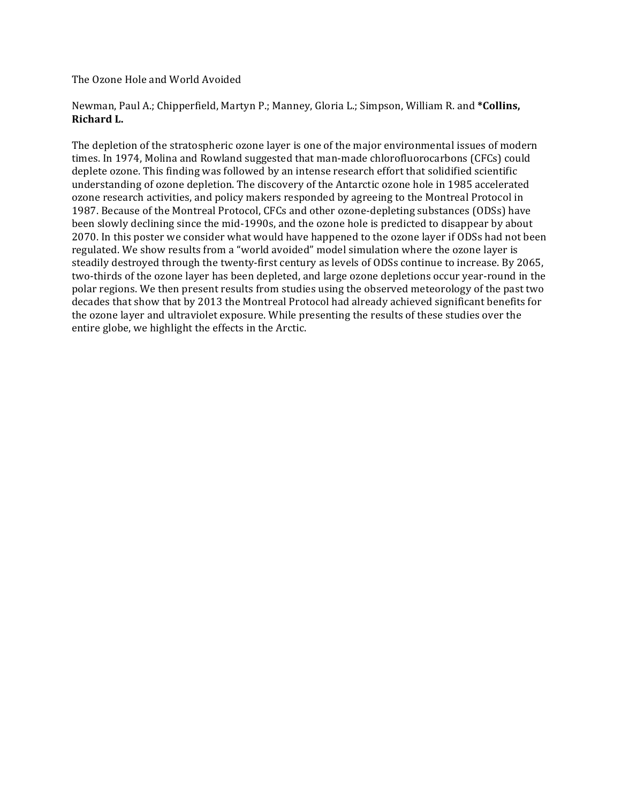The Ozone Hole and World Avoided

Newman, Paul A.; Chipperfield, Martyn P.; Manney, Gloria L.; Simpson, William R. and \*Collins, **Richard L.** 

The depletion of the stratospheric ozone layer is one of the major environmental issues of modern times. In 1974, Molina and Rowland suggested that man-made chlorofluorocarbons (CFCs) could deplete ozone. This finding was followed by an intense research effort that solidified scientific understanding of ozone depletion. The discovery of the Antarctic ozone hole in 1985 accelerated ozone research activities, and policy makers responded by agreeing to the Montreal Protocol in 1987. Because of the Montreal Protocol, CFCs and other ozone-depleting substances (ODSs) have been slowly declining since the mid-1990s, and the ozone hole is predicted to disappear by about 2070. In this poster we consider what would have happened to the ozone layer if ODSs had not been regulated. We show results from a "world avoided" model simulation where the ozone layer is steadily destroyed through the twenty-first century as levels of ODSs continue to increase. By 2065, two-thirds of the ozone layer has been depleted, and large ozone depletions occur year-round in the polar regions. We then present results from studies using the observed meteorology of the past two decades that show that by 2013 the Montreal Protocol had already achieved significant benefits for the ozone layer and ultraviolet exposure. While presenting the results of these studies over the entire globe, we highlight the effects in the Arctic.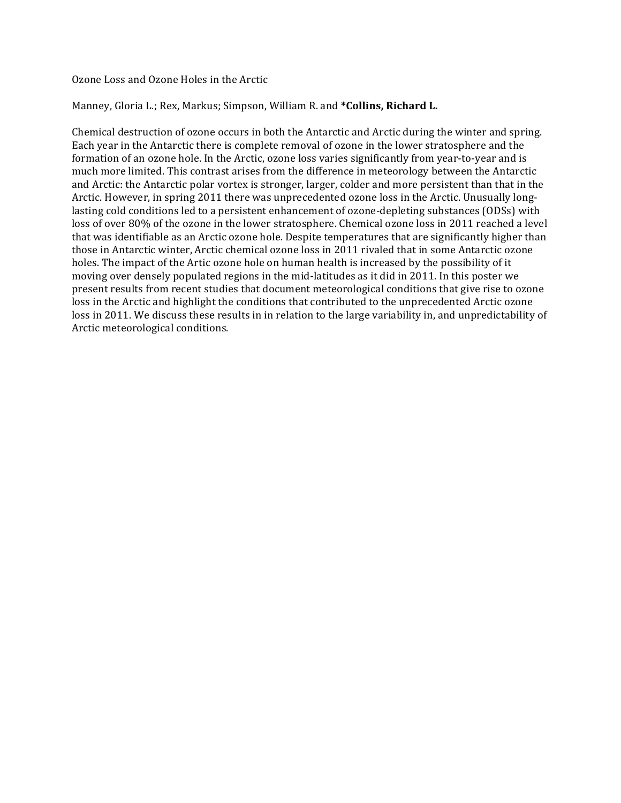Ozone Loss and Ozone Holes in the Arctic

### Manney, Gloria L.; Rex, Markus; Simpson, William R. and \*Collins, Richard L.

Chemical destruction of ozone occurs in both the Antarctic and Arctic during the winter and spring. Each year in the Antarctic there is complete removal of ozone in the lower stratosphere and the formation of an ozone hole. In the Arctic, ozone loss varies significantly from year-to-year and is much more limited. This contrast arises from the difference in meteorology between the Antarctic and Arctic: the Antarctic polar vortex is stronger, larger, colder and more persistent than that in the Arctic. However, in spring 2011 there was unprecedented ozone loss in the Arctic. Unusually longlasting cold conditions led to a persistent enhancement of ozone-depleting substances (ODSs) with loss of over 80% of the ozone in the lower stratosphere. Chemical ozone loss in 2011 reached a level that was identifiable as an Arctic ozone hole. Despite temperatures that are significantly higher than those in Antarctic winter, Arctic chemical ozone loss in 2011 rivaled that in some Antarctic ozone holes. The impact of the Artic ozone hole on human health is increased by the possibility of it moving over densely populated regions in the mid-latitudes as it did in 2011. In this poster we present results from recent studies that document meteorological conditions that give rise to ozone loss in the Arctic and highlight the conditions that contributed to the unprecedented Arctic ozone loss in 2011. We discuss these results in in relation to the large variability in, and unpredictability of Arctic meteorological conditions.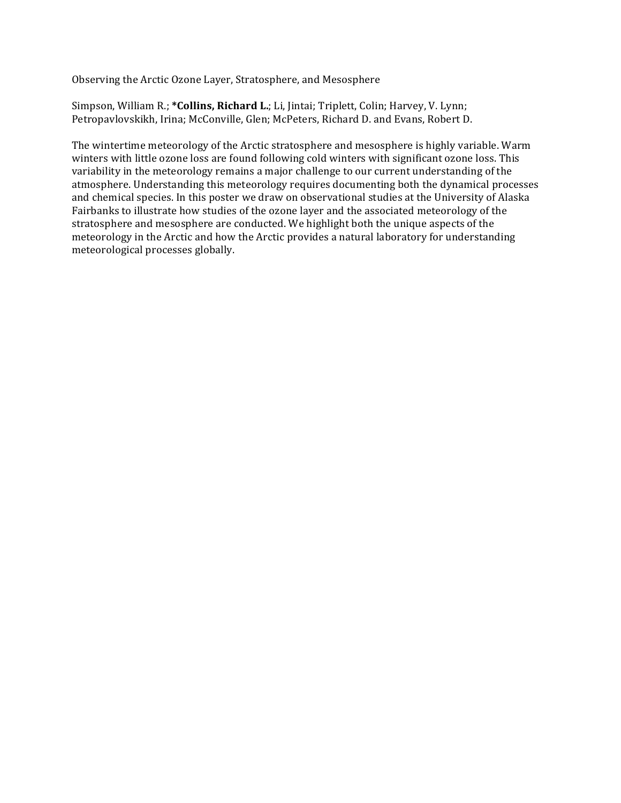Observing the Arctic Ozone Layer, Stratosphere, and Mesosphere

Simpson, William R.; \*Collins, Richard L.; Li, Jintai; Triplett, Colin; Harvey, V. Lynn; Petropavlovskikh, Irina; McConville, Glen; McPeters, Richard D. and Evans, Robert D.

The wintertime meteorology of the Arctic stratosphere and mesosphere is highly variable. Warm winters with little ozone loss are found following cold winters with significant ozone loss. This variability in the meteorology remains a major challenge to our current understanding of the atmosphere. Understanding this meteorology requires documenting both the dynamical processes and chemical species. In this poster we draw on observational studies at the University of Alaska Fairbanks to illustrate how studies of the ozone layer and the associated meteorology of the stratosphere and mesosphere are conducted. We highlight both the unique aspects of the meteorology in the Arctic and how the Arctic provides a natural laboratory for understanding meteorological processes globally.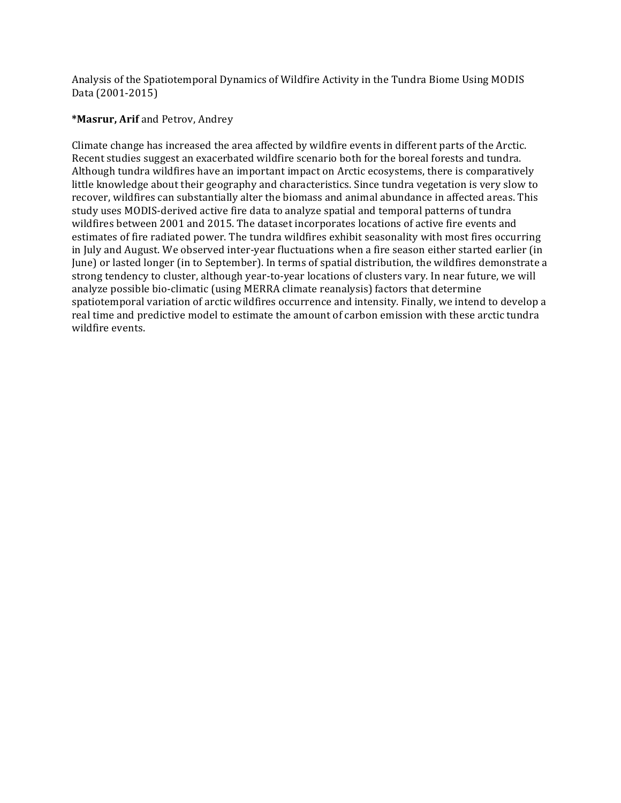Analysis of the Spatiotemporal Dynamics of Wildfire Activity in the Tundra Biome Using MODIS Data (2001-2015)

### **\*Masrur, Arif** and Petrov, Andrey

Climate change has increased the area affected by wildfire events in different parts of the Arctic. Recent studies suggest an exacerbated wildfire scenario both for the boreal forests and tundra. Although tundra wildfires have an important impact on Arctic ecosystems, there is comparatively little knowledge about their geography and characteristics. Since tundra vegetation is very slow to recover, wildfires can substantially alter the biomass and animal abundance in affected areas. This study uses MODIS-derived active fire data to analyze spatial and temporal patterns of tundra wildfires between 2001 and 2015. The dataset incorporates locations of active fire events and estimates of fire radiated power. The tundra wildfires exhibit seasonality with most fires occurring in July and August. We observed inter-year fluctuations when a fire season either started earlier (in June) or lasted longer (in to September). In terms of spatial distribution, the wildfires demonstrate a strong tendency to cluster, although year-to-year locations of clusters vary. In near future, we will analyze possible bio-climatic (using MERRA climate reanalysis) factors that determine spatiotemporal variation of arctic wildfires occurrence and intensity. Finally, we intend to develop a real time and predictive model to estimate the amount of carbon emission with these arctic tundra wildfire events.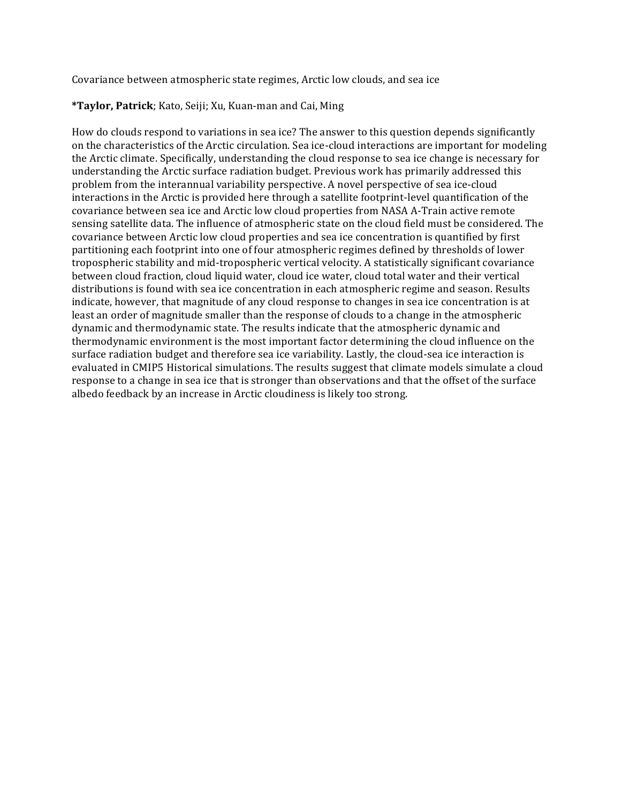Covariance between atmospheric state regimes, Arctic low clouds, and sea ice

### **\*Taylor, Patrick**; Kato, Seiji; Xu, Kuan-man and Cai, Ming

How do clouds respond to variations in sea ice? The answer to this question depends significantly on the characteristics of the Arctic circulation. Sea ice-cloud interactions are important for modeling the Arctic climate. Specifically, understanding the cloud response to sea ice change is necessary for understanding the Arctic surface radiation budget. Previous work has primarily addressed this problem from the interannual variability perspective. A novel perspective of sea ice-cloud interactions in the Arctic is provided here through a satellite footprint-level quantification of the covariance between sea ice and Arctic low cloud properties from NASA A-Train active remote sensing satellite data. The influence of atmospheric state on the cloud field must be considered. The covariance between Arctic low cloud properties and sea ice concentration is quantified by first partitioning each footprint into one of four atmospheric regimes defined by thresholds of lower tropospheric stability and mid-tropospheric vertical velocity. A statistically significant covariance between cloud fraction, cloud liquid water, cloud ice water, cloud total water and their vertical distributions is found with sea ice concentration in each atmospheric regime and season. Results indicate, however, that magnitude of any cloud response to changes in sea ice concentration is at least an order of magnitude smaller than the response of clouds to a change in the atmospheric dynamic and thermodynamic state. The results indicate that the atmospheric dynamic and thermodynamic environment is the most important factor determining the cloud influence on the surface radiation budget and therefore sea ice variability. Lastly, the cloud-sea ice interaction is evaluated in CMIP5 Historical simulations. The results suggest that climate models simulate a cloud response to a change in sea ice that is stronger than observations and that the offset of the surface albedo feedback by an increase in Arctic cloudiness is likely too strong.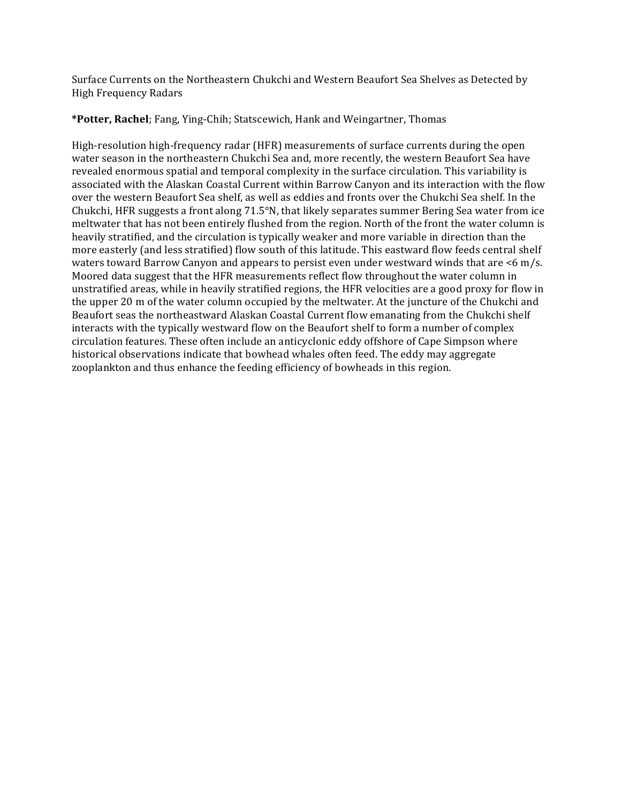Surface Currents on the Northeastern Chukchi and Western Beaufort Sea Shelves as Detected by High Frequency Radars

**\*Potter, Rachel**; Fang, Ying-Chih; Statscewich, Hank and Weingartner, Thomas

High-resolution high-frequency radar (HFR) measurements of surface currents during the open water season in the northeastern Chukchi Sea and, more recently, the western Beaufort Sea have revealed enormous spatial and temporal complexity in the surface circulation. This variability is associated with the Alaskan Coastal Current within Barrow Canyon and its interaction with the flow over the western Beaufort Sea shelf, as well as eddies and fronts over the Chukchi Sea shelf. In the Chukchi, HFR suggests a front along  $71.5^\circ N$ , that likely separates summer Bering Sea water from ice meltwater that has not been entirely flushed from the region. North of the front the water column is heavily stratified, and the circulation is typically weaker and more variable in direction than the more easterly (and less stratified) flow south of this latitude. This eastward flow feeds central shelf waters toward Barrow Canyon and appears to persist even under westward winds that are  $\leq 6$  m/s. Moored data suggest that the HFR measurements reflect flow throughout the water column in unstratified areas, while in heavily stratified regions, the HFR velocities are a good proxy for flow in the upper 20 m of the water column occupied by the meltwater. At the juncture of the Chukchi and Beaufort seas the northeastward Alaskan Coastal Current flow emanating from the Chukchi shelf interacts with the typically westward flow on the Beaufort shelf to form a number of complex circulation features. These often include an anticyclonic eddy offshore of Cape Simpson where historical observations indicate that bowhead whales often feed. The eddy may aggregate zooplankton and thus enhance the feeding efficiency of bowheads in this region.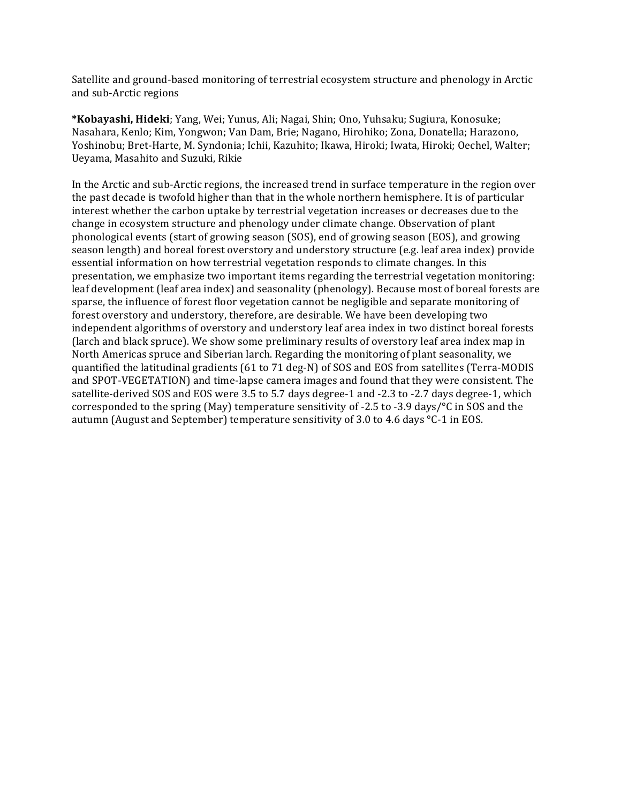Satellite and ground-based monitoring of terrestrial ecosystem structure and phenology in Arctic and sub-Arctic regions

**\*Kobayashi, Hideki**; Yang, Wei; Yunus, Ali; Nagai, Shin; Ono, Yuhsaku; Sugiura, Konosuke; Nasahara, Kenlo; Kim, Yongwon; Van Dam, Brie; Nagano, Hirohiko; Zona, Donatella; Harazono, Yoshinobu; Bret-Harte, M. Syndonia; Ichii, Kazuhito; Ikawa, Hiroki; Iwata, Hiroki; Oechel, Walter; Ueyama, Masahito and Suzuki, Rikie

In the Arctic and sub-Arctic regions, the increased trend in surface temperature in the region over the past decade is twofold higher than that in the whole northern hemisphere. It is of particular interest whether the carbon uptake by terrestrial vegetation increases or decreases due to the change in ecosystem structure and phenology under climate change. Observation of plant phonological events (start of growing season (SOS), end of growing season (EOS), and growing season length) and boreal forest overstory and understory structure (e.g. leaf area index) provide essential information on how terrestrial vegetation responds to climate changes. In this presentation, we emphasize two important items regarding the terrestrial vegetation monitoring: leaf development (leaf area index) and seasonality (phenology). Because most of boreal forests are sparse, the influence of forest floor vegetation cannot be negligible and separate monitoring of forest overstory and understory, therefore, are desirable. We have been developing two independent algorithms of overstory and understory leaf area index in two distinct boreal forests (larch and black spruce). We show some preliminary results of overstory leaf area index map in North Americas spruce and Siberian larch. Regarding the monitoring of plant seasonality, we quantified the latitudinal gradients (61 to 71 deg-N) of SOS and EOS from satellites (Terra-MODIS and SPOT-VEGETATION) and time-lapse camera images and found that they were consistent. The satellite-derived SOS and EOS were 3.5 to 5.7 days degree-1 and -2.3 to -2.7 days degree-1, which corresponded to the spring (May) temperature sensitivity of -2.5 to -3.9 days/ $\degree$ C in SOS and the autumn (August and September) temperature sensitivity of 3.0 to 4.6 days  $°C-1$  in EOS.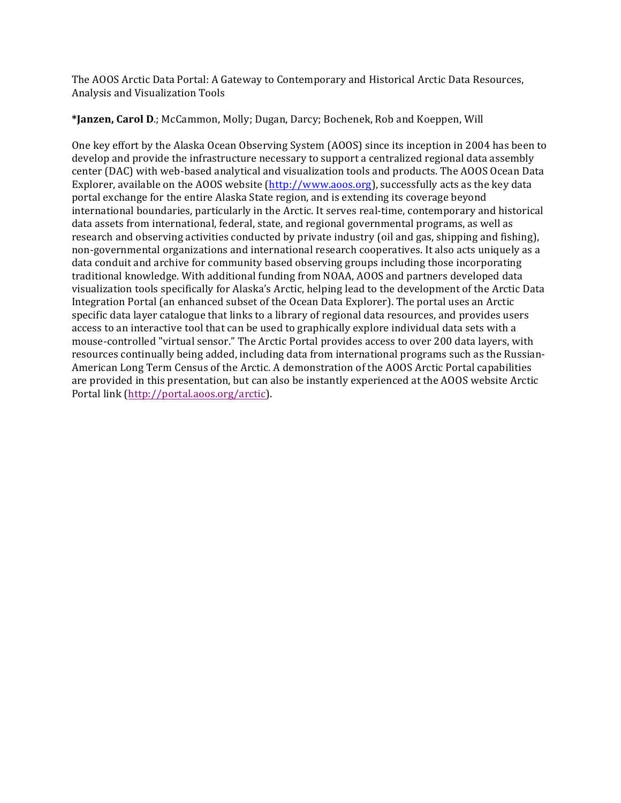The AOOS Arctic Data Portal: A Gateway to Contemporary and Historical Arctic Data Resources, Analysis and Visualization Tools

**\*Janzen, Carol D**.; McCammon, Molly; Dugan, Darcy; Bochenek, Rob and Koeppen, Will

One key effort by the Alaska Ocean Observing System (AOOS) since its inception in 2004 has been to develop and provide the infrastructure necessary to support a centralized regional data assembly center (DAC) with web-based analytical and visualization tools and products. The AOOS Ocean Data Explorer, available on the AOOS website (http://www.aoos.org), successfully acts as the key data portal exchange for the entire Alaska State region, and is extending its coverage beyond international boundaries, particularly in the Arctic. It serves real-time, contemporary and historical data assets from international, federal, state, and regional governmental programs, as well as research and observing activities conducted by private industry (oil and gas, shipping and fishing), non-governmental organizations and international research cooperatives. It also acts uniquely as a data conduit and archive for community based observing groups including those incorporating traditional knowledge. With additional funding from NOAA, AOOS and partners developed data visualization tools specifically for Alaska's Arctic, helping lead to the development of the Arctic Data Integration Portal (an enhanced subset of the Ocean Data Explorer). The portal uses an Arctic specific data layer catalogue that links to a library of regional data resources, and provides users access to an interactive tool that can be used to graphically explore individual data sets with a mouse-controlled "virtual sensor." The Arctic Portal provides access to over 200 data layers, with resources continually being added, including data from international programs such as the Russian-American Long Term Census of the Arctic. A demonstration of the AOOS Arctic Portal capabilities are provided in this presentation, but can also be instantly experienced at the AOOS website Arctic Portal link (http://portal.aoos.org/arctic).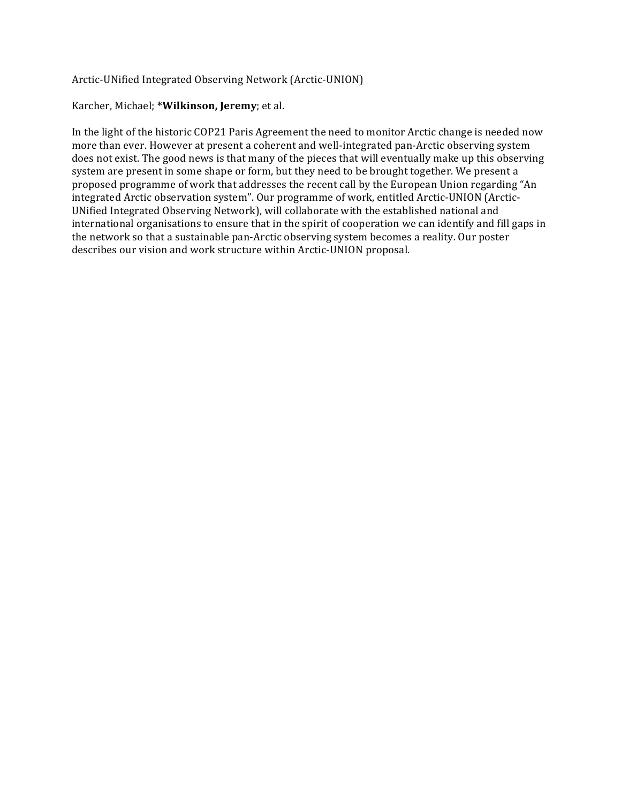### Arctic-UNified Integrated Observing Network (Arctic-UNION)

### Karcher, Michael; \*Wilkinson, Jeremy; et al.

In the light of the historic COP21 Paris Agreement the need to monitor Arctic change is needed now more than ever. However at present a coherent and well-integrated pan-Arctic observing system does not exist. The good news is that many of the pieces that will eventually make up this observing system are present in some shape or form, but they need to be brought together. We present a proposed programme of work that addresses the recent call by the European Union regarding "An integrated Arctic observation system". Our programme of work, entitled Arctic-UNION (Arctic-UNified Integrated Observing Network), will collaborate with the established national and international organisations to ensure that in the spirit of cooperation we can identify and fill gaps in the network so that a sustainable pan-Arctic observing system becomes a reality. Our poster describes our vision and work structure within Arctic-UNION proposal.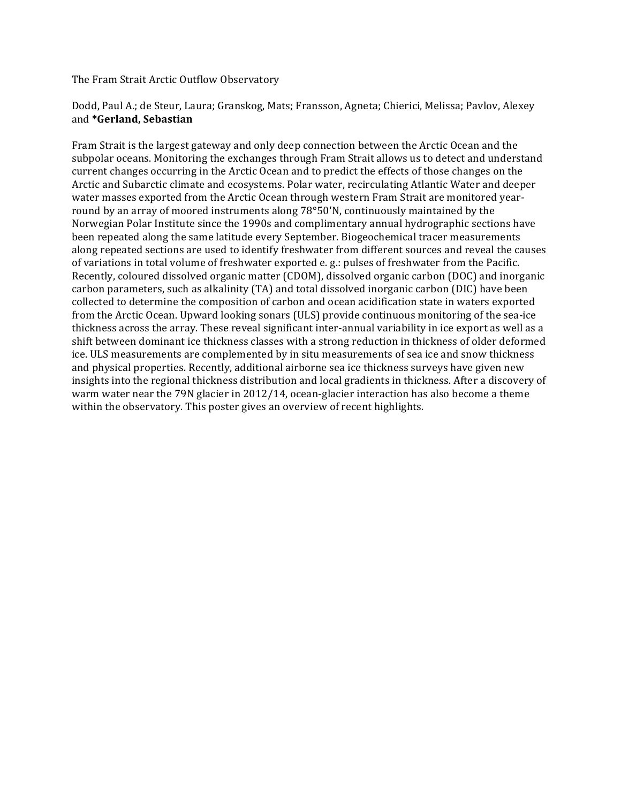The Fram Strait Arctic Outflow Observatory

### Dodd, Paul A.; de Steur, Laura; Granskog, Mats; Fransson, Agneta; Chierici, Melissa; Pavlov, Alexey and **\*Gerland, Sebastian**

Fram Strait is the largest gateway and only deep connection between the Arctic Ocean and the subpolar oceans. Monitoring the exchanges through Fram Strait allows us to detect and understand current changes occurring in the Arctic Ocean and to predict the effects of those changes on the Arctic and Subarctic climate and ecosystems. Polar water, recirculating Atlantic Water and deeper water masses exported from the Arctic Ocean through western Fram Strait are monitored yearround by an array of moored instruments along  $78^{\circ}50'$ N, continuously maintained by the Norwegian Polar Institute since the 1990s and complimentary annual hydrographic sections have been repeated along the same latitude every September. Biogeochemical tracer measurements along repeated sections are used to identify freshwater from different sources and reveal the causes of variations in total volume of freshwater exported e. g.: pulses of freshwater from the Pacific. Recently, coloured dissolved organic matter (CDOM), dissolved organic carbon (DOC) and inorganic carbon parameters, such as alkalinity (TA) and total dissolved inorganic carbon (DIC) have been collected to determine the composition of carbon and ocean acidification state in waters exported from the Arctic Ocean. Upward looking sonars (ULS) provide continuous monitoring of the sea-ice thickness across the array. These reveal significant inter-annual variability in ice export as well as a shift between dominant ice thickness classes with a strong reduction in thickness of older deformed ice. ULS measurements are complemented by in situ measurements of sea ice and snow thickness and physical properties. Recently, additional airborne sea ice thickness surveys have given new insights into the regional thickness distribution and local gradients in thickness. After a discovery of warm water near the  $79N$  glacier in  $2012/14$ , ocean-glacier interaction has also become a theme within the observatory. This poster gives an overview of recent highlights.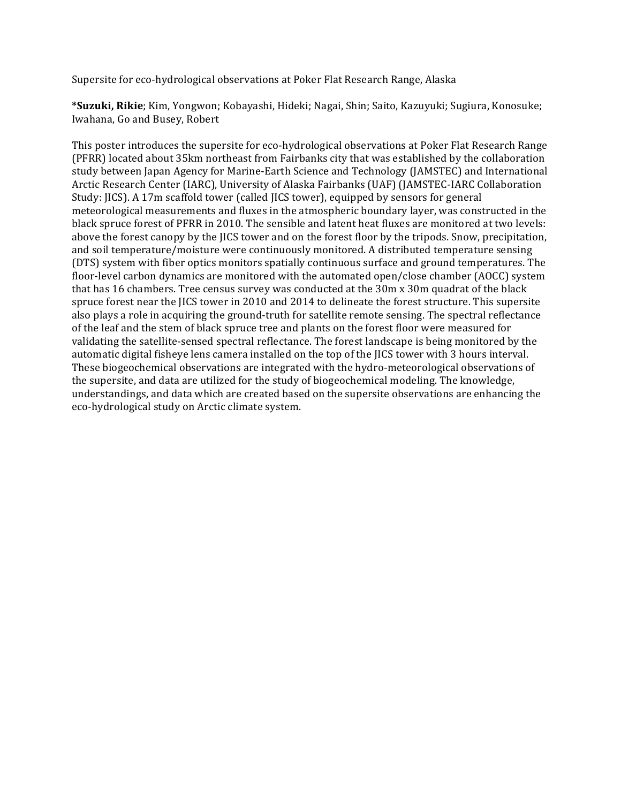Supersite for eco-hydrological observations at Poker Flat Research Range, Alaska

\*Suzuki, Rikie; Kim, Yongwon; Kobayashi, Hideki; Nagai, Shin; Saito, Kazuyuki; Sugiura, Konosuke; Iwahana, Go and Busey, Robert

This poster introduces the supersite for eco-hydrological observations at Poker Flat Research Range (PFRR) located about 35km northeast from Fairbanks city that was established by the collaboration study between Japan Agency for Marine-Earth Science and Technology (JAMSTEC) and International Arctic Research Center (IARC), University of Alaska Fairbanks (UAF) (JAMSTEC-IARC Collaboration Study: JICS). A 17m scaffold tower (called JICS tower), equipped by sensors for general meteorological measurements and fluxes in the atmospheric boundary layer, was constructed in the black spruce forest of PFRR in 2010. The sensible and latent heat fluxes are monitored at two levels: above the forest canopy by the JICS tower and on the forest floor by the tripods. Snow, precipitation, and soil temperature/moisture were continuously monitored. A distributed temperature sensing (DTS) system with fiber optics monitors spatially continuous surface and ground temperatures. The floor-level carbon dynamics are monitored with the automated open/close chamber (AOCC) system that has 16 chambers. Tree census survey was conducted at the 30m x 30m quadrat of the black spruce forest near the JICS tower in 2010 and 2014 to delineate the forest structure. This supersite also plays a role in acquiring the ground-truth for satellite remote sensing. The spectral reflectance of the leaf and the stem of black spruce tree and plants on the forest floor were measured for validating the satellite-sensed spectral reflectance. The forest landscape is being monitored by the automatic digital fisheye lens camera installed on the top of the JICS tower with 3 hours interval. These biogeochemical observations are integrated with the hydro-meteorological observations of the supersite, and data are utilized for the study of biogeochemical modeling. The knowledge, understandings, and data which are created based on the supersite observations are enhancing the eco-hydrological study on Arctic climate system.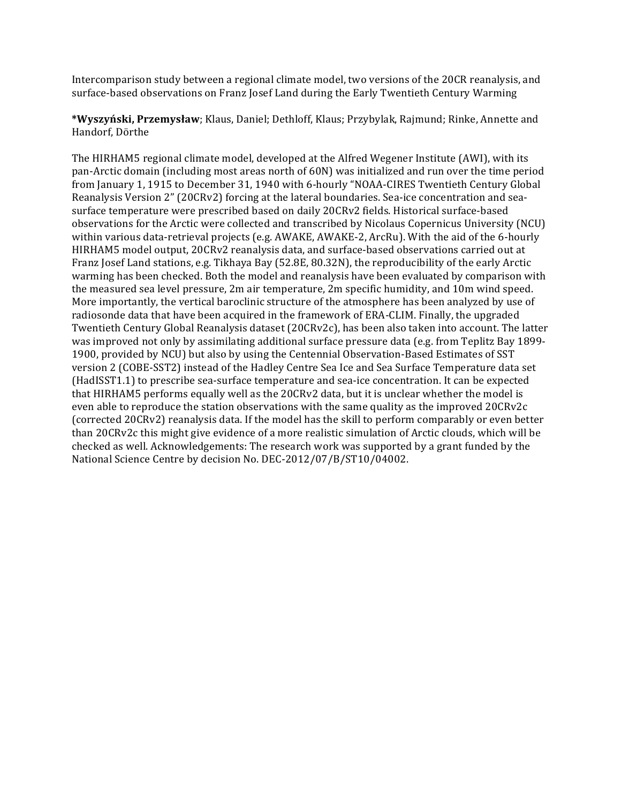Intercomparison study between a regional climate model, two versions of the 20CR reanalysis, and surface-based observations on Franz Josef Land during the Early Twentieth Century Warming

**\*Wyszyński, Przemysław**; Klaus, Daniel; Dethloff, Klaus; Przybylak, Rajmund; Rinke, Annette and Handorf, Dörthe

The HIRHAM5 regional climate model, developed at the Alfred Wegener Institute (AWI), with its pan-Arctic domain (including most areas north of 60N) was initialized and run over the time period from January 1, 1915 to December 31, 1940 with 6-hourly "NOAA-CIRES Twentieth Century Global Reanalysis Version 2" (20CRv2) forcing at the lateral boundaries. Sea-ice concentration and seasurface temperature were prescribed based on daily 20CRv2 fields. Historical surface-based observations for the Arctic were collected and transcribed by Nicolaus Copernicus University (NCU) within various data-retrieval projects (e.g. AWAKE, AWAKE-2, ArcRu). With the aid of the 6-hourly HIRHAM5 model output, 20CRv2 reanalysis data, and surface-based observations carried out at Franz Josef Land stations, e.g. Tikhaya Bay (52.8E, 80.32N), the reproducibility of the early Arctic warming has been checked. Both the model and reanalysis have been evaluated by comparison with the measured sea level pressure, 2m air temperature, 2m specific humidity, and 10m wind speed. More importantly, the vertical baroclinic structure of the atmosphere has been analyzed by use of radiosonde data that have been acquired in the framework of ERA-CLIM. Finally, the upgraded Twentieth Century Global Reanalysis dataset (20CRv2c), has been also taken into account. The latter was improved not only by assimilating additional surface pressure data (e.g. from Teplitz Bay 1899-1900, provided by NCU) but also by using the Centennial Observation-Based Estimates of SST version 2 (COBE-SST2) instead of the Hadley Centre Sea Ice and Sea Surface Temperature data set (HadISST1.1) to prescribe sea-surface temperature and sea-ice concentration. It can be expected that HIRHAM5 performs equally well as the 20CRv2 data, but it is unclear whether the model is even able to reproduce the station observations with the same quality as the improved 20CRv2c (corrected 20CRv2) reanalysis data. If the model has the skill to perform comparably or even better than 20CRv2c this might give evidence of a more realistic simulation of Arctic clouds, which will be checked as well. Acknowledgements: The research work was supported by a grant funded by the National Science Centre by decision No. DEC-2012/07/B/ST10/04002.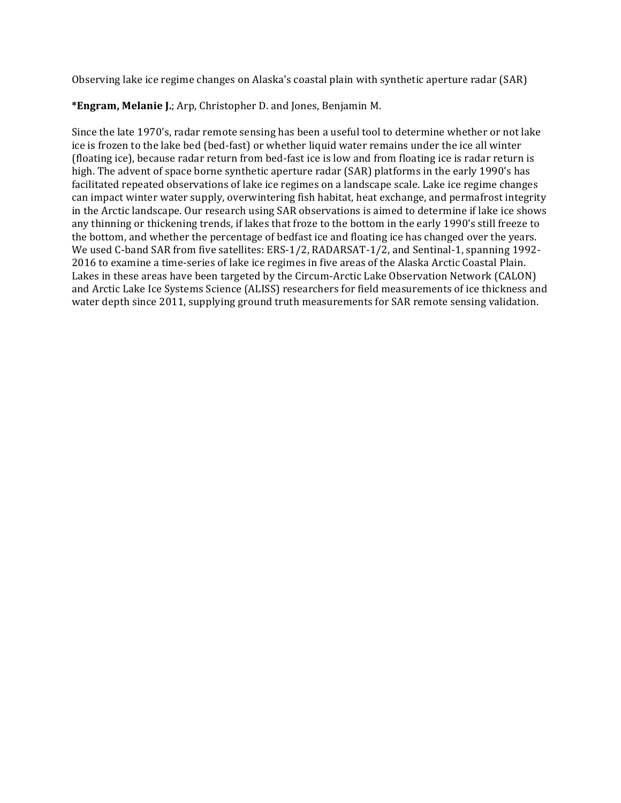Observing lake ice regime changes on Alaska's coastal plain with synthetic aperture radar (SAR)

\*Engram, Melanie J.; Arp, Christopher D. and Jones, Benjamin M.

Since the late 1970's, radar remote sensing has been a useful tool to determine whether or not lake ice is frozen to the lake bed (bed-fast) or whether liquid water remains under the ice all winter (floating ice), because radar return from bed-fast ice is low and from floating ice is radar return is high. The advent of space borne synthetic aperture radar (SAR) platforms in the early 1990's has facilitated repeated observations of lake ice regimes on a landscape scale. Lake ice regime changes can impact winter water supply, overwintering fish habitat, heat exchange, and permafrost integrity in the Arctic landscape. Our research using SAR observations is aimed to determine if lake ice shows any thinning or thickening trends, if lakes that froze to the bottom in the early 1990's still freeze to the bottom, and whether the percentage of bedfast ice and floating ice has changed over the years. We used C-band SAR from five satellites: ERS-1/2, RADARSAT-1/2, and Sentinal-1, spanning 1992-2016 to examine a time-series of lake ice regimes in five areas of the Alaska Arctic Coastal Plain. Lakes in these areas have been targeted by the Circum-Arctic Lake Observation Network (CALON) and Arctic Lake Ice Systems Science (ALISS) researchers for field measurements of ice thickness and water depth since 2011, supplying ground truth measurements for SAR remote sensing validation.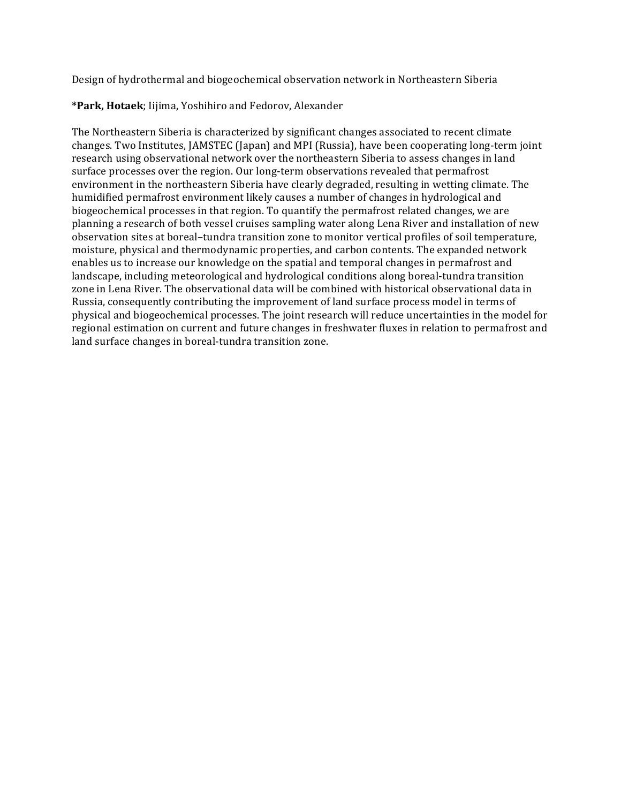Design of hydrothermal and biogeochemical observation network in Northeastern Siberia

# **\*Park, Hotaek**; Iijima, Yoshihiro and Fedorov, Alexander

The Northeastern Siberia is characterized by significant changes associated to recent climate changes. Two Institutes, JAMSTEC (Japan) and MPI (Russia), have been cooperating long-term joint research using observational network over the northeastern Siberia to assess changes in land surface processes over the region. Our long-term observations revealed that permafrost environment in the northeastern Siberia have clearly degraded, resulting in wetting climate. The humidified permafrost environment likely causes a number of changes in hydrological and biogeochemical processes in that region. To quantify the permafrost related changes, we are planning a research of both vessel cruises sampling water along Lena River and installation of new observation sites at boreal-tundra transition zone to monitor vertical profiles of soil temperature, moisture, physical and thermodynamic properties, and carbon contents. The expanded network enables us to increase our knowledge on the spatial and temporal changes in permafrost and landscape, including meteorological and hydrological conditions along boreal-tundra transition zone in Lena River. The observational data will be combined with historical observational data in Russia, consequently contributing the improvement of land surface process model in terms of physical and biogeochemical processes. The joint research will reduce uncertainties in the model for regional estimation on current and future changes in freshwater fluxes in relation to permafrost and land surface changes in boreal-tundra transition zone.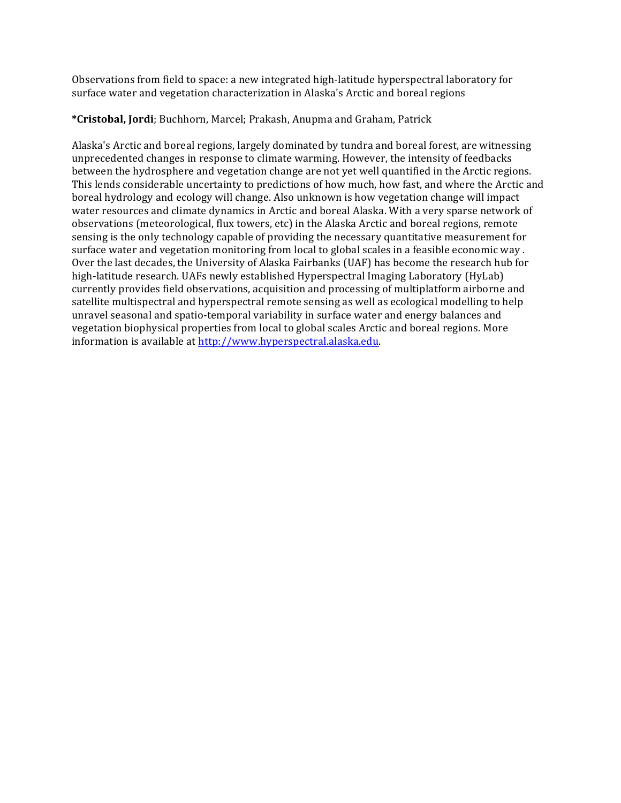Observations from field to space: a new integrated high-latitude hyperspectral laboratory for surface water and vegetation characterization in Alaska's Arctic and boreal regions

# **\*Cristobal, Jordi**; Buchhorn, Marcel; Prakash, Anupma and Graham, Patrick

Alaska's Arctic and boreal regions, largely dominated by tundra and boreal forest, are witnessing unprecedented changes in response to climate warming. However, the intensity of feedbacks between the hydrosphere and vegetation change are not yet well quantified in the Arctic regions. This lends considerable uncertainty to predictions of how much, how fast, and where the Arctic and boreal hydrology and ecology will change. Also unknown is how vegetation change will impact water resources and climate dynamics in Arctic and boreal Alaska. With a very sparse network of observations (meteorological, flux towers, etc) in the Alaska Arctic and boreal regions, remote sensing is the only technology capable of providing the necessary quantitative measurement for surface water and vegetation monitoring from local to global scales in a feasible economic way. Over the last decades, the University of Alaska Fairbanks (UAF) has become the research hub for high-latitude research. UAFs newly established Hyperspectral Imaging Laboratory (HyLab) currently provides field observations, acquisition and processing of multiplatform airborne and satellite multispectral and hyperspectral remote sensing as well as ecological modelling to help unravel seasonal and spatio-temporal variability in surface water and energy balances and vegetation biophysical properties from local to global scales Arctic and boreal regions. More information is available at http://www.hyperspectral.alaska.edu.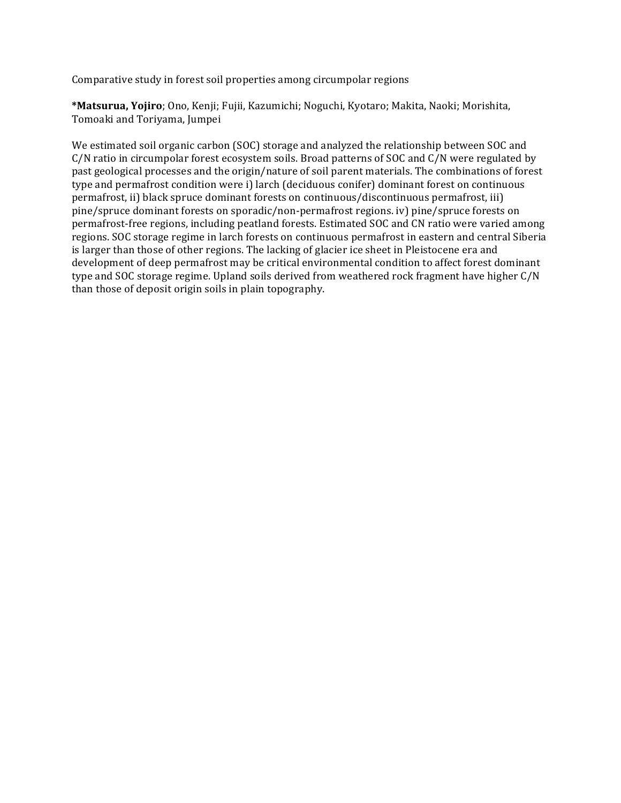Comparative study in forest soil properties among circumpolar regions

\*Matsurua, Yojiro; Ono, Kenji; Fujii, Kazumichi; Noguchi, Kyotaro; Makita, Naoki; Morishita, Tomoaki and Toriyama, Jumpei

We estimated soil organic carbon (SOC) storage and analyzed the relationship between SOC and  $C/N$  ratio in circumpolar forest ecosystem soils. Broad patterns of SOC and  $C/N$  were regulated by past geological processes and the origin/nature of soil parent materials. The combinations of forest type and permafrost condition were i) larch (deciduous conifer) dominant forest on continuous permafrost, ii) black spruce dominant forests on continuous/discontinuous permafrost, iii) pine/spruce dominant forests on sporadic/non-permafrost regions. iv) pine/spruce forests on permafrost-free regions, including peatland forests. Estimated SOC and CN ratio were varied among regions. SOC storage regime in larch forests on continuous permafrost in eastern and central Siberia is larger than those of other regions. The lacking of glacier ice sheet in Pleistocene era and development of deep permafrost may be critical environmental condition to affect forest dominant type and SOC storage regime. Upland soils derived from weathered rock fragment have higher C/N than those of deposit origin soils in plain topography.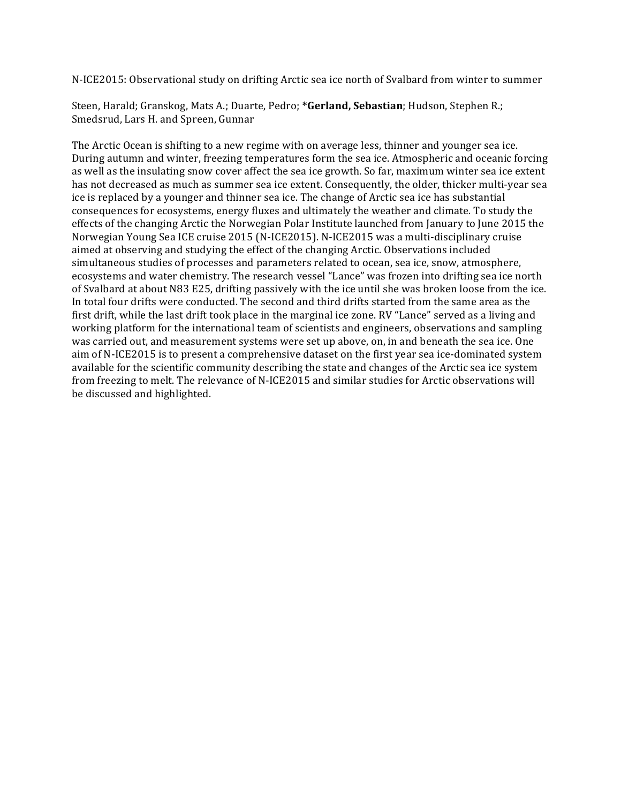N-ICE2015: Observational study on drifting Arctic sea ice north of Svalbard from winter to summer

Steen, Harald; Granskog, Mats A.; Duarte, Pedro; \*Gerland, Sebastian; Hudson, Stephen R.; Smedsrud, Lars H. and Spreen, Gunnar

The Arctic Ocean is shifting to a new regime with on average less, thinner and younger sea ice. During autumn and winter, freezing temperatures form the sea ice. Atmospheric and oceanic forcing as well as the insulating snow cover affect the sea ice growth. So far, maximum winter sea ice extent has not decreased as much as summer sea ice extent. Consequently, the older, thicker multi-year sea ice is replaced by a younger and thinner sea ice. The change of Arctic sea ice has substantial consequences for ecosystems, energy fluxes and ultimately the weather and climate. To study the effects of the changing Arctic the Norwegian Polar Institute launched from January to June 2015 the Norwegian Young Sea ICE cruise 2015 (N-ICE2015). N-ICE2015 was a multi-disciplinary cruise aimed at observing and studying the effect of the changing Arctic. Observations included simultaneous studies of processes and parameters related to ocean, sea ice, snow, atmosphere, ecosystems and water chemistry. The research vessel "Lance" was frozen into drifting sea ice north of Svalbard at about N83 E25, drifting passively with the ice until she was broken loose from the ice. In total four drifts were conducted. The second and third drifts started from the same area as the first drift, while the last drift took place in the marginal ice zone. RV "Lance" served as a living and working platform for the international team of scientists and engineers, observations and sampling was carried out, and measurement systems were set up above, on, in and beneath the sea ice. One aim of N-ICE2015 is to present a comprehensive dataset on the first year sea ice-dominated system available for the scientific community describing the state and changes of the Arctic sea ice system from freezing to melt. The relevance of N-ICE2015 and similar studies for Arctic observations will be discussed and highlighted.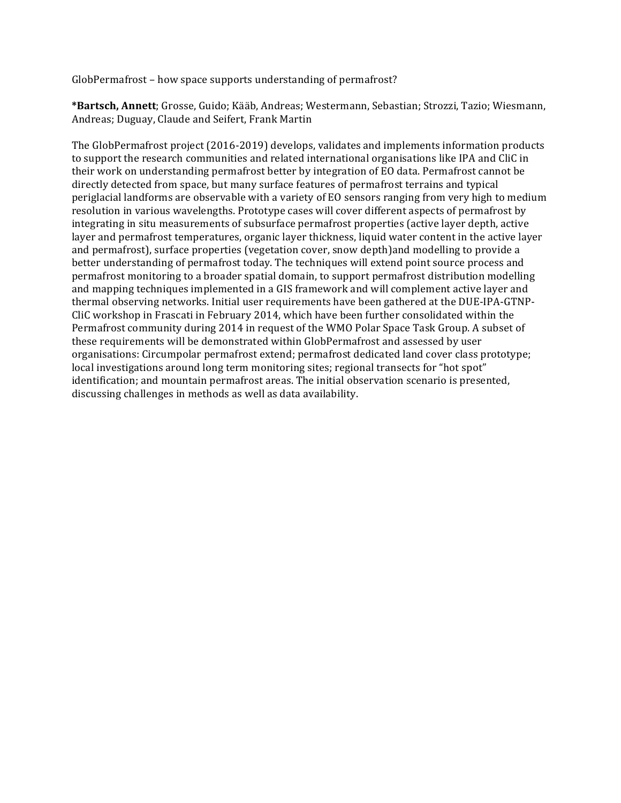GlobPermafrost – how space supports understanding of permafrost?

\*Bartsch, Annett; Grosse, Guido; Kääb, Andreas; Westermann, Sebastian; Strozzi, Tazio; Wiesmann, Andreas; Duguay, Claude and Seifert, Frank Martin

The GlobPermafrost project (2016-2019) develops, validates and implements information products to support the research communities and related international organisations like IPA and CliC in their work on understanding permafrost better by integration of EO data. Permafrost cannot be directly detected from space, but many surface features of permafrost terrains and typical periglacial landforms are observable with a variety of EO sensors ranging from very high to medium resolution in various wavelengths. Prototype cases will cover different aspects of permafrost by integrating in situ measurements of subsurface permafrost properties (active layer depth, active layer and permafrost temperatures, organic layer thickness, liquid water content in the active layer and permafrost), surface properties (vegetation cover, snow depth)and modelling to provide a better understanding of permafrost today. The techniques will extend point source process and permafrost monitoring to a broader spatial domain, to support permafrost distribution modelling and mapping techniques implemented in a GIS framework and will complement active layer and thermal observing networks. Initial user requirements have been gathered at the DUE-IPA-GTNP-CliC workshop in Frascati in February 2014, which have been further consolidated within the Permafrost community during 2014 in request of the WMO Polar Space Task Group. A subset of these requirements will be demonstrated within GlobPermafrost and assessed by user organisations: Circumpolar permafrost extend; permafrost dedicated land cover class prototype; local investigations around long term monitoring sites; regional transects for "hot spot" identification; and mountain permafrost areas. The initial observation scenario is presented, discussing challenges in methods as well as data availability.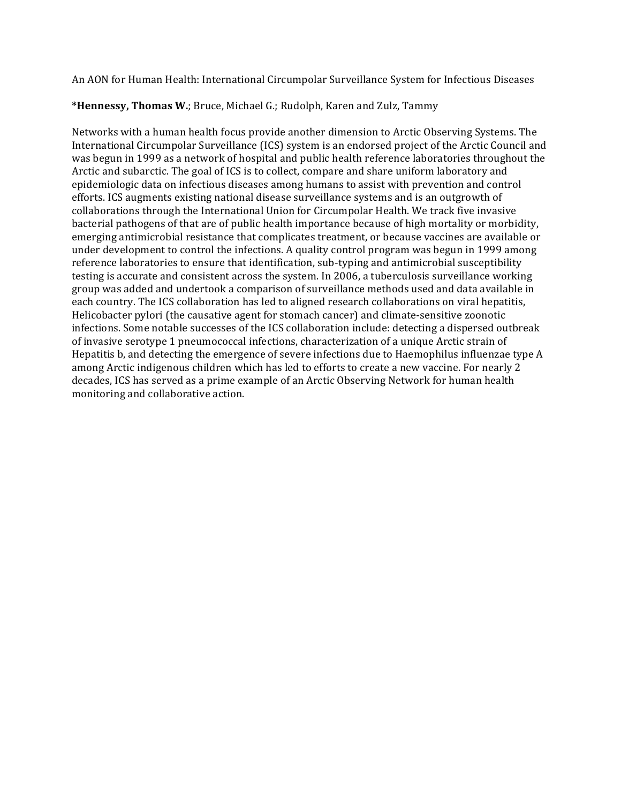An AON for Human Health: International Circumpolar Surveillance System for Infectious Diseases

### \*Hennessy, Thomas W.; Bruce, Michael G.; Rudolph, Karen and Zulz, Tammy

Networks with a human health focus provide another dimension to Arctic Observing Systems. The International Circumpolar Surveillance (ICS) system is an endorsed project of the Arctic Council and was begun in 1999 as a network of hospital and public health reference laboratories throughout the Arctic and subarctic. The goal of ICS is to collect, compare and share uniform laboratory and epidemiologic data on infectious diseases among humans to assist with prevention and control efforts. ICS augments existing national disease surveillance systems and is an outgrowth of collaborations through the International Union for Circumpolar Health. We track five invasive bacterial pathogens of that are of public health importance because of high mortality or morbidity, emerging antimicrobial resistance that complicates treatment, or because vaccines are available or under development to control the infections. A quality control program was begun in 1999 among reference laboratories to ensure that identification, sub-typing and antimicrobial susceptibility testing is accurate and consistent across the system. In 2006, a tuberculosis surveillance working group was added and undertook a comparison of surveillance methods used and data available in each country. The ICS collaboration has led to aligned research collaborations on viral hepatitis, Helicobacter pylori (the causative agent for stomach cancer) and climate-sensitive zoonotic infections. Some notable successes of the ICS collaboration include: detecting a dispersed outbreak of invasive serotype 1 pneumococcal infections, characterization of a unique Arctic strain of Hepatitis  $b$ , and detecting the emergence of severe infections due to Haemophilus influenzae type  $A$ among Arctic indigenous children which has led to efforts to create a new vaccine. For nearly 2 decades, ICS has served as a prime example of an Arctic Observing Network for human health monitoring and collaborative action.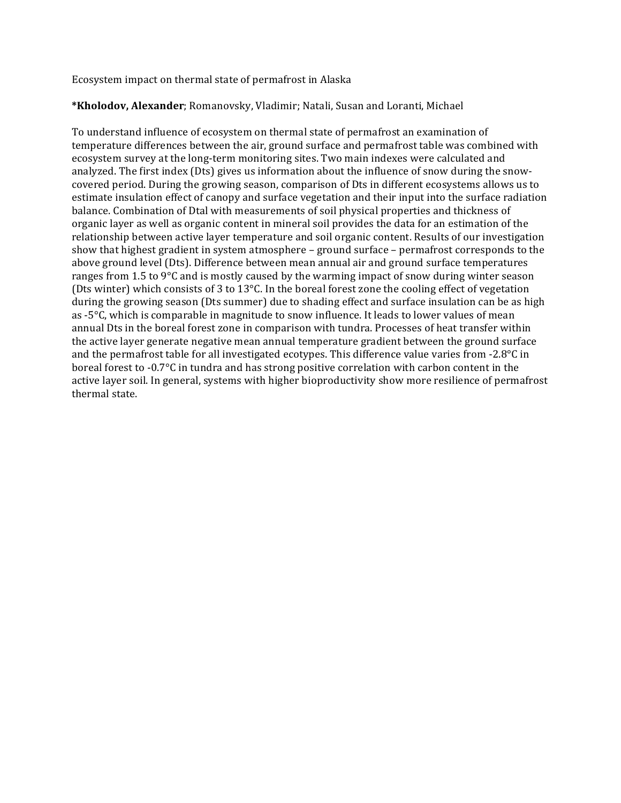Ecosystem impact on thermal state of permafrost in Alaska

# \*Kholodov, Alexander; Romanovsky, Vladimir; Natali, Susan and Loranti, Michael

To understand influence of ecosystem on thermal state of permafrost an examination of temperature differences between the air, ground surface and permafrost table was combined with ecosystem survey at the long-term monitoring sites. Two main indexes were calculated and analyzed. The first index (Dts) gives us information about the influence of snow during the snowcovered period. During the growing season, comparison of Dts in different ecosystems allows us to estimate insulation effect of canopy and surface vegetation and their input into the surface radiation balance. Combination of Dtal with measurements of soil physical properties and thickness of organic layer as well as organic content in mineral soil provides the data for an estimation of the relationship between active layer temperature and soil organic content. Results of our investigation show that highest gradient in system atmosphere  $-$  ground surface  $-$  permafrost corresponds to the above ground level (Dts). Difference between mean annual air and ground surface temperatures ranges from 1.5 to  $9^{\circ}$ C and is mostly caused by the warming impact of snow during winter season (Dts winter) which consists of 3 to 13 $^{\circ}$ C. In the boreal forest zone the cooling effect of vegetation during the growing season (Dts summer) due to shading effect and surface insulation can be as high as  $-5^{\circ}$ C, which is comparable in magnitude to snow influence. It leads to lower values of mean annual Dts in the boreal forest zone in comparison with tundra. Processes of heat transfer within the active layer generate negative mean annual temperature gradient between the ground surface and the permafrost table for all investigated ecotypes. This difference value varies from -2.8 $\degree$ C in boreal forest to -0.7°C in tundra and has strong positive correlation with carbon content in the active layer soil. In general, systems with higher bioproductivity show more resilience of permafrost thermal state.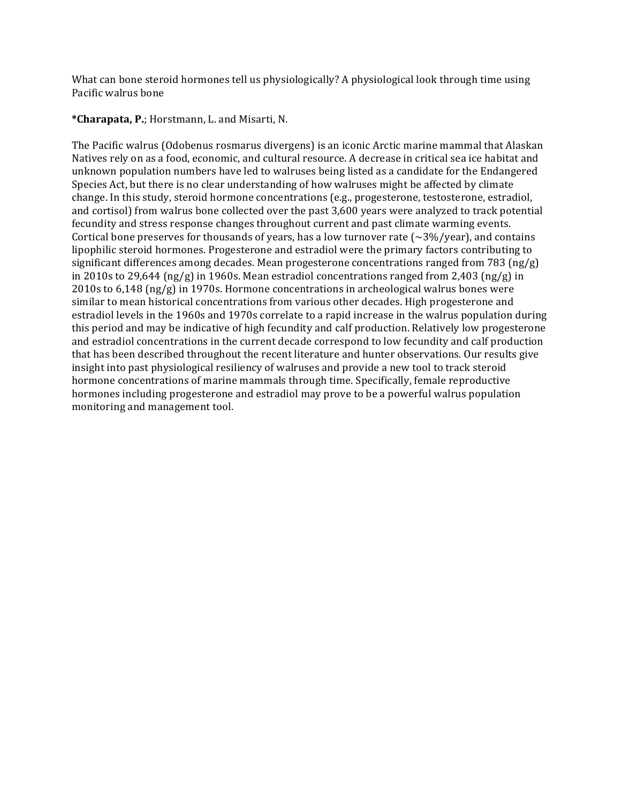What can bone steroid hormones tell us physiologically? A physiological look through time using Pacific walrus bone

**\*Charapata, P.**; Horstmann, L. and Misarti, N. 

The Pacific walrus (Odobenus rosmarus divergens) is an iconic Arctic marine mammal that Alaskan Natives rely on as a food, economic, and cultural resource. A decrease in critical sea ice habitat and unknown population numbers have led to walruses being listed as a candidate for the Endangered Species Act, but there is no clear understanding of how walruses might be affected by climate change. In this study, steroid hormone concentrations (e.g., progesterone, testosterone, estradiol, and cortisol) from walrus bone collected over the past 3,600 years were analyzed to track potential fecundity and stress response changes throughout current and past climate warming events. Cortical bone preserves for thousands of years, has a low turnover rate  $\left(\sim\frac{3}{\sqrt{2}}\right)$  and contains lipophilic steroid hormones. Progesterone and estradiol were the primary factors contributing to significant differences among decades. Mean progesterone concentrations ranged from 783 (ng/g) in 2010s to 29,644  $\frac{\log g}{g}$  in 1960s. Mean estradiol concentrations ranged from 2,403  $\frac{\log g}{g}$  in  $2010s$  to  $6,148$  (ng/g) in 1970s. Hormone concentrations in archeological walrus bones were similar to mean historical concentrations from various other decades. High progesterone and estradiol levels in the 1960s and 1970s correlate to a rapid increase in the walrus population during this period and may be indicative of high fecundity and calf production. Relatively low progesterone and estradiol concentrations in the current decade correspond to low fecundity and calf production that has been described throughout the recent literature and hunter observations. Our results give insight into past physiological resiliency of walruses and provide a new tool to track steroid hormone concentrations of marine mammals through time. Specifically, female reproductive hormones including progesterone and estradiol may prove to be a powerful walrus population monitoring and management tool.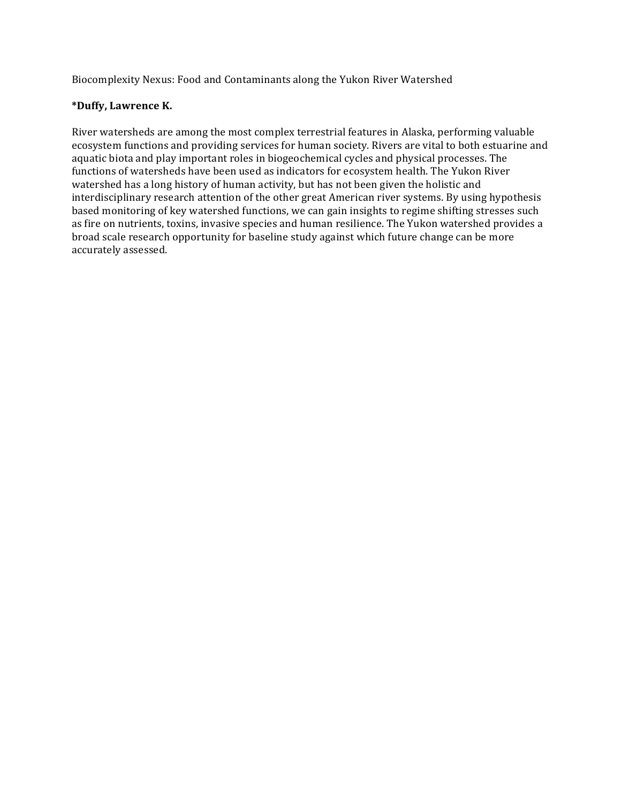Biocomplexity Nexus: Food and Contaminants along the Yukon River Watershed

# **\*Duffy, Lawrence K.**

River watersheds are among the most complex terrestrial features in Alaska, performing valuable ecosystem functions and providing services for human society. Rivers are vital to both estuarine and aquatic biota and play important roles in biogeochemical cycles and physical processes. The functions of watersheds have been used as indicators for ecosystem health. The Yukon River watershed has a long history of human activity, but has not been given the holistic and interdisciplinary research attention of the other great American river systems. By using hypothesis based monitoring of key watershed functions, we can gain insights to regime shifting stresses such as fire on nutrients, toxins, invasive species and human resilience. The Yukon watershed provides a broad scale research opportunity for baseline study against which future change can be more accurately assessed.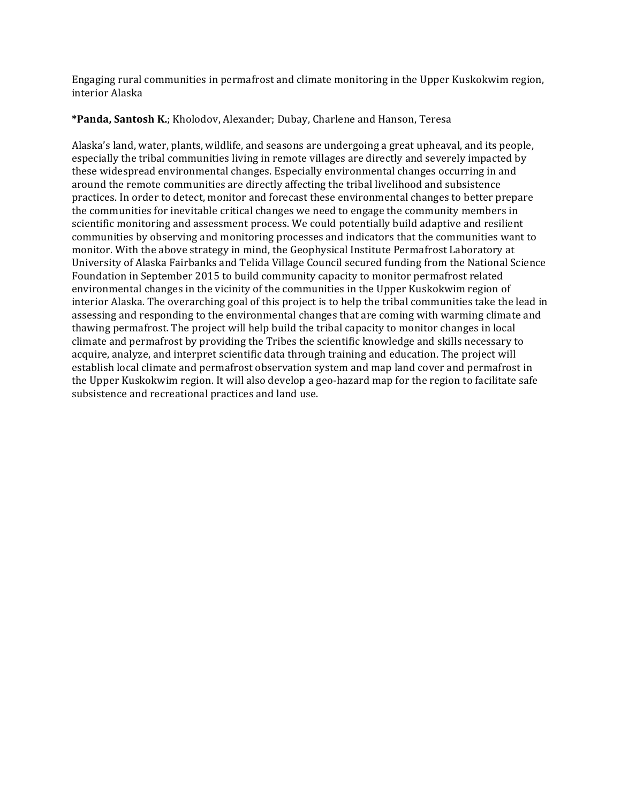Engaging rural communities in permafrost and climate monitoring in the Upper Kuskokwim region, interior Alaska

**\*Panda, Santosh K.**; Kholodov, Alexander; Dubay, Charlene and Hanson, Teresa

Alaska's land, water, plants, wildlife, and seasons are undergoing a great upheaval, and its people, especially the tribal communities living in remote villages are directly and severely impacted by these widespread environmental changes. Especially environmental changes occurring in and around the remote communities are directly affecting the tribal livelihood and subsistence practices. In order to detect, monitor and forecast these environmental changes to better prepare the communities for inevitable critical changes we need to engage the community members in scientific monitoring and assessment process. We could potentially build adaptive and resilient communities by observing and monitoring processes and indicators that the communities want to monitor. With the above strategy in mind, the Geophysical Institute Permafrost Laboratory at University of Alaska Fairbanks and Telida Village Council secured funding from the National Science Foundation in September 2015 to build community capacity to monitor permafrost related environmental changes in the vicinity of the communities in the Upper Kuskokwim region of interior Alaska. The overarching goal of this project is to help the tribal communities take the lead in assessing and responding to the environmental changes that are coming with warming climate and thawing permafrost. The project will help build the tribal capacity to monitor changes in local climate and permafrost by providing the Tribes the scientific knowledge and skills necessary to acquire, analyze, and interpret scientific data through training and education. The project will establish local climate and permafrost observation system and map land cover and permafrost in the Upper Kuskokwim region. It will also develop a geo-hazard map for the region to facilitate safe subsistence and recreational practices and land use.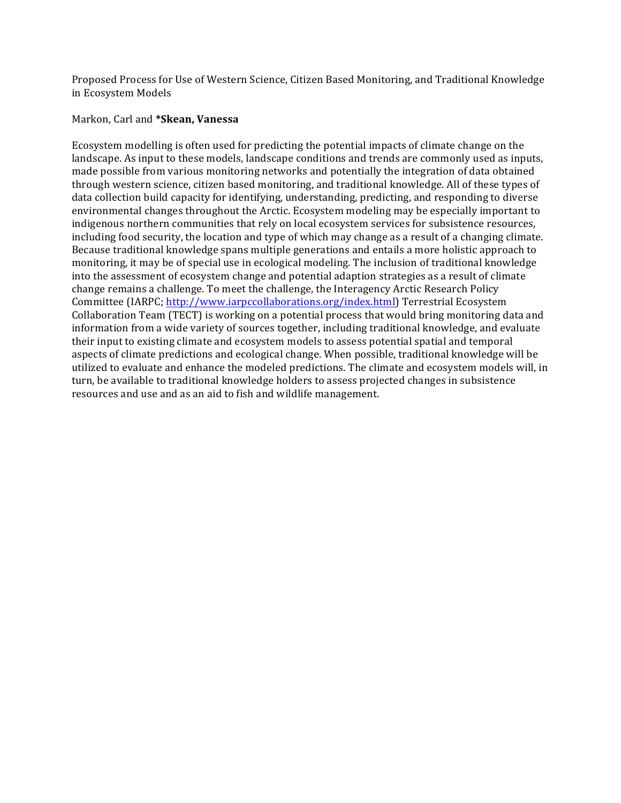Proposed Process for Use of Western Science, Citizen Based Monitoring, and Traditional Knowledge in Ecosystem Models

#### Markon, Carl and **\*Skean, Vanessa**

Ecosystem modelling is often used for predicting the potential impacts of climate change on the landscape. As input to these models, landscape conditions and trends are commonly used as inputs, made possible from various monitoring networks and potentially the integration of data obtained through western science, citizen based monitoring, and traditional knowledge. All of these types of data collection build capacity for identifying, understanding, predicting, and responding to diverse environmental changes throughout the Arctic. Ecosystem modeling may be especially important to indigenous northern communities that rely on local ecosystem services for subsistence resources, including food security, the location and type of which may change as a result of a changing climate. Because traditional knowledge spans multiple generations and entails a more holistic approach to monitoring, it may be of special use in ecological modeling. The inclusion of traditional knowledge into the assessment of ecosystem change and potential adaption strategies as a result of climate change remains a challenge. To meet the challenge, the Interagency Arctic Research Policy Committee (IARPC; http://www.iarpccollaborations.org/index.html) Terrestrial Ecosystem Collaboration Team (TECT) is working on a potential process that would bring monitoring data and information from a wide variety of sources together, including traditional knowledge, and evaluate their input to existing climate and ecosystem models to assess potential spatial and temporal aspects of climate predictions and ecological change. When possible, traditional knowledge will be utilized to evaluate and enhance the modeled predictions. The climate and ecosystem models will, in turn, be available to traditional knowledge holders to assess projected changes in subsistence resources and use and as an aid to fish and wildlife management.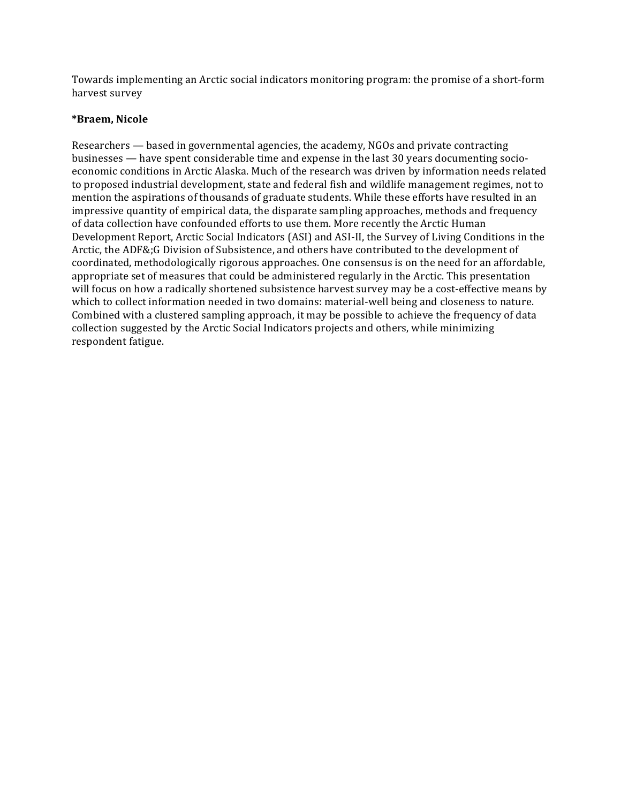Towards implementing an Arctic social indicators monitoring program: the promise of a short-form harvest survey

### **\*Braem, Nicole**

Researchers — based in governmental agencies, the academy, NGOs and private contracting businesses — have spent considerable time and expense in the last  $30$  years documenting socioeconomic conditions in Arctic Alaska. Much of the research was driven by information needs related to proposed industrial development, state and federal fish and wildlife management regimes, not to mention the aspirations of thousands of graduate students. While these efforts have resulted in an impressive quantity of empirical data, the disparate sampling approaches, methods and frequency of data collection have confounded efforts to use them. More recently the Arctic Human Development Report, Arctic Social Indicators (ASI) and ASI-II, the Survey of Living Conditions in the Arctic, the ADF&;G Division of Subsistence, and others have contributed to the development of coordinated, methodologically rigorous approaches. One consensus is on the need for an affordable, appropriate set of measures that could be administered regularly in the Arctic. This presentation will focus on how a radically shortened subsistence harvest survey may be a cost-effective means by which to collect information needed in two domains: material-well being and closeness to nature. Combined with a clustered sampling approach, it may be possible to achieve the frequency of data collection suggested by the Arctic Social Indicators projects and others, while minimizing respondent fatigue.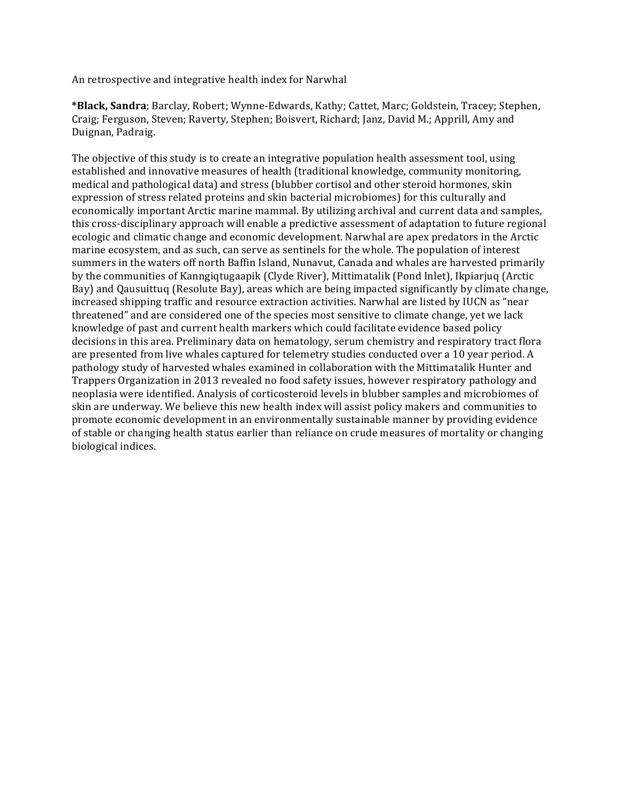An retrospective and integrative health index for Narwhal

\*Black, Sandra; Barclay, Robert; Wynne-Edwards, Kathy; Cattet, Marc; Goldstein, Tracey; Stephen, Craig; Ferguson, Steven; Raverty, Stephen; Boisvert, Richard; Janz, David M.; Apprill, Amy and Duignan, Padraig.

The objective of this study is to create an integrative population health assessment tool, using established and innovative measures of health (traditional knowledge, community monitoring, medical and pathological data) and stress (blubber cortisol and other steroid hormones, skin expression of stress related proteins and skin bacterial microbiomes) for this culturally and economically important Arctic marine mammal. By utilizing archival and current data and samples, this cross-disciplinary approach will enable a predictive assessment of adaptation to future regional ecologic and climatic change and economic development. Narwhal are apex predators in the Arctic marine ecosystem, and as such, can serve as sentinels for the whole. The population of interest summers in the waters off north Baffin Island, Nunavut, Canada and whales are harvested primarily by the communities of Kanngiqtugaapik (Clyde River), Mittimatalik (Pond Inlet), Ikpiarjuq (Arctic Bay) and Qausuittuq (Resolute Bay), areas which are being impacted significantly by climate change, increased shipping traffic and resource extraction activities. Narwhal are listed by IUCN as "near threatened" and are considered one of the species most sensitive to climate change, yet we lack knowledge of past and current health markers which could facilitate evidence based policy decisions in this area. Preliminary data on hematology, serum chemistry and respiratory tract flora are presented from live whales captured for telemetry studies conducted over a 10 year period. A pathology study of harvested whales examined in collaboration with the Mittimatalik Hunter and Trappers Organization in 2013 revealed no food safety issues, however respiratory pathology and neoplasia were identified. Analysis of corticosteroid levels in blubber samples and microbiomes of skin are underway. We believe this new health index will assist policy makers and communities to promote economic development in an environmentally sustainable manner by providing evidence of stable or changing health status earlier than reliance on crude measures of mortality or changing biological indices.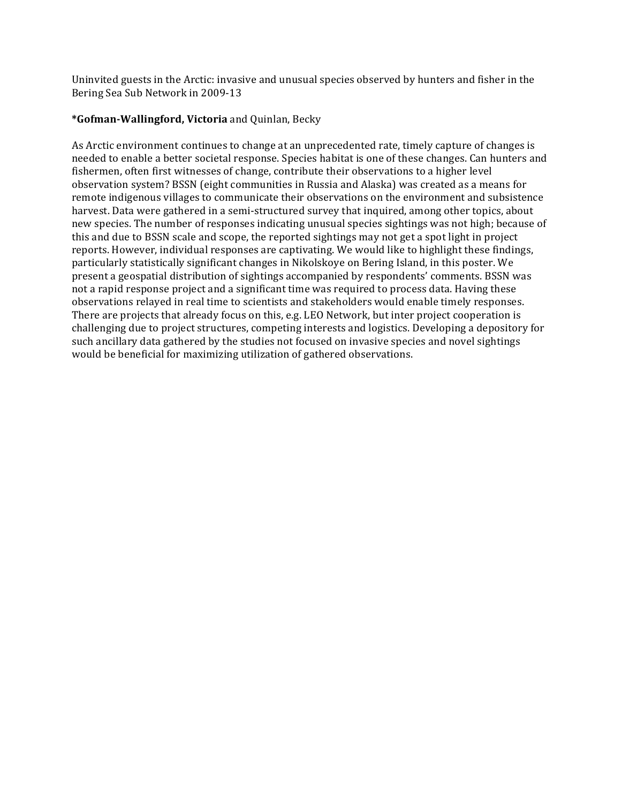Uninvited guests in the Arctic: invasive and unusual species observed by hunters and fisher in the Bering Sea Sub Network in 2009-13

### **\*Gofman-Wallingford, Victoria** and Quinlan, Becky

As Arctic environment continues to change at an unprecedented rate, timely capture of changes is needed to enable a better societal response. Species habitat is one of these changes. Can hunters and fishermen, often first witnesses of change, contribute their observations to a higher level observation system? BSSN (eight communities in Russia and Alaska) was created as a means for remote indigenous villages to communicate their observations on the environment and subsistence harvest. Data were gathered in a semi-structured survey that inquired, among other topics, about new species. The number of responses indicating unusual species sightings was not high; because of this and due to BSSN scale and scope, the reported sightings may not get a spot light in project reports. However, individual responses are captivating. We would like to highlight these findings, particularly statistically significant changes in Nikolskoye on Bering Island, in this poster. We present a geospatial distribution of sightings accompanied by respondents' comments. BSSN was not a rapid response project and a significant time was required to process data. Having these observations relayed in real time to scientists and stakeholders would enable timely responses. There are projects that already focus on this, e.g. LEO Network, but inter project cooperation is challenging due to project structures, competing interests and logistics. Developing a depository for such ancillary data gathered by the studies not focused on invasive species and novel sightings would be beneficial for maximizing utilization of gathered observations.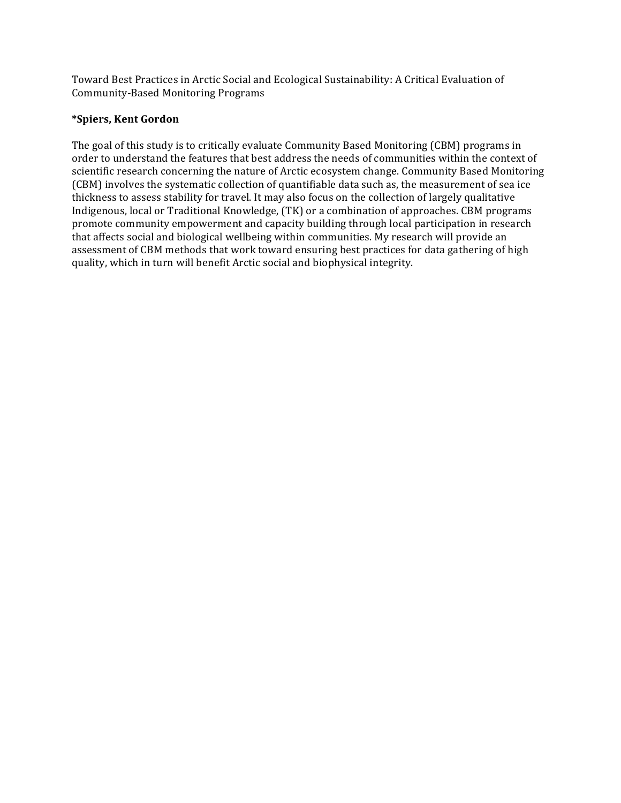Toward Best Practices in Arctic Social and Ecological Sustainability: A Critical Evaluation of Community-Based Monitoring Programs 

# **\*Spiers, Kent Gordon**

The goal of this study is to critically evaluate Community Based Monitoring (CBM) programs in order to understand the features that best address the needs of communities within the context of scientific research concerning the nature of Arctic ecosystem change. Community Based Monitoring (CBM) involves the systematic collection of quantifiable data such as, the measurement of sea ice thickness to assess stability for travel. It may also focus on the collection of largely qualitative Indigenous, local or Traditional Knowledge, (TK) or a combination of approaches. CBM programs promote community empowerment and capacity building through local participation in research that affects social and biological wellbeing within communities. My research will provide an assessment of CBM methods that work toward ensuring best practices for data gathering of high quality, which in turn will benefit Arctic social and biophysical integrity.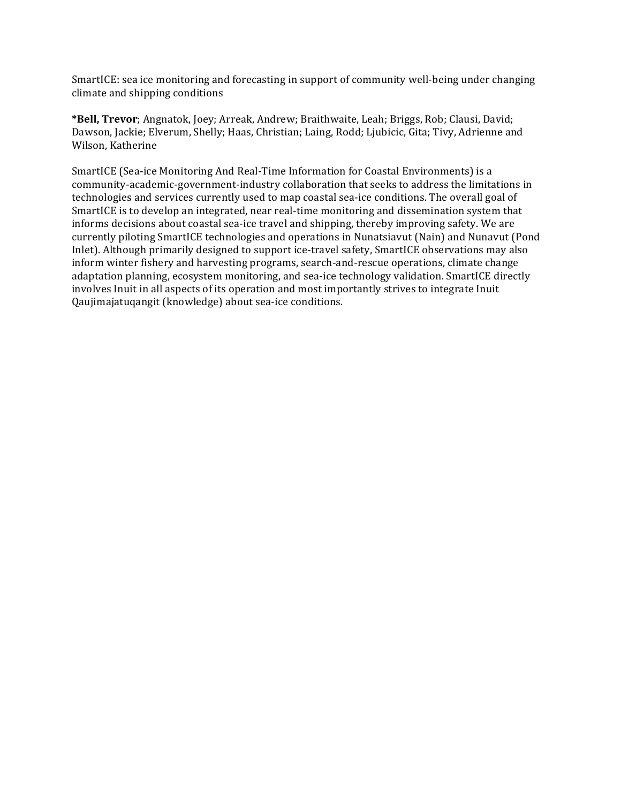SmartICE: sea ice monitoring and forecasting in support of community well-being under changing climate and shipping conditions

\*Bell, Trevor; Angnatok, Joey; Arreak, Andrew; Braithwaite, Leah; Briggs, Rob; Clausi, David; Dawson, Jackie; Elverum, Shelly; Haas, Christian; Laing, Rodd; Ljubicic, Gita; Tivy, Adrienne and Wilson, Katherine

SmartICE (Sea-ice Monitoring And Real-Time Information for Coastal Environments) is a community-academic-government-industry collaboration that seeks to address the limitations in technologies and services currently used to map coastal sea-ice conditions. The overall goal of SmartICE is to develop an integrated, near real-time monitoring and dissemination system that informs decisions about coastal sea-ice travel and shipping, thereby improving safety. We are currently piloting SmartICE technologies and operations in Nunatsiavut (Nain) and Nunavut (Pond Inlet). Although primarily designed to support ice-travel safety, SmartICE observations may also inform winter fishery and harvesting programs, search-and-rescue operations, climate change adaptation planning, ecosystem monitoring, and sea-ice technology validation. SmartICE directly involves Inuit in all aspects of its operation and most importantly strives to integrate Inuit Qaujimajatuqangit (knowledge) about sea-ice conditions.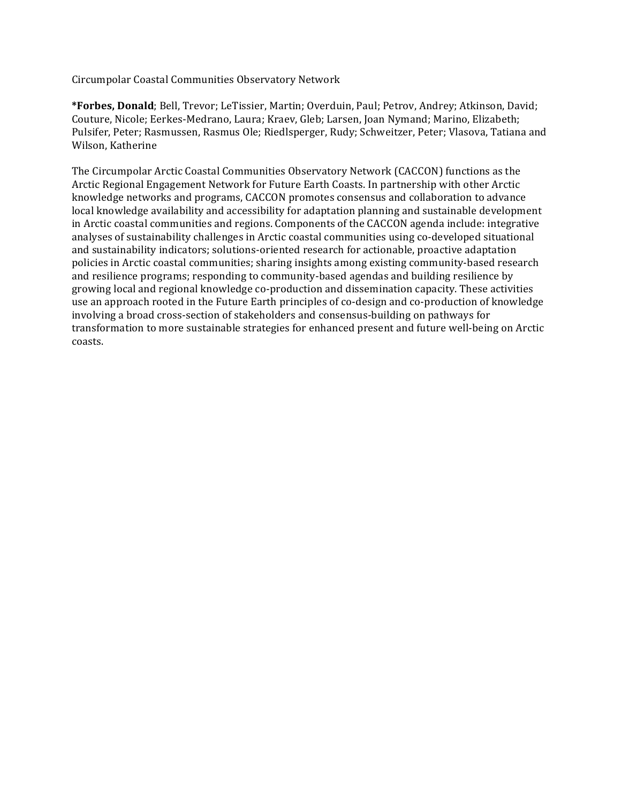Circumpolar Coastal Communities Observatory Network 

\*Forbes, Donald; Bell, Trevor; LeTissier, Martin; Overduin, Paul; Petrov, Andrey; Atkinson, David; Couture, Nicole; Eerkes-Medrano, Laura; Kraev, Gleb; Larsen, Joan Nymand; Marino, Elizabeth; Pulsifer, Peter; Rasmussen, Rasmus Ole; Riedlsperger, Rudy; Schweitzer, Peter; Vlasova, Tatiana and Wilson, Katherine

The Circumpolar Arctic Coastal Communities Observatory Network (CACCON) functions as the Arctic Regional Engagement Network for Future Earth Coasts. In partnership with other Arctic knowledge networks and programs, CACCON promotes consensus and collaboration to advance local knowledge availability and accessibility for adaptation planning and sustainable development in Arctic coastal communities and regions. Components of the CACCON agenda include: integrative analyses of sustainability challenges in Arctic coastal communities using co-developed situational and sustainability indicators; solutions-oriented research for actionable, proactive adaptation policies in Arctic coastal communities; sharing insights among existing community-based research and resilience programs; responding to community-based agendas and building resilience by growing local and regional knowledge co-production and dissemination capacity. These activities use an approach rooted in the Future Earth principles of co-design and co-production of knowledge involving a broad cross-section of stakeholders and consensus-building on pathways for transformation to more sustainable strategies for enhanced present and future well-being on Arctic coasts.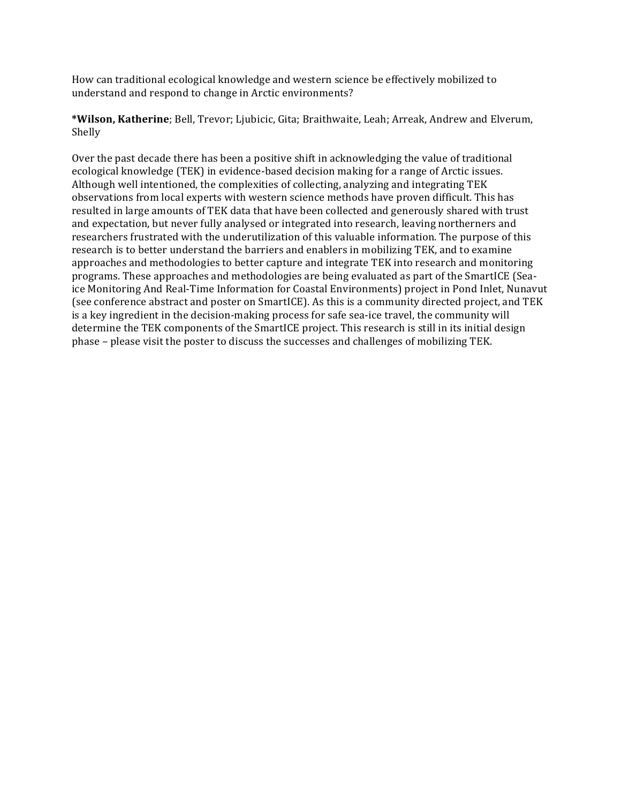How can traditional ecological knowledge and western science be effectively mobilized to understand and respond to change in Arctic environments?

\*Wilson, Katherine; Bell, Trevor; Ljubicic, Gita; Braithwaite, Leah; Arreak, Andrew and Elverum, Shelly 

Over the past decade there has been a positive shift in acknowledging the value of traditional ecological knowledge (TEK) in evidence-based decision making for a range of Arctic issues. Although well intentioned, the complexities of collecting, analyzing and integrating TEK observations from local experts with western science methods have proven difficult. This has resulted in large amounts of TEK data that have been collected and generously shared with trust and expectation, but never fully analysed or integrated into research, leaving northerners and researchers frustrated with the underutilization of this valuable information. The purpose of this research is to better understand the barriers and enablers in mobilizing TEK, and to examine approaches and methodologies to better capture and integrate TEK into research and monitoring programs. These approaches and methodologies are being evaluated as part of the SmartICE (Seaice Monitoring And Real-Time Information for Coastal Environments) project in Pond Inlet, Nunavut (see conference abstract and poster on SmartICE). As this is a community directed project, and TEK is a key ingredient in the decision-making process for safe sea-ice travel, the community will determine the TEK components of the SmartICE project. This research is still in its initial design phase – please visit the poster to discuss the successes and challenges of mobilizing TEK.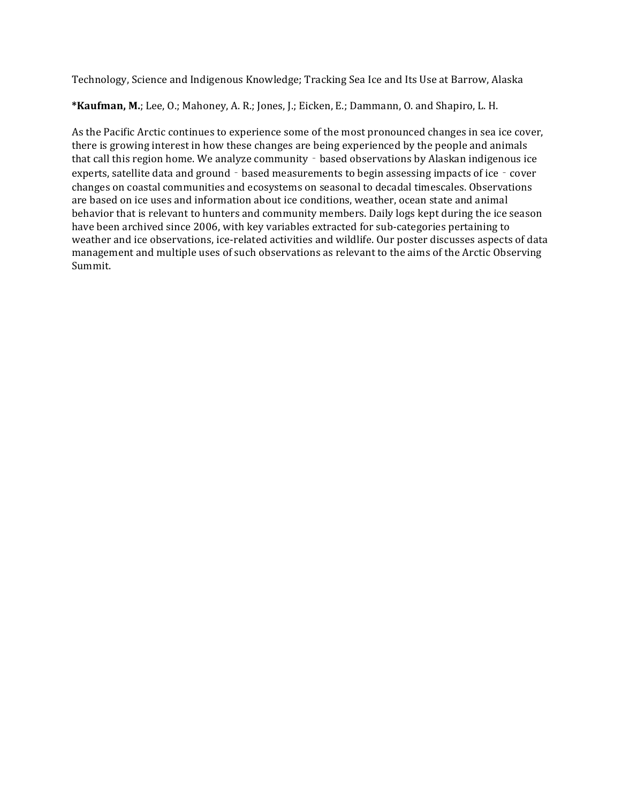Technology, Science and Indigenous Knowledge; Tracking Sea Ice and Its Use at Barrow, Alaska

\*Kaufman, M.; Lee, O.; Mahoney, A. R.; Jones, J.; Eicken, E.; Dammann, O. and Shapiro, L. H.

As the Pacific Arctic continues to experience some of the most pronounced changes in sea ice cover, there is growing interest in how these changes are being experienced by the people and animals that call this region home. We analyze community - based observations by Alaskan indigenous ice experts, satellite data and ground - based measurements to begin assessing impacts of ice - cover changes on coastal communities and ecosystems on seasonal to decadal timescales. Observations are based on ice uses and information about ice conditions, weather, ocean state and animal behavior that is relevant to hunters and community members. Daily logs kept during the ice season have been archived since 2006, with key variables extracted for sub-categories pertaining to weather and ice observations, ice-related activities and wildlife. Our poster discusses aspects of data management and multiple uses of such observations as relevant to the aims of the Arctic Observing Summit.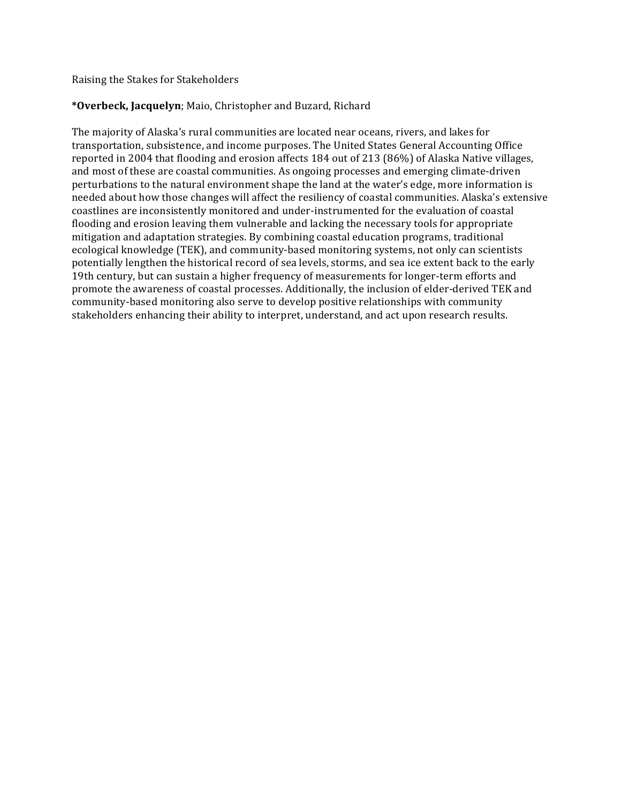Raising the Stakes for Stakeholders

# \*Overbeck, Jacquelyn; Maio, Christopher and Buzard, Richard

The majority of Alaska's rural communities are located near oceans, rivers, and lakes for transportation, subsistence, and income purposes. The United States General Accounting Office reported in 2004 that flooding and erosion affects 184 out of 213 (86%) of Alaska Native villages, and most of these are coastal communities. As ongoing processes and emerging climate-driven perturbations to the natural environment shape the land at the water's edge, more information is needed about how those changes will affect the resiliency of coastal communities. Alaska's extensive coastlines are inconsistently monitored and under-instrumented for the evaluation of coastal flooding and erosion leaving them vulnerable and lacking the necessary tools for appropriate mitigation and adaptation strategies. By combining coastal education programs, traditional ecological knowledge (TEK), and community-based monitoring systems, not only can scientists potentially lengthen the historical record of sea levels, storms, and sea ice extent back to the early 19th century, but can sustain a higher frequency of measurements for longer-term efforts and promote the awareness of coastal processes. Additionally, the inclusion of elder-derived TEK and community-based monitoring also serve to develop positive relationships with community stakeholders enhancing their ability to interpret, understand, and act upon research results.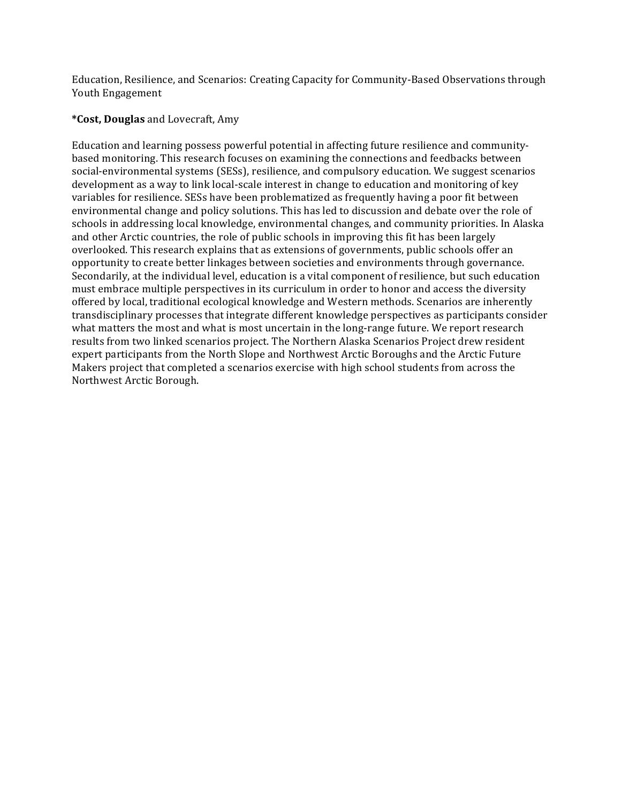Education, Resilience, and Scenarios: Creating Capacity for Community-Based Observations through Youth Engagement

## **\*Cost, Douglas** and Lovecraft, Amy

Education and learning possess powerful potential in affecting future resilience and communitybased monitoring. This research focuses on examining the connections and feedbacks between social-environmental systems (SESs), resilience, and compulsory education. We suggest scenarios development as a way to link local-scale interest in change to education and monitoring of key variables for resilience. SESs have been problematized as frequently having a poor fit between environmental change and policy solutions. This has led to discussion and debate over the role of schools in addressing local knowledge, environmental changes, and community priorities. In Alaska and other Arctic countries, the role of public schools in improving this fit has been largely overlooked. This research explains that as extensions of governments, public schools offer an opportunity to create better linkages between societies and environments through governance. Secondarily, at the individual level, education is a vital component of resilience, but such education must embrace multiple perspectives in its curriculum in order to honor and access the diversity offered by local, traditional ecological knowledge and Western methods. Scenarios are inherently transdisciplinary processes that integrate different knowledge perspectives as participants consider what matters the most and what is most uncertain in the long-range future. We report research results from two linked scenarios project. The Northern Alaska Scenarios Project drew resident expert participants from the North Slope and Northwest Arctic Boroughs and the Arctic Future Makers project that completed a scenarios exercise with high school students from across the Northwest Arctic Borough.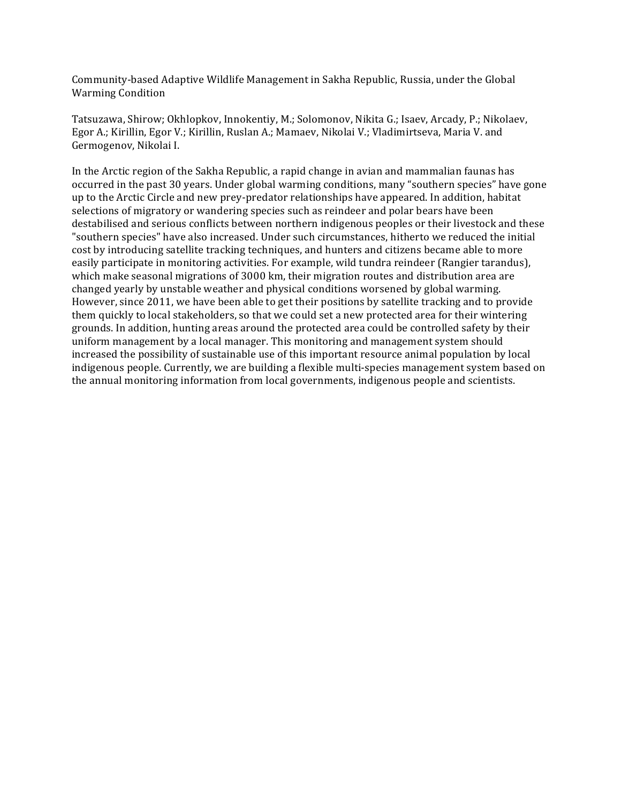Community-based Adaptive Wildlife Management in Sakha Republic, Russia, under the Global Warming Condition

Tatsuzawa, Shirow; Okhlopkov, Innokentiy, M.; Solomonov, Nikita G.; Isaev, Arcady, P.; Nikolaev, Egor A.; Kirillin, Egor V.; Kirillin, Ruslan A.; Mamaev, Nikolai V.; Vladimirtseva, Maria V. and Germogenov, Nikolai I.

In the Arctic region of the Sakha Republic, a rapid change in avian and mammalian faunas has occurred in the past 30 years. Under global warming conditions, many "southern species" have gone up to the Arctic Circle and new prey-predator relationships have appeared. In addition, habitat selections of migratory or wandering species such as reindeer and polar bears have been destabilised and serious conflicts between northern indigenous peoples or their livestock and these "southern species" have also increased. Under such circumstances, hitherto we reduced the initial cost by introducing satellite tracking techniques, and hunters and citizens became able to more easily participate in monitoring activities. For example, wild tundra reindeer (Rangier tarandus), which make seasonal migrations of 3000 km, their migration routes and distribution area are changed yearly by unstable weather and physical conditions worsened by global warming. However, since 2011, we have been able to get their positions by satellite tracking and to provide them quickly to local stakeholders, so that we could set a new protected area for their wintering grounds. In addition, hunting areas around the protected area could be controlled safety by their uniform management by a local manager. This monitoring and management system should increased the possibility of sustainable use of this important resource animal population by local indigenous people. Currently, we are building a flexible multi-species management system based on the annual monitoring information from local governments, indigenous people and scientists.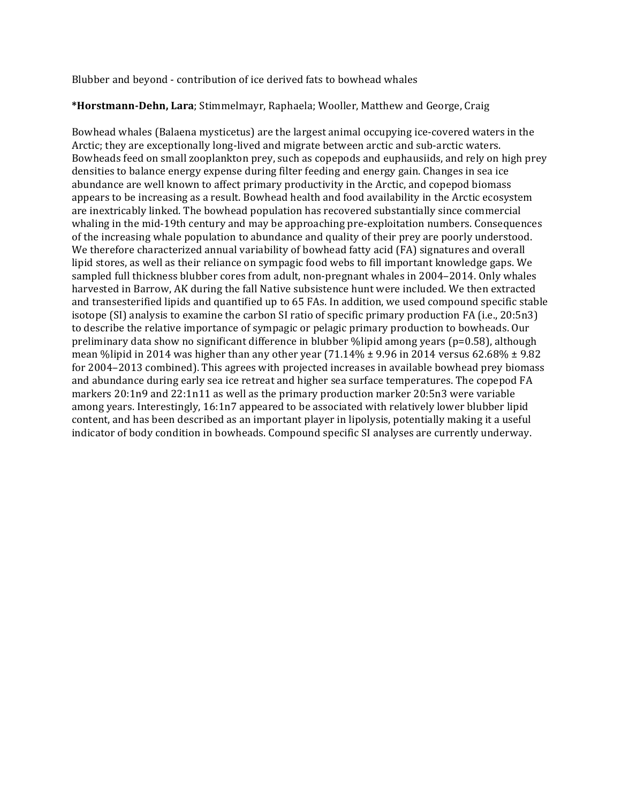Blubber and beyond - contribution of ice derived fats to bowhead whales

## \*Horstmann-Dehn, Lara; Stimmelmayr, Raphaela; Wooller, Matthew and George, Craig

Bowhead whales (Balaena mysticetus) are the largest animal occupying ice-covered waters in the Arctic; they are exceptionally long-lived and migrate between arctic and sub-arctic waters. Bowheads feed on small zooplankton prey, such as copepods and euphausiids, and rely on high prey densities to balance energy expense during filter feeding and energy gain. Changes in sea ice abundance are well known to affect primary productivity in the Arctic, and copepod biomass appears to be increasing as a result. Bowhead health and food availability in the Arctic ecosystem are inextricably linked. The bowhead population has recovered substantially since commercial whaling in the mid-19th century and may be approaching pre-exploitation numbers. Consequences of the increasing whale population to abundance and quality of their prey are poorly understood. We therefore characterized annual variability of bowhead fatty acid (FA) signatures and overall lipid stores, as well as their reliance on sympagic food webs to fill important knowledge gaps. We sampled full thickness blubber cores from adult, non-pregnant whales in 2004–2014. Only whales harvested in Barrow, AK during the fall Native subsistence hunt were included. We then extracted and transesterified lipids and quantified up to 65 FAs. In addition, we used compound specific stable isotope  $(SI)$  analysis to examine the carbon SI ratio of specific primary production FA (i.e., 20:5n3) to describe the relative importance of sympagic or pelagic primary production to bowheads. Our preliminary data show no significant difference in blubber  $\%$ lipid among years (p=0.58), although mean %lipid in 2014 was higher than any other year  $(71.14\% \pm 9.96 \text{ in } 2014 \text{ versus } 62.68\% \pm 9.82 \text{ m}$ for 2004–2013 combined). This agrees with projected increases in available bowhead prey biomass and abundance during early sea ice retreat and higher sea surface temperatures. The copepod FA markers  $20:1n9$  and  $22:1n11$  as well as the primary production marker  $20:5n3$  were variable among years. Interestingly,  $16:1n7$  appeared to be associated with relatively lower blubber lipid content, and has been described as an important player in lipolysis, potentially making it a useful indicator of body condition in bowheads. Compound specific SI analyses are currently underway.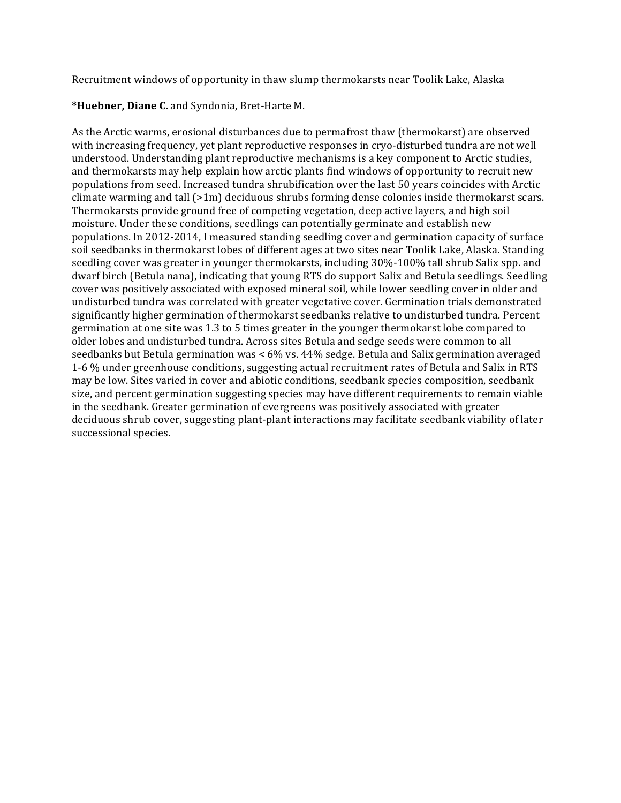Recruitment windows of opportunity in thaw slump thermokarsts near Toolik Lake, Alaska

## \*Huebner, Diane C. and Syndonia, Bret-Harte M.

As the Arctic warms, erosional disturbances due to permafrost thaw (thermokarst) are observed with increasing frequency, yet plant reproductive responses in cryo-disturbed tundra are not well understood. Understanding plant reproductive mechanisms is a key component to Arctic studies, and thermokarsts may help explain how arctic plants find windows of opportunity to recruit new populations from seed. Increased tundra shrubification over the last 50 years coincides with Arctic climate warming and tall  $(>1m)$  deciduous shrubs forming dense colonies inside thermokarst scars. Thermokarsts provide ground free of competing vegetation, deep active layers, and high soil moisture. Under these conditions, seedlings can potentially germinate and establish new populations. In 2012-2014, I measured standing seedling cover and germination capacity of surface soil seedbanks in thermokarst lobes of different ages at two sites near Toolik Lake, Alaska. Standing seedling cover was greater in younger thermokarsts, including 30%-100% tall shrub Salix spp. and dwarf birch (Betula nana), indicating that young RTS do support Salix and Betula seedlings. Seedling cover was positively associated with exposed mineral soil, while lower seedling cover in older and undisturbed tundra was correlated with greater vegetative cover. Germination trials demonstrated significantly higher germination of thermokarst seedbanks relative to undisturbed tundra. Percent germination at one site was 1.3 to 5 times greater in the younger thermokarst lobe compared to older lobes and undisturbed tundra. Across sites Betula and sedge seeds were common to all seedbanks but Betula germination was < 6% vs. 44% sedge. Betula and Salix germination averaged 1-6 % under greenhouse conditions, suggesting actual recruitment rates of Betula and Salix in RTS may be low. Sites varied in cover and abiotic conditions, seedbank species composition, seedbank size, and percent germination suggesting species may have different requirements to remain viable in the seedbank. Greater germination of evergreens was positively associated with greater deciduous shrub cover, suggesting plant-plant interactions may facilitate seedbank viability of later successional species.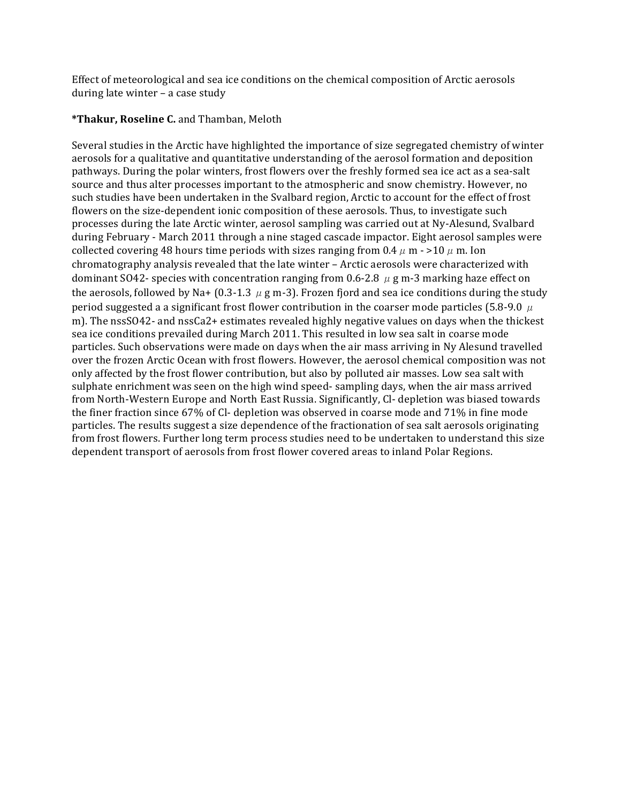Effect of meteorological and sea ice conditions on the chemical composition of Arctic aerosols during late winter  $-$  a case study

## **\*Thakur, Roseline C.** and Thamban, Meloth

Several studies in the Arctic have highlighted the importance of size segregated chemistry of winter aerosols for a qualitative and quantitative understanding of the aerosol formation and deposition pathways. During the polar winters, frost flowers over the freshly formed sea ice act as a sea-salt source and thus alter processes important to the atmospheric and snow chemistry. However, no such studies have been undertaken in the Svalbard region, Arctic to account for the effect of frost flowers on the size-dependent ionic composition of these aerosols. Thus, to investigate such processes during the late Arctic winter, aerosol sampling was carried out at Ny-Alesund, Svalbard during February - March 2011 through a nine staged cascade impactor. Eight aerosol samples were collected covering 48 hours time periods with sizes ranging from  $0.4 \mu$  m  $\cdot$  >10  $\mu$  m. Ion chromatography analysis revealed that the late winter - Arctic aerosols were characterized with dominant SO42- species with concentration ranging from 0.6-2.8  $\mu$  g m-3 marking haze effect on the aerosols, followed by Na+ (0.3-1.3  $\mu$  g m-3). Frozen fjord and sea ice conditions during the study period suggested a a significant frost flower contribution in the coarser mode particles (5.8-9.0  $\mu$ m). The  $nssSO42$ - and  $nssCa2+$  estimates revealed highly negative values on days when the thickest sea ice conditions prevailed during March 2011. This resulted in low sea salt in coarse mode particles. Such observations were made on days when the air mass arriving in Ny Alesund travelled over the frozen Arctic Ocean with frost flowers. However, the aerosol chemical composition was not only affected by the frost flower contribution, but also by polluted air masses. Low sea salt with sulphate enrichment was seen on the high wind speed- sampling days, when the air mass arrived from North-Western Europe and North East Russia. Significantly, Cl- depletion was biased towards the finer fraction since 67% of Cl- depletion was observed in coarse mode and 71% in fine mode particles. The results suggest a size dependence of the fractionation of sea salt aerosols originating from frost flowers. Further long term process studies need to be undertaken to understand this size dependent transport of aerosols from frost flower covered areas to inland Polar Regions.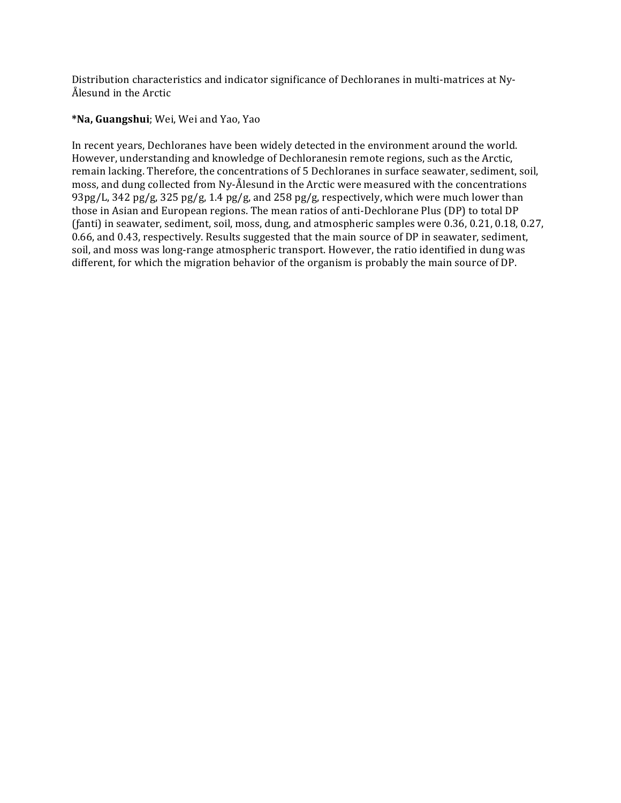Distribution characteristics and indicator significance of Dechloranes in multi-matrices at Ny-Ålesund in the Arctic

## **\*Na, Guangshui**; Wei, Wei and Yao, Yao

In recent years, Dechloranes have been widely detected in the environment around the world. However, understanding and knowledge of Dechloranesin remote regions, such as the Arctic, remain lacking. Therefore, the concentrations of 5 Dechloranes in surface seawater, sediment, soil, moss, and dung collected from Ny-Ålesund in the Arctic were measured with the concentrations 93pg/L, 342 pg/g, 325 pg/g, 1.4 pg/g, and 258 pg/g, respectively, which were much lower than those in Asian and European regions. The mean ratios of anti-Dechlorane Plus (DP) to total DP (fanti) in seawater, sediment, soil, moss, dung, and atmospheric samples were  $0.36, 0.21, 0.18, 0.27$ , 0.66, and 0.43, respectively. Results suggested that the main source of DP in seawater, sediment, soil, and moss was long-range atmospheric transport. However, the ratio identified in dung was different, for which the migration behavior of the organism is probably the main source of  $DP$ .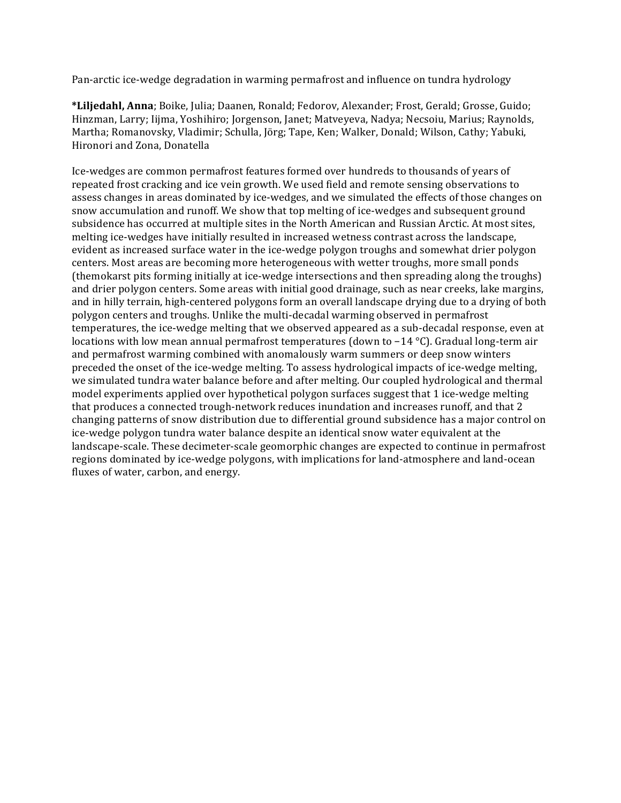Pan-arctic ice-wedge degradation in warming permafrost and influence on tundra hydrology

\*Liljedahl, Anna; Boike, Julia; Daanen, Ronald; Fedorov, Alexander; Frost, Gerald; Grosse, Guido; Hinzman, Larry; Iijma, Yoshihiro; Jorgenson, Janet; Matveyeva, Nadya; Necsoiu, Marius; Raynolds, Martha; Romanovsky, Vladimir; Schulla, Jörg; Tape, Ken; Walker, Donald; Wilson, Cathy; Yabuki, Hironori and Zona, Donatella

Ice-wedges are common permafrost features formed over hundreds to thousands of years of repeated frost cracking and ice vein growth. We used field and remote sensing observations to assess changes in areas dominated by ice-wedges, and we simulated the effects of those changes on snow accumulation and runoff. We show that top melting of ice-wedges and subsequent ground subsidence has occurred at multiple sites in the North American and Russian Arctic. At most sites, melting ice-wedges have initially resulted in increased wetness contrast across the landscape, evident as increased surface water in the ice-wedge polygon troughs and somewhat drier polygon centers. Most areas are becoming more heterogeneous with wetter troughs, more small ponds (themokarst pits forming initially at ice-wedge intersections and then spreading along the troughs) and drier polygon centers. Some areas with initial good drainage, such as near creeks, lake margins, and in hilly terrain, high-centered polygons form an overall landscape drying due to a drying of both polygon centers and troughs. Unlike the multi-decadal warming observed in permafrost temperatures, the ice-wedge melting that we observed appeared as a sub-decadal response, even at locations with low mean annual permafrost temperatures (down to −14 °C). Gradual long-term air and permafrost warming combined with anomalously warm summers or deep snow winters preceded the onset of the ice-wedge melting. To assess hydrological impacts of ice-wedge melting, we simulated tundra water balance before and after melting. Our coupled hydrological and thermal model experiments applied over hypothetical polygon surfaces suggest that 1 ice-wedge melting that produces a connected trough-network reduces inundation and increases runoff, and that 2 changing patterns of snow distribution due to differential ground subsidence has a major control on ice-wedge polygon tundra water balance despite an identical snow water equivalent at the landscape-scale. These decimeter-scale geomorphic changes are expected to continue in permafrost regions dominated by ice-wedge polygons, with implications for land-atmosphere and land-ocean fluxes of water, carbon, and energy.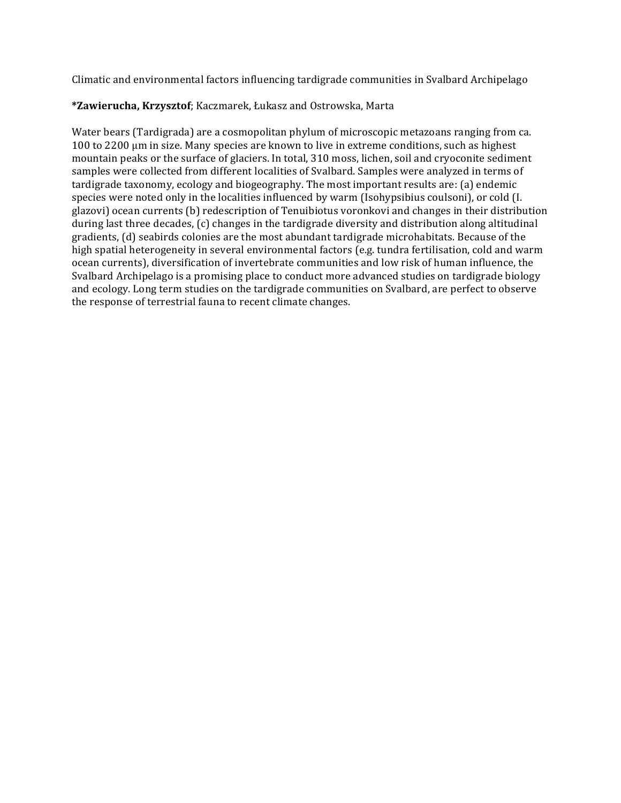Climatic and environmental factors influencing tardigrade communities in Svalbard Archipelago

# **\*Zawierucha, Krzysztof**; Kaczmarek, Łukasz and Ostrowska, Marta

Water bears (Tardigrada) are a cosmopolitan phylum of microscopic metazoans ranging from ca.  $100$  to  $2200$  µm in size. Many species are known to live in extreme conditions, such as highest mountain peaks or the surface of glaciers. In total, 310 moss, lichen, soil and cryoconite sediment samples were collected from different localities of Svalbard. Samples were analyzed in terms of tardigrade taxonomy, ecology and biogeography. The most important results are: (a) endemic species were noted only in the localities influenced by warm (Isohypsibius coulsoni), or cold (I. glazovi) ocean currents (b) redescription of Tenuibiotus voronkovi and changes in their distribution during last three decades, (c) changes in the tardigrade diversity and distribution along altitudinal gradients, (d) seabirds colonies are the most abundant tardigrade microhabitats. Because of the high spatial heterogeneity in several environmental factors (e.g. tundra fertilisation, cold and warm ocean currents), diversification of invertebrate communities and low risk of human influence, the Svalbard Archipelago is a promising place to conduct more advanced studies on tardigrade biology and ecology. Long term studies on the tardigrade communities on Svalbard, are perfect to observe the response of terrestrial fauna to recent climate changes.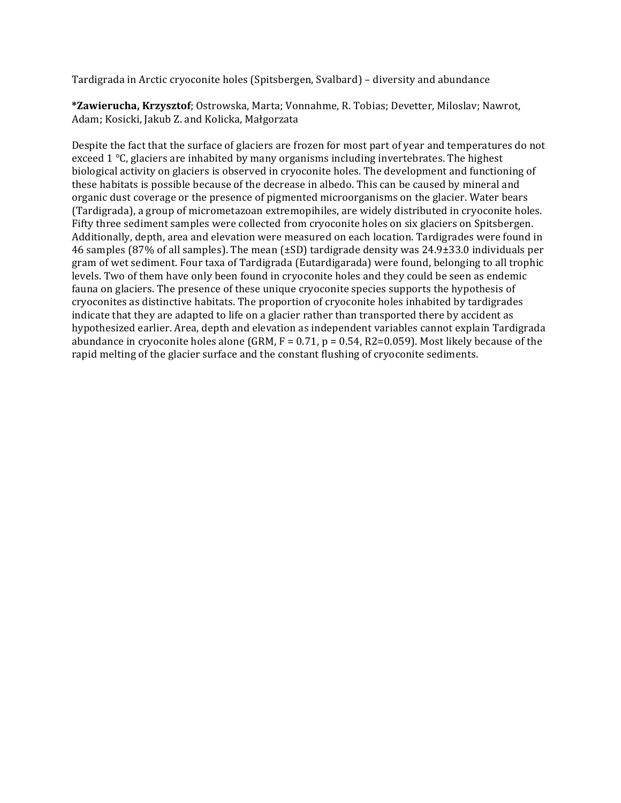Tardigrada in Arctic cryoconite holes (Spitsbergen, Svalbard) – diversity and abundance

\*Zawierucha, Krzysztof; Ostrowska, Marta; Vonnahme, R. Tobias; Devetter, Miloslav; Nawrot, Adam; Kosicki, Jakub Z. and Kolicka, Małgorzata

Despite the fact that the surface of glaciers are frozen for most part of year and temperatures do not exceed  $1 \degree C$ , glaciers are inhabited by many organisms including invertebrates. The highest biological activity on glaciers is observed in cryoconite holes. The development and functioning of these habitats is possible because of the decrease in albedo. This can be caused by mineral and organic dust coverage or the presence of pigmented microorganisms on the glacier. Water bears (Tardigrada), a group of micrometazoan extremopihiles, are widely distributed in cryoconite holes. Fifty three sediment samples were collected from cryoconite holes on six glaciers on Spitsbergen. Additionally, depth, area and elevation were measured on each location. Tardigrades were found in 46 samples (87% of all samples). The mean  $(\pm SD)$  tardigrade density was 24.9 $\pm$ 33.0 individuals per gram of wet sediment. Four taxa of Tardigrada (Eutardigarada) were found, belonging to all trophic levels. Two of them have only been found in cryoconite holes and they could be seen as endemic fauna on glaciers. The presence of these unique cryoconite species supports the hypothesis of cryoconites as distinctive habitats. The proportion of cryoconite holes inhabited by tardigrades indicate that they are adapted to life on a glacier rather than transported there by accident as hypothesized earlier. Area, depth and elevation as independent variables cannot explain Tardigrada abundance in cryoconite holes alone  $(GRM, F = 0.71, p = 0.54, R2=0.059)$ . Most likely because of the rapid melting of the glacier surface and the constant flushing of cryoconite sediments.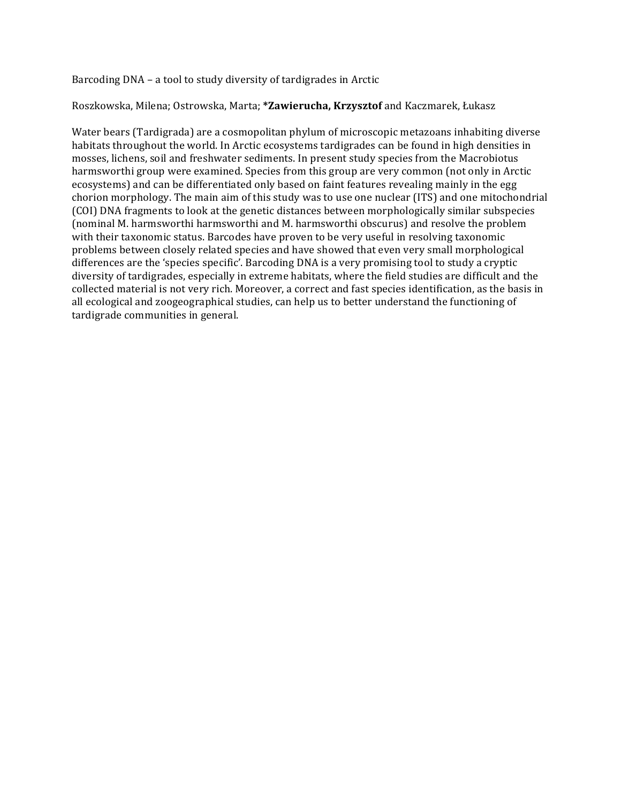Barcoding DNA – a tool to study diversity of tardigrades in Arctic

#### Roszkowska, Milena; Ostrowska, Marta; \*Zawierucha, Krzysztof and Kaczmarek, Łukasz

Water bears (Tardigrada) are a cosmopolitan phylum of microscopic metazoans inhabiting diverse habitats throughout the world. In Arctic ecosystems tardigrades can be found in high densities in mosses, lichens, soil and freshwater sediments. In present study species from the Macrobiotus harmsworthi group were examined. Species from this group are very common (not only in Arctic ecosystems) and can be differentiated only based on faint features revealing mainly in the egg chorion morphology. The main aim of this study was to use one nuclear (ITS) and one mitochondrial (COI) DNA fragments to look at the genetic distances between morphologically similar subspecies (nominal M. harmsworthi harmsworthi and M. harmsworthi obscurus) and resolve the problem with their taxonomic status. Barcodes have proven to be very useful in resolving taxonomic problems between closely related species and have showed that even very small morphological differences are the 'species specific'. Barcoding DNA is a very promising tool to study a cryptic diversity of tardigrades, especially in extreme habitats, where the field studies are difficult and the collected material is not very rich. Moreover, a correct and fast species identification, as the basis in all ecological and zoogeographical studies, can help us to better understand the functioning of tardigrade communities in general.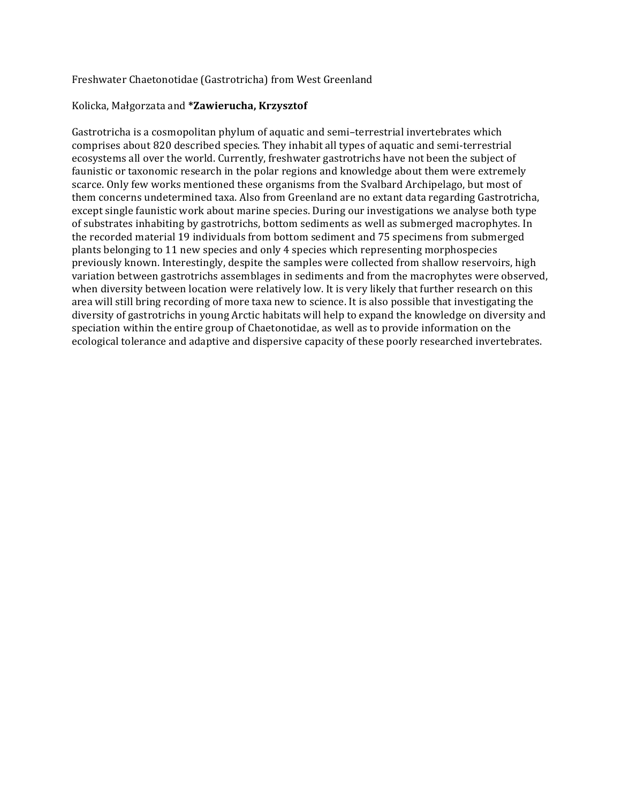### Freshwater Chaetonotidae (Gastrotricha) from West Greenland

#### Kolicka, Małgorzata and **\*Zawierucha, Krzysztof**

Gastrotricha is a cosmopolitan phylum of aquatic and semi-terrestrial invertebrates which comprises about 820 described species. They inhabit all types of aquatic and semi-terrestrial ecosystems all over the world. Currently, freshwater gastrotrichs have not been the subject of faunistic or taxonomic research in the polar regions and knowledge about them were extremely scarce. Only few works mentioned these organisms from the Svalbard Archipelago, but most of them concerns undetermined taxa. Also from Greenland are no extant data regarding Gastrotricha, except single faunistic work about marine species. During our investigations we analyse both type of substrates inhabiting by gastrotrichs, bottom sediments as well as submerged macrophytes. In the recorded material 19 individuals from bottom sediment and 75 specimens from submerged plants belonging to 11 new species and only 4 species which representing morphospecies previously known. Interestingly, despite the samples were collected from shallow reservoirs, high variation between gastrotrichs assemblages in sediments and from the macrophytes were observed, when diversity between location were relatively low. It is very likely that further research on this area will still bring recording of more taxa new to science. It is also possible that investigating the diversity of gastrotrichs in young Arctic habitats will help to expand the knowledge on diversity and speciation within the entire group of Chaetonotidae, as well as to provide information on the ecological tolerance and adaptive and dispersive capacity of these poorly researched invertebrates.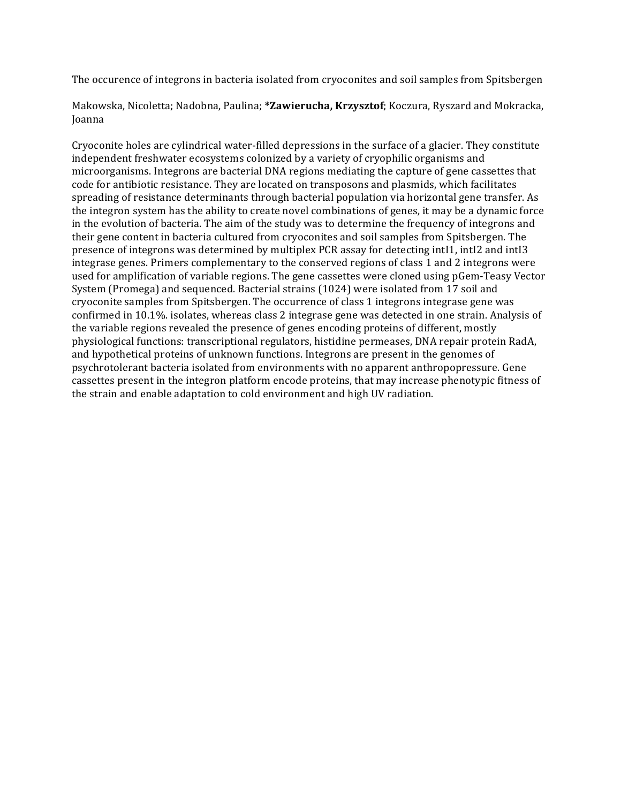The occurence of integrons in bacteria isolated from cryoconites and soil samples from Spitsbergen

Makowska, Nicoletta; Nadobna, Paulina; \*Zawierucha, Krzysztof; Koczura, Ryszard and Mokracka, Joanna

Cryoconite holes are cylindrical water-filled depressions in the surface of a glacier. They constitute independent freshwater ecosystems colonized by a variety of cryophilic organisms and microorganisms. Integrons are bacterial DNA regions mediating the capture of gene cassettes that code for antibiotic resistance. They are located on transposons and plasmids, which facilitates spreading of resistance determinants through bacterial population via horizontal gene transfer. As the integron system has the ability to create novel combinations of genes, it may be a dynamic force in the evolution of bacteria. The aim of the study was to determine the frequency of integrons and their gene content in bacteria cultured from cryoconites and soil samples from Spitsbergen. The presence of integrons was determined by multiplex PCR assay for detecting intI1, intI2 and intI3 integrase genes. Primers complementary to the conserved regions of class 1 and 2 integrons were used for amplification of variable regions. The gene cassettes were cloned using pGem-Teasy Vector System (Promega) and sequenced. Bacterial strains (1024) were isolated from 17 soil and cryoconite samples from Spitsbergen. The occurrence of class 1 integrons integrase gene was confirmed in 10.1%. isolates, whereas class 2 integrase gene was detected in one strain. Analysis of the variable regions revealed the presence of genes encoding proteins of different, mostly physiological functions: transcriptional regulators, histidine permeases, DNA repair protein RadA, and hypothetical proteins of unknown functions. Integrons are present in the genomes of psychrotolerant bacteria isolated from environments with no apparent anthropopressure. Gene cassettes present in the integron platform encode proteins, that may increase phenotypic fitness of the strain and enable adaptation to cold environment and high UV radiation.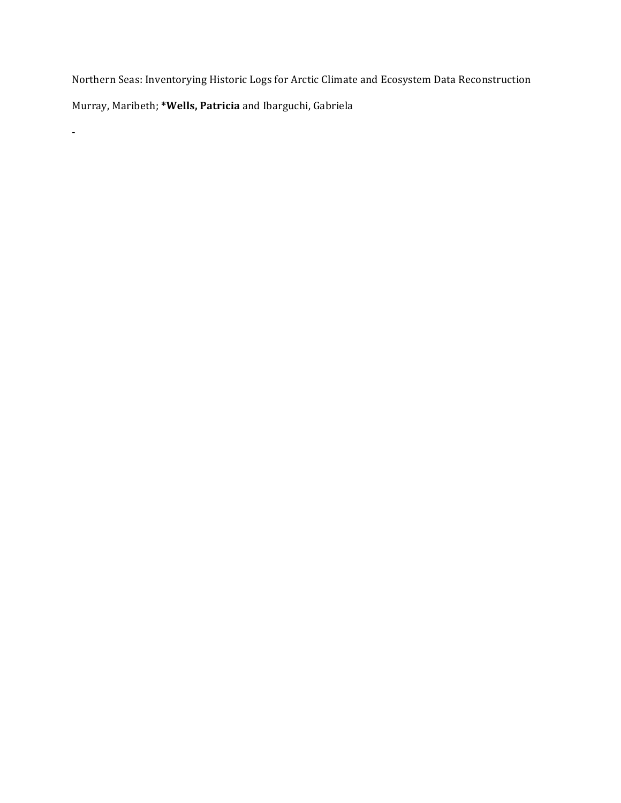Northern Seas: Inventorying Historic Logs for Arctic Climate and Ecosystem Data Reconstruction Murray, Maribeth; \*Wells, Patricia and Ibarguchi, Gabriela

-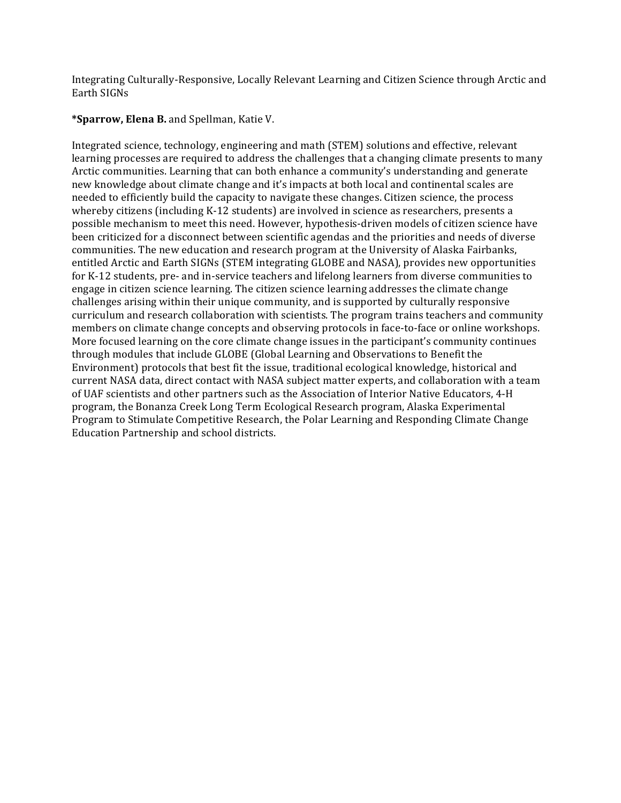Integrating Culturally-Responsive, Locally Relevant Learning and Citizen Science through Arctic and Earth SIGNs

## **\*Sparrow, Elena B.** and Spellman, Katie V.

Integrated science, technology, engineering and math (STEM) solutions and effective, relevant learning processes are required to address the challenges that a changing climate presents to many Arctic communities. Learning that can both enhance a community's understanding and generate new knowledge about climate change and it's impacts at both local and continental scales are needed to efficiently build the capacity to navigate these changes. Citizen science, the process whereby citizens (including K-12 students) are involved in science as researchers, presents a possible mechanism to meet this need. However, hypothesis-driven models of citizen science have been criticized for a disconnect between scientific agendas and the priorities and needs of diverse communities. The new education and research program at the University of Alaska Fairbanks, entitled Arctic and Earth SIGNs (STEM integrating GLOBE and NASA), provides new opportunities for K-12 students, pre- and in-service teachers and lifelong learners from diverse communities to engage in citizen science learning. The citizen science learning addresses the climate change challenges arising within their unique community, and is supported by culturally responsive curriculum and research collaboration with scientists. The program trains teachers and community members on climate change concepts and observing protocols in face-to-face or online workshops. More focused learning on the core climate change issues in the participant's community continues through modules that include GLOBE (Global Learning and Observations to Benefit the Environment) protocols that best fit the issue, traditional ecological knowledge, historical and current NASA data, direct contact with NASA subject matter experts, and collaboration with a team of UAF scientists and other partners such as the Association of Interior Native Educators, 4-H program, the Bonanza Creek Long Term Ecological Research program, Alaska Experimental Program to Stimulate Competitive Research, the Polar Learning and Responding Climate Change Education Partnership and school districts.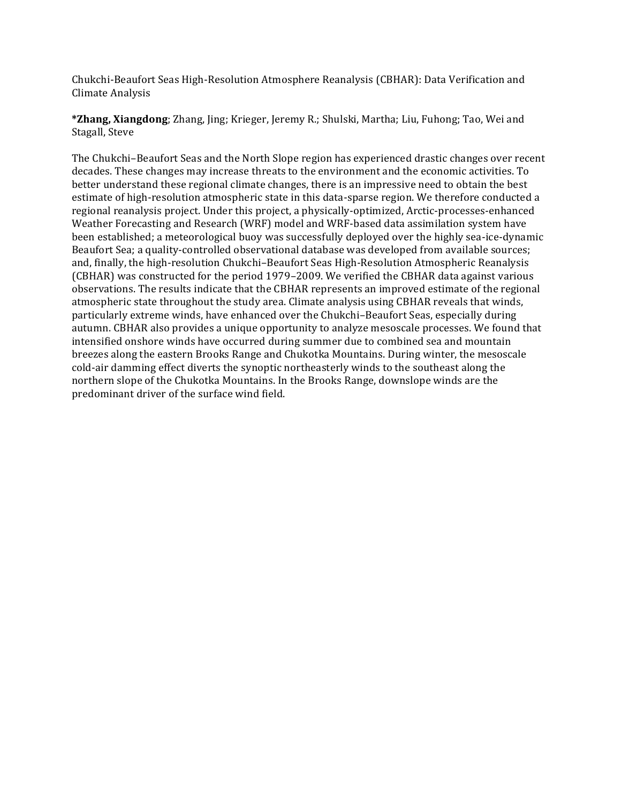Chukchi-Beaufort Seas High-Resolution Atmosphere Reanalysis (CBHAR): Data Verification and Climate Analysis

**\*Zhang, Xiangdong**; Zhang, Jing; Krieger, Jeremy R.; Shulski, Martha; Liu, Fuhong; Tao, Wei and Stagall, Steve

The Chukchi–Beaufort Seas and the North Slope region has experienced drastic changes over recent decades. These changes may increase threats to the environment and the economic activities. To better understand these regional climate changes, there is an impressive need to obtain the best estimate of high-resolution atmospheric state in this data-sparse region. We therefore conducted a regional reanalysis project. Under this project, a physically-optimized, Arctic-processes-enhanced Weather Forecasting and Research (WRF) model and WRF-based data assimilation system have been established; a meteorological buoy was successfully deployed over the highly sea-ice-dynamic Beaufort Sea; a quality-controlled observational database was developed from available sources; and, finally, the high-resolution Chukchi–Beaufort Seas High-Resolution Atmospheric Reanalysis (CBHAR) was constructed for the period 1979–2009. We verified the CBHAR data against various observations. The results indicate that the CBHAR represents an improved estimate of the regional atmospheric state throughout the study area. Climate analysis using CBHAR reveals that winds, particularly extreme winds, have enhanced over the Chukchi–Beaufort Seas, especially during autumn. CBHAR also provides a unique opportunity to analyze mesoscale processes. We found that intensified onshore winds have occurred during summer due to combined sea and mountain breezes along the eastern Brooks Range and Chukotka Mountains. During winter, the mesoscale cold-air damming effect diverts the synoptic northeasterly winds to the southeast along the northern slope of the Chukotka Mountains. In the Brooks Range, downslope winds are the predominant driver of the surface wind field.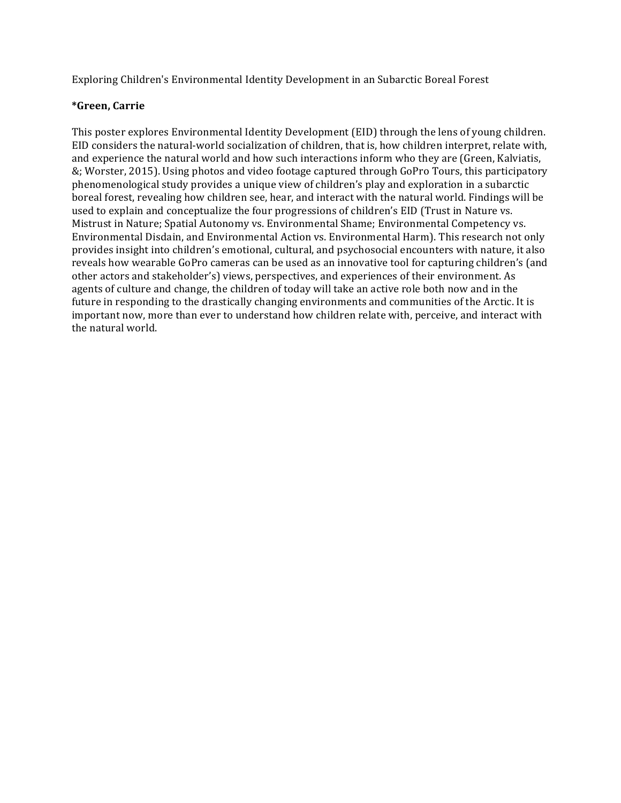Exploring Children's Environmental Identity Development in an Subarctic Boreal Forest

# **\*Green, Carrie**

This poster explores Environmental Identity Development (EID) through the lens of young children. EID considers the natural-world socialization of children, that is, how children interpret, relate with, and experience the natural world and how such interactions inform who they are (Green, Kalviatis, &; Worster, 2015). Using photos and video footage captured through GoPro Tours, this participatory phenomenological study provides a unique view of children's play and exploration in a subarctic boreal forest, revealing how children see, hear, and interact with the natural world. Findings will be used to explain and conceptualize the four progressions of children's EID (Trust in Nature vs. Mistrust in Nature; Spatial Autonomy vs. Environmental Shame; Environmental Competency vs. Environmental Disdain, and Environmental Action vs. Environmental Harm). This research not only provides insight into children's emotional, cultural, and psychosocial encounters with nature, it also reveals how wearable GoPro cameras can be used as an innovative tool for capturing children's (and other actors and stakeholder's) views, perspectives, and experiences of their environment. As agents of culture and change, the children of today will take an active role both now and in the future in responding to the drastically changing environments and communities of the Arctic. It is important now, more than ever to understand how children relate with, perceive, and interact with the natural world.